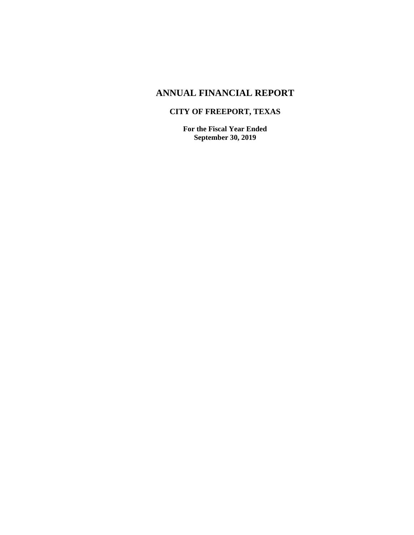# **ANNUAL FINANCIAL REPORT**

# **CITY OF FREEPORT, TEXAS**

**For the Fiscal Year Ended September 30, 2019**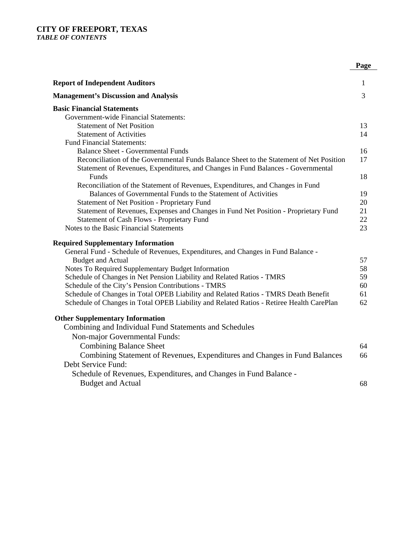|                                                                                                                                                                             | Page |
|-----------------------------------------------------------------------------------------------------------------------------------------------------------------------------|------|
| <b>Report of Independent Auditors</b>                                                                                                                                       | 1    |
| <b>Management's Discussion and Analysis</b>                                                                                                                                 | 3    |
| <b>Basic Financial Statements</b>                                                                                                                                           |      |
| Government-wide Financial Statements:                                                                                                                                       |      |
| <b>Statement of Net Position</b>                                                                                                                                            | 13   |
| <b>Statement of Activities</b>                                                                                                                                              | 14   |
| <b>Fund Financial Statements:</b>                                                                                                                                           |      |
| <b>Balance Sheet - Governmental Funds</b>                                                                                                                                   | 16   |
| Reconciliation of the Governmental Funds Balance Sheet to the Statement of Net Position<br>Statement of Revenues, Expenditures, and Changes in Fund Balances - Governmental | 17   |
| Funds                                                                                                                                                                       | 18   |
| Reconciliation of the Statement of Revenues, Expenditures, and Changes in Fund                                                                                              |      |
| Balances of Governmental Funds to the Statement of Activities                                                                                                               | 19   |
| Statement of Net Position - Proprietary Fund                                                                                                                                | 20   |
| Statement of Revenues, Expenses and Changes in Fund Net Position - Proprietary Fund                                                                                         | 21   |
| <b>Statement of Cash Flows - Proprietary Fund</b>                                                                                                                           | 22   |
| Notes to the Basic Financial Statements                                                                                                                                     | 23   |
| <b>Required Supplementary Information</b>                                                                                                                                   |      |
| General Fund - Schedule of Revenues, Expenditures, and Changes in Fund Balance -                                                                                            |      |
| <b>Budget and Actual</b>                                                                                                                                                    | 57   |
| Notes To Required Supplementary Budget Information                                                                                                                          | 58   |
| Schedule of Changes in Net Pension Liability and Related Ratios - TMRS                                                                                                      | 59   |
| Schedule of the City's Pension Contributions - TMRS                                                                                                                         | 60   |
| Schedule of Changes in Total OPEB Liability and Related Ratios - TMRS Death Benefit                                                                                         | 61   |
| Schedule of Changes in Total OPEB Liability and Related Ratios - Retiree Health CarePlan                                                                                    | 62   |
| <b>Other Supplementary Information</b>                                                                                                                                      |      |
| Combining and Individual Fund Statements and Schedules                                                                                                                      |      |
| Non-major Governmental Funds:                                                                                                                                               |      |
| <b>Combining Balance Sheet</b>                                                                                                                                              | 64   |
| Combining Statement of Revenues, Expenditures and Changes in Fund Balances<br>Debt Service Fund:                                                                            | 66   |
| Schedule of Revenues, Expenditures, and Changes in Fund Balance -                                                                                                           |      |
| <b>Budget and Actual</b>                                                                                                                                                    | 68   |
|                                                                                                                                                                             |      |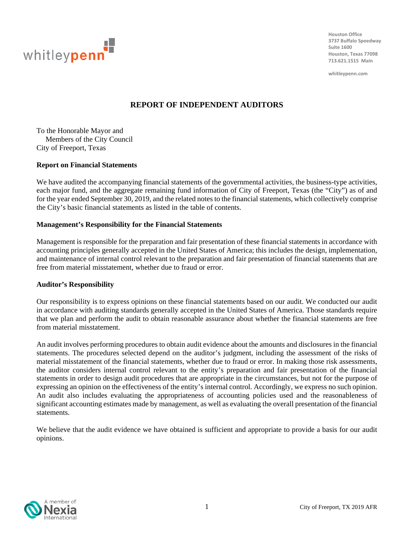

**Houston Office 3737 Buffalo Speedway Suite 1600 Houston, Texas 77098 713.621.1515 Main**

**whitleypenn.com**

# **REPORT OF INDEPENDENT AUDITORS**

To the Honorable Mayor and Members of the City Council City of Freeport, Texas

#### **Report on Financial Statements**

We have audited the accompanying financial statements of the governmental activities, the business-type activities, each major fund, and the aggregate remaining fund information of City of Freeport, Texas (the "City") as of and for the year ended September 30, 2019, and the related notes to the financial statements, which collectively comprise the City's basic financial statements as listed in the table of contents.

#### **Management's Responsibility for the Financial Statements**

Management is responsible for the preparation and fair presentation of these financial statements in accordance with accounting principles generally accepted in the United States of America; this includes the design, implementation, and maintenance of internal control relevant to the preparation and fair presentation of financial statements that are free from material misstatement, whether due to fraud or error.

#### **Auditor's Responsibility**

Our responsibility is to express opinions on these financial statements based on our audit. We conducted our audit in accordance with auditing standards generally accepted in the United States of America. Those standards require that we plan and perform the audit to obtain reasonable assurance about whether the financial statements are free from material misstatement.

An audit involves performing procedures to obtain audit evidence about the amounts and disclosures in the financial statements. The procedures selected depend on the auditor's judgment, including the assessment of the risks of material misstatement of the financial statements, whether due to fraud or error. In making those risk assessments, the auditor considers internal control relevant to the entity's preparation and fair presentation of the financial statements in order to design audit procedures that are appropriate in the circumstances, but not for the purpose of expressing an opinion on the effectiveness of the entity's internal control. Accordingly, we express no such opinion. An audit also includes evaluating the appropriateness of accounting policies used and the reasonableness of significant accounting estimates made by management, as well as evaluating the overall presentation of the financial statements.

We believe that the audit evidence we have obtained is sufficient and appropriate to provide a basis for our audit opinions.

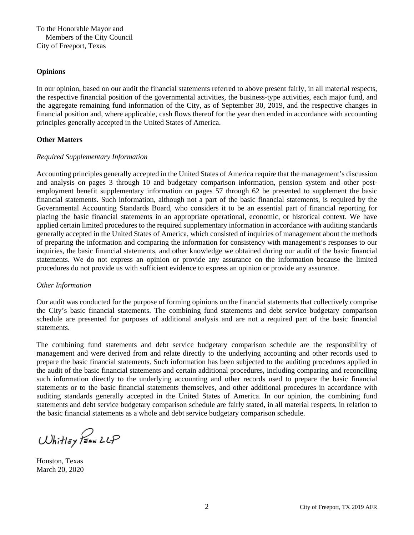To the Honorable Mayor and Members of the City Council City of Freeport, Texas

## **Opinions**

In our opinion, based on our audit the financial statements referred to above present fairly, in all material respects, the respective financial position of the governmental activities, the business-type activities, each major fund, and the aggregate remaining fund information of the City, as of September 30, 2019, and the respective changes in financial position and, where applicable, cash flows thereof for the year then ended in accordance with accounting principles generally accepted in the United States of America.

# **Other Matters**

#### *Required Supplementary Information*

Accounting principles generally accepted in the United States of America require that the management's discussion and analysis on pages 3 through 10 and budgetary comparison information, pension system and other postemployment benefit supplementary information on pages 57 through 62 be presented to supplement the basic financial statements. Such information, although not a part of the basic financial statements, is required by the Governmental Accounting Standards Board, who considers it to be an essential part of financial reporting for placing the basic financial statements in an appropriate operational, economic, or historical context. We have applied certain limited procedures to the required supplementary information in accordance with auditing standards generally accepted in the United States of America, which consisted of inquiries of management about the methods of preparing the information and comparing the information for consistency with management's responses to our inquiries, the basic financial statements, and other knowledge we obtained during our audit of the basic financial statements. We do not express an opinion or provide any assurance on the information because the limited procedures do not provide us with sufficient evidence to express an opinion or provide any assurance.

#### *Other Information*

Our audit was conducted for the purpose of forming opinions on the financial statements that collectively comprise the City's basic financial statements. The combining fund statements and debt service budgetary comparison schedule are presented for purposes of additional analysis and are not a required part of the basic financial statements.

The combining fund statements and debt service budgetary comparison schedule are the responsibility of management and were derived from and relate directly to the underlying accounting and other records used to prepare the basic financial statements. Such information has been subjected to the auditing procedures applied in the audit of the basic financial statements and certain additional procedures, including comparing and reconciling such information directly to the underlying accounting and other records used to prepare the basic financial statements or to the basic financial statements themselves, and other additional procedures in accordance with auditing standards generally accepted in the United States of America. In our opinion, the combining fund statements and debt service budgetary comparison schedule are fairly stated, in all material respects, in relation to the basic financial statements as a whole and debt service budgetary comparison schedule.

Whitley PENN LLP

Houston, Texas March 20, 2020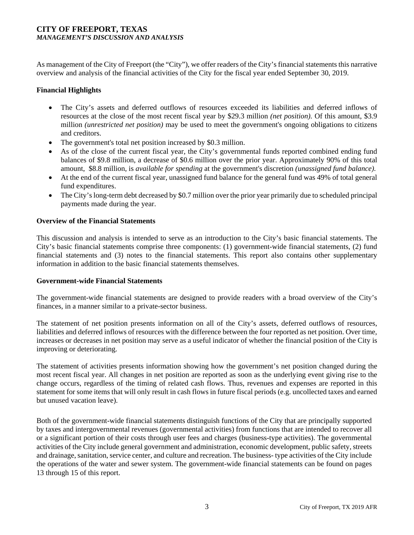As management of the City of Freeport (the "City"), we offer readers of the City's financial statements this narrative overview and analysis of the financial activities of the City for the fiscal year ended September 30, 2019.

# **Financial Highlights**

- The City's assets and deferred outflows of resources exceeded its liabilities and deferred inflows of resources at the close of the most recent fiscal year by \$29.3 million *(net position).* Of this amount, \$3.9 million *(unrestricted net position)* may be used to meet the government's ongoing obligations to citizens and creditors.
- The government's total net position increased by \$0.3 million.
- As of the close of the current fiscal year, the City's governmental funds reported combined ending fund balances of \$9.8 million, a decrease of \$0.6 million over the prior year. Approximately 90% of this total amount, \$8.8 million, is *available for spending* at the government's discretion *(unassigned fund balance).*
- At the end of the current fiscal year, unassigned fund balance for the general fund was 49% of total general fund expenditures.
- The City's long-term debt decreased by \$0.7 million over the prior year primarily due to scheduled principal payments made during the year.

# **Overview of the Financial Statements**

This discussion and analysis is intended to serve as an introduction to the City's basic financial statements. The City's basic financial statements comprise three components: (1) government-wide financial statements, (2) fund financial statements and (3) notes to the financial statements. This report also contains other supplementary information in addition to the basic financial statements themselves.

# **Government-wide Financial Statements**

The government-wide financial statements are designed to provide readers with a broad overview of the City's finances, in a manner similar to a private-sector business.

The statement of net position presents information on all of the City's assets, deferred outflows of resources, liabilities and deferred inflows of resources with the difference between the four reported as net position. Over time, increases or decreases in net position may serve as a useful indicator of whether the financial position of the City is improving or deteriorating.

The statement of activities presents information showing how the government's net position changed during the most recent fiscal year. All changes in net position are reported as soon as the underlying event giving rise to the change occurs, regardless of the timing of related cash flows. Thus, revenues and expenses are reported in this statement for some items that will only result in cash flows in future fiscal periods (e.g. uncollected taxes and earned but unused vacation leave).

Both of the government-wide financial statements distinguish functions of the City that are principally supported by taxes and intergovernmental revenues (governmental activities) from functions that are intended to recover all or a significant portion of their costs through user fees and charges (business-type activities). The governmental activities of the City include general government and administration, economic development, public safety, streets and drainage, sanitation, service center, and culture and recreation. The business- type activities of the City include the operations of the water and sewer system. The government-wide financial statements can be found on pages 13 through 15 of this report.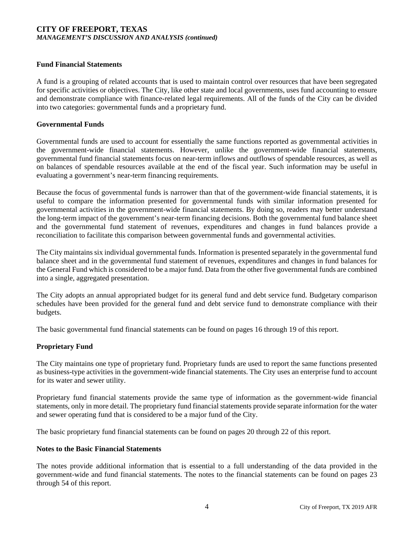#### **Fund Financial Statements**

A fund is a grouping of related accounts that is used to maintain control over resources that have been segregated for specific activities or objectives. The City, like other state and local governments, uses fund accounting to ensure and demonstrate compliance with finance-related legal requirements. All of the funds of the City can be divided into two categories: governmental funds and a proprietary fund.

#### **Governmental Funds**

Governmental funds are used to account for essentially the same functions reported as governmental activities in the government-wide financial statements. However, unlike the government-wide financial statements, governmental fund financial statements focus on near-term inflows and outflows of spendable resources, as well as on balances of spendable resources available at the end of the fiscal year. Such information may be useful in evaluating a government's near-term financing requirements.

Because the focus of governmental funds is narrower than that of the government-wide financial statements, it is useful to compare the information presented for governmental funds with similar information presented for governmental activities in the government-wide financial statements. By doing so, readers may better understand the long-term impact of the government's near-term financing decisions. Both the governmental fund balance sheet and the governmental fund statement of revenues, expenditures and changes in fund balances provide a reconciliation to facilitate this comparison between governmental funds and governmental activities.

The City maintains six individual governmental funds. Information is presented separately in the governmental fund balance sheet and in the governmental fund statement of revenues, expenditures and changes in fund balances for the General Fund which is considered to be a major fund. Data from the other five governmental funds are combined into a single, aggregated presentation.

The City adopts an annual appropriated budget for its general fund and debt service fund. Budgetary comparison schedules have been provided for the general fund and debt service fund to demonstrate compliance with their budgets.

The basic governmental fund financial statements can be found on pages 16 through 19 of this report.

# **Proprietary Fund**

The City maintains one type of proprietary fund. Proprietary funds are used to report the same functions presented as business-type activities in the government-wide financial statements. The City uses an enterprise fund to account for its water and sewer utility.

Proprietary fund financial statements provide the same type of information as the government-wide financial statements, only in more detail. The proprietary fund financial statements provide separate information for the water and sewer operating fund that is considered to be a major fund of the City.

The basic proprietary fund financial statements can be found on pages 20 through 22 of this report.

#### **Notes to the Basic Financial Statements**

The notes provide additional information that is essential to a full understanding of the data provided in the government-wide and fund financial statements. The notes to the financial statements can be found on pages 23 through 54 of this report.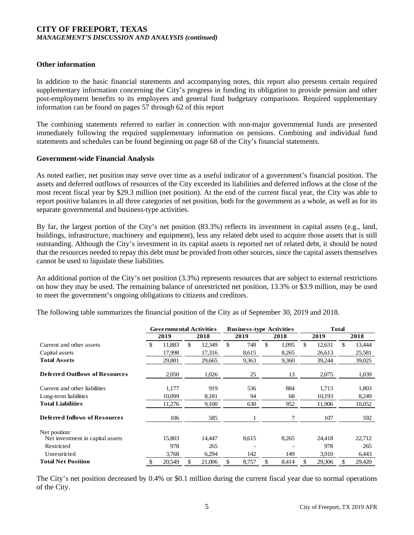# **Other information**

In addition to the basic financial statements and accompanying notes, this report also presents certain required supplementary information concerning the City's progress in funding its obligation to provide pension and other post-employment benefits to its employees and general fund budgetary comparisons. Required supplementary information can be found on pages 57 through 62 of this report

The combining statements referred to earlier in connection with non-major governmental funds are presented immediately following the required supplementary information on pensions. Combining and individual fund statements and schedules can be found beginning on page 68 of the City's financial statements.

#### **Government-wide Financial Analysis**

As noted earlier, net position may serve over time as a useful indicator of a government's financial position. The assets and deferred outflows of resources of the City exceeded its liabilities and deferred inflows at the close of the most recent fiscal year by \$29.3 million (net position). At the end of the current fiscal year, the City was able to report positive balances in all three categories of net position, both for the government as a whole, as well as for its separate governmental and business-type activities.

By far, the largest portion of the City's net position (83.3%) reflects its investment in capital assets (e.g., land, buildings, infrastructure, machinery and equipment), less any related debt used to acquire those assets that is still outstanding. Although the City's investment in its capital assets is reported net of related debt, it should be noted that the resources needed to repay this debt must be provided from other sources, since the capital assets themselves cannot be used to liquidate these liabilities.

An additional portion of the City's net position (3.3%) represents resources that are subject to external restrictions on how they may be used. The remaining balance of unrestricted net position, 13.3% or \$3.9 million, may be used to meet the government's ongoing obligations to citizens and creditors.

The following table summarizes the financial position of the City as of September 30, 2019 and 2018.

|                                       | <b>Governmental Activities</b> |        |      | <b>Business-type Activities</b> |    |       |      | <b>Total</b> |      |        |      |        |
|---------------------------------------|--------------------------------|--------|------|---------------------------------|----|-------|------|--------------|------|--------|------|--------|
|                                       | 2019                           |        | 2018 | 2019                            |    |       | 2018 |              | 2019 |        | 2018 |        |
| Current and other assets              | \$                             | 11,883 | \$   | 12,349                          | \$ | 748   | \$   | 1,095        | \$   | 12,631 | \$   | 13,444 |
| Capital assets                        |                                | 17,998 |      | 17,316                          |    | 8,615 |      | 8,265        |      | 26,613 |      | 25,581 |
| <b>Total Assets</b>                   |                                | 29,881 |      | 29,665                          |    | 9,363 |      | 9,360        |      | 39,244 |      | 39,025 |
| <b>Deferred Outflows of Resources</b> |                                | 2,050  |      | 1,026                           |    | 25    |      | 13           |      | 2,075  |      | 1,039  |
| Current and other liabilities         |                                | 1,177  |      | 919                             |    | 536   |      | 884          |      | 1,713  |      | 1,803  |
| Long-term liabilities                 |                                | 10,099 |      | 8,181                           |    | 94    |      | 68           |      | 10,193 |      | 8,249  |
| <b>Total Liabilities</b>              |                                | 11.276 |      | 9,100                           |    | 630   |      | 952          |      | 11,906 |      | 10,052 |
| <b>Deferred Inflows of Resources</b>  |                                | 106    |      | 585                             |    |       |      |              |      | 107    |      | 592    |
| Net position:                         |                                |        |      |                                 |    |       |      |              |      |        |      |        |
| Net investment in capital assets      |                                | 15,803 |      | 14.447                          |    | 8,615 |      | 8,265        |      | 24.418 |      | 22,712 |
| Restricted                            |                                | 978    |      | 265                             |    |       |      |              |      | 978    |      | 265    |
| Unrestricted                          |                                | 3,768  |      | 6,294                           |    | 142   |      | 149          |      | 3,910  |      | 6,443  |
| <b>Total Net Position</b>             | \$                             | 20,549 | \$   | 21,006                          | \$ | 8,757 | \$   | 8,414        | \$   | 29,306 | \$   | 29,420 |

The City's net position decreased by 0.4% or \$0.1 million during the current fiscal year due to normal operations of the City.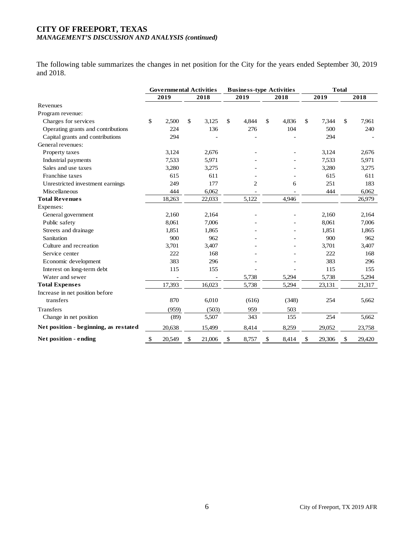#### *MANAGEMENT'S DISCUSSION AND ANALYSIS (continued)*

The following table summarizes the changes in net position for the City for the years ended September 30, 2019 and 2018.

|                                       | <b>Governmental Activities</b> |        |    | <b>Business-type Activities</b> |    |                |    | <b>Total</b> |    |        |    |        |
|---------------------------------------|--------------------------------|--------|----|---------------------------------|----|----------------|----|--------------|----|--------|----|--------|
|                                       |                                | 2019   |    | 2018                            |    | 2019           |    | 2018         |    | 2019   |    | 2018   |
| Revenues                              |                                |        |    |                                 |    |                |    |              |    |        |    |        |
| Program revenue:                      |                                |        |    |                                 |    |                |    |              |    |        |    |        |
| Charges for services                  | \$                             | 2,500  | \$ | 3.125                           | \$ | 4.844          | \$ | 4,836        | \$ | 7,344  | \$ | 7.961  |
| Operating grants and contributions    |                                | 224    |    | 136                             |    | 276            |    | 104          |    | 500    |    | 240    |
| Capital grants and contributions      |                                | 294    |    |                                 |    |                |    |              |    | 294    |    |        |
| General revenues:                     |                                |        |    |                                 |    |                |    |              |    |        |    |        |
| Property taxes                        |                                | 3,124  |    | 2,676                           |    |                |    |              |    | 3,124  |    | 2,676  |
| Industrial payments                   |                                | 7,533  |    | 5,971                           |    |                |    |              |    | 7,533  |    | 5,971  |
| Sales and use taxes                   |                                | 3,280  |    | 3,275                           |    |                |    |              |    | 3,280  |    | 3,275  |
| Franchise taxes                       |                                | 615    |    | 611                             |    |                |    |              |    | 615    |    | 611    |
| Unrestricted investment earnings      |                                | 249    |    | 177                             |    | $\overline{c}$ |    | 6            |    | 251    |    | 183    |
| Miscellaneous                         |                                | 444    |    | 6.062                           |    |                |    |              |    | 444    |    | 6,062  |
| <b>Total Revenues</b>                 |                                | 18,263 |    | 22,033                          |    | 5,122          |    | 4,946        |    |        |    | 26,979 |
| Expenses:                             |                                |        |    |                                 |    |                |    |              |    |        |    |        |
| General government                    |                                | 2,160  |    | 2,164                           |    |                |    |              |    | 2.160  |    | 2,164  |
| Public safety                         |                                | 8,061  |    | 7,006                           |    |                |    |              |    | 8,061  |    | 7,006  |
| Streets and drainage                  |                                | 1,851  |    | 1,865                           |    |                |    |              |    | 1,851  |    | 1,865  |
| Sanitation                            |                                | 900    |    | 962                             |    |                |    |              |    | 900    |    | 962    |
| Culture and recreation                |                                | 3,701  |    | 3,407                           |    |                |    |              |    | 3,701  |    | 3,407  |
| Service center                        |                                | 222    |    | 168                             |    |                |    |              |    | 222    |    | 168    |
| Economic development                  |                                | 383    |    | 296                             |    |                |    |              |    | 383    |    | 296    |
| Interest on long-term debt            |                                | 115    |    | 155                             |    |                |    |              |    | 115    |    | 155    |
| Water and sewer                       |                                |        |    |                                 |    | 5,738          |    | 5,294        |    | 5,738  |    | 5,294  |
| <b>Total Expenses</b>                 |                                | 17,393 |    | 16.023                          |    | 5,738          |    | 5,294        |    | 23,131 |    | 21,317 |
| Increase in net position before       |                                |        |    |                                 |    |                |    |              |    |        |    |        |
| transfers                             |                                | 870    |    | 6,010                           |    | (616)          |    | (348)        |    | 254    |    | 5,662  |
| <b>Transfers</b>                      |                                | (959)  |    | (503)                           |    | 959            |    | 503          |    |        |    |        |
| Change in net position                |                                | (89)   |    | 5,507                           |    | 343            |    | 155          |    | 254    |    | 5,662  |
| Net position - beginning, as restated |                                | 20,638 |    | 15,499                          |    | 8,414          |    | 8,259        |    | 29,052 |    | 23,758 |
| Net position - ending                 | \$                             | 20,549 | \$ | 21,006                          | \$ | 8,757          | \$ | 8,414        | \$ | 29,306 | \$ | 29,420 |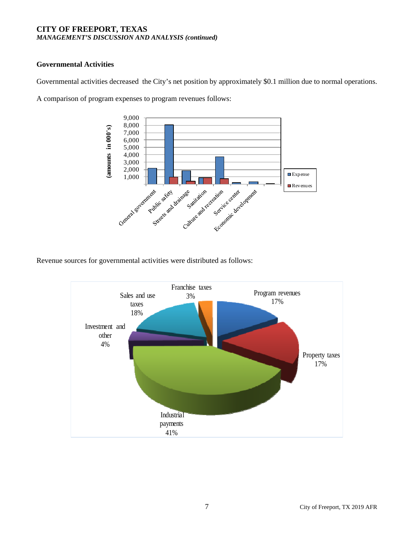# **Governmental Activities**

Governmental activities decreased the City's net position by approximately \$0.1 million due to normal operations.

A comparison of program expenses to program revenues follows:



Revenue sources for governmental activities were distributed as follows:

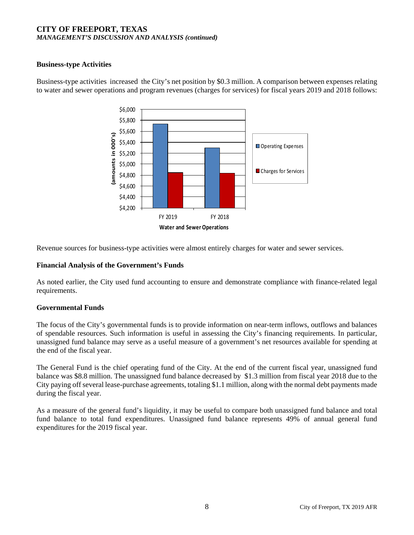# **Business-type Activities**



Business-type activities increased the City's net position by \$0.3 million. A comparison between expenses relating to water and sewer operations and program revenues (charges for services) for fiscal years 2019 and 2018 follows:

Revenue sources for business-type activities were almost entirely charges for water and sewer services.

## **Financial Analysis of the Government's Funds**

As noted earlier, the City used fund accounting to ensure and demonstrate compliance with finance-related legal requirements.

#### **Governmental Funds**

The focus of the City's governmental funds is to provide information on near-term inflows, outflows and balances of spendable resources. Such information is useful in assessing the City's financing requirements. In particular, unassigned fund balance may serve as a useful measure of a government's net resources available for spending at the end of the fiscal year.

The General Fund is the chief operating fund of the City. At the end of the current fiscal year, unassigned fund balance was \$8.8 million. The unassigned fund balance decreased by \$1.3 million from fiscal year 2018 due to the City paying off several lease-purchase agreements, totaling \$1.1 million, along with the normal debt payments made during the fiscal year.

As a measure of the general fund's liquidity, it may be useful to compare both unassigned fund balance and total fund balance to total fund expenditures. Unassigned fund balance represents 49% of annual general fund expenditures for the 2019 fiscal year.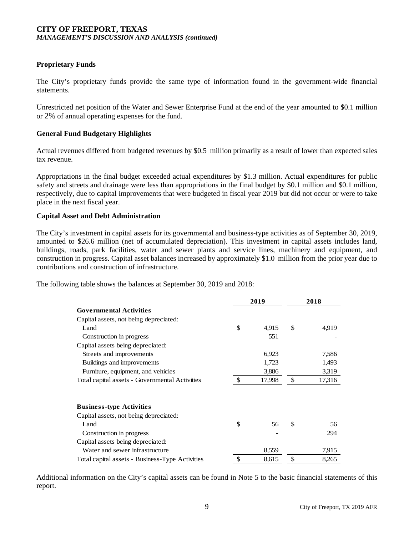# **Proprietary Funds**

The City's proprietary funds provide the same type of information found in the government-wide financial statements.

Unrestricted net position of the Water and Sewer Enterprise Fund at the end of the year amounted to \$0.1 million or 2% of annual operating expenses for the fund.

# **General Fund Budgetary Highlights**

Actual revenues differed from budgeted revenues by \$0.5 million primarily as a result of lower than expected sales tax revenue.

Appropriations in the final budget exceeded actual expenditures by \$1.3 million. Actual expenditures for public safety and streets and drainage were less than appropriations in the final budget by \$0.1 million and \$0.1 million, respectively, due to capital improvements that were budgeted in fiscal year 2019 but did not occur or were to take place in the next fiscal year.

# **Capital Asset and Debt Administration**

The City's investment in capital assets for its governmental and business-type activities as of September 30, 2019, amounted to \$26.6 million (net of accumulated depreciation). This investment in capital assets includes land, buildings, roads, park facilities, water and sewer plants and service lines, machinery and equipment, and construction in progress. Capital asset balances increased by approximately \$1.0 million from the prior year due to contributions and construction of infrastructure.

The following table shows the balances at September 30, 2019 and 2018:

|                                                 | 2019          |        | 2018         |
|-------------------------------------------------|---------------|--------|--------------|
| <b>Governmental Activities</b>                  |               |        |              |
| Capital assets, not being depreciated:          |               |        |              |
| Land                                            | \$            | 4,915  | \$<br>4,919  |
| Construction in progress                        |               | 551    |              |
| Capital assets being depreciated:               |               |        |              |
| Streets and improvements                        |               | 6,923  | 7,586        |
| Buildings and improvements                      |               | 1,723  | 1,493        |
| Furniture, equipment, and vehicles              |               | 3,886  | 3,319        |
| Total capital assets - Governmental Activities  | <sup>\$</sup> | 17,998 | \$<br>17,316 |
|                                                 |               |        |              |
| <b>Business-type Activities</b>                 |               |        |              |
| Capital assets, not being depreciated:          |               |        |              |
| Land                                            | \$            | 56     | \$<br>56     |
| Construction in progress                        |               |        | 294          |
| Capital assets being depreciated:               |               |        |              |
| Water and sewer infrastructure                  |               | 8,559  | 7,915        |
| Total capital assets - Business-Type Activities |               | 8,615  | \$<br>8,265  |

Additional information on the City's capital assets can be found in Note 5 to the basic financial statements of this report.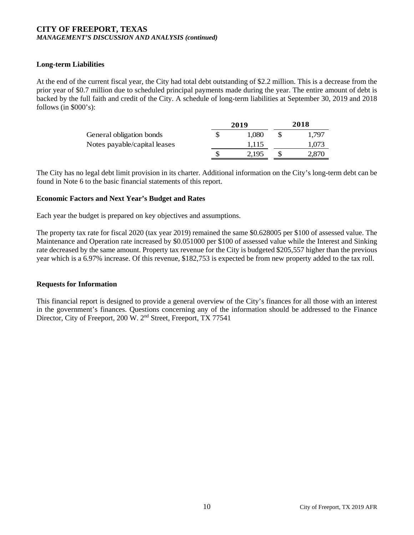# **Long-term Liabilities**

At the end of the current fiscal year, the City had total debt outstanding of \$2.2 million. This is a decrease from the prior year of \$0.7 million due to scheduled principal payments made during the year. The entire amount of debt is backed by the full faith and credit of the City. A schedule of long-term liabilities at September 30, 2019 and 2018 follows (in \$000's):

|                              |    | 2019  | 2018 |       |  |  |
|------------------------------|----|-------|------|-------|--|--|
| General obligation bonds     | \$ | 1.080 | S    | 1.797 |  |  |
| Notes payable/capital leases |    | 1.115 |      | 1.073 |  |  |
|                              | S  | 2.195 |      | 2.870 |  |  |

The City has no legal debt limit provision in its charter. Additional information on the City's long-term debt can be found in Note 6 to the basic financial statements of this report.

# **Economic Factors and Next Year's Budget and Rates**

Each year the budget is prepared on key objectives and assumptions.

The property tax rate for fiscal 2020 (tax year 2019) remained the same \$0.628005 per \$100 of assessed value. The Maintenance and Operation rate increased by \$0.051000 per \$100 of assessed value while the Interest and Sinking rate decreased by the same amount. Property tax revenue for the City is budgeted \$205,557 higher than the previous year which is a 6.97% increase. Of this revenue, \$182,753 is expected be from new property added to the tax roll.

# **Requests for Information**

This financial report is designed to provide a general overview of the City's finances for all those with an interest in the government's finances. Questions concerning any of the information should be addressed to the Finance Director, City of Freeport, 200 W. 2nd Street, Freeport, TX 77541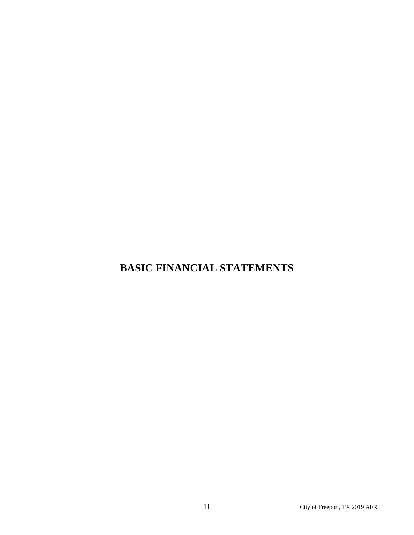# **BASIC FINANCIAL STATEMENTS**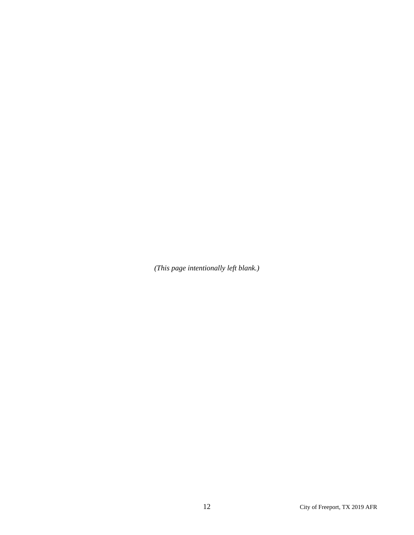*(This page intentionally left blank.)*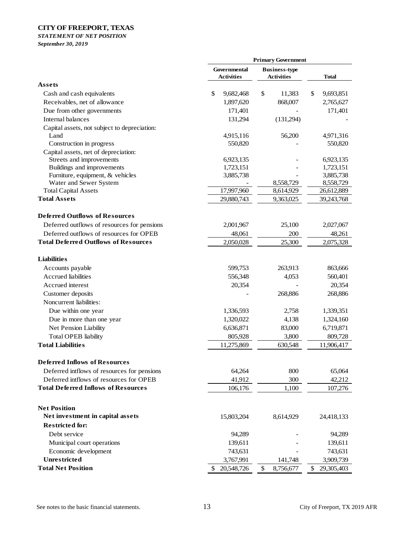*STATEMENT OF NET POSITION*

*September 30, 2019*

|                                               | <b>Primary Government</b>         |                                           |                            |
|-----------------------------------------------|-----------------------------------|-------------------------------------------|----------------------------|
|                                               | Governmental<br><b>Activities</b> | <b>Business-type</b><br><b>Activities</b> | <b>Total</b>               |
| Assets                                        |                                   |                                           |                            |
| Cash and cash equivalents                     | \$<br>9,682,468                   | \$<br>11,383                              | \$<br>9,693,851            |
| Receivables, net of allowance                 | 1,897,620                         | 868,007                                   | 2,765,627                  |
| Due from other governments                    | 171,401                           |                                           | 171,401                    |
| <b>Internal balances</b>                      | 131,294                           | (131,294)                                 |                            |
| Capital assets, not subject to depreciation:  |                                   |                                           |                            |
| Land                                          | 4,915,116                         | 56,200                                    | 4,971,316                  |
| Construction in progress                      | 550,820                           |                                           | 550,820                    |
| Capital assets, net of depreciation:          |                                   |                                           |                            |
| Streets and improvements                      | 6,923,135                         |                                           | 6,923,135                  |
| Buildings and improvements                    | 1,723,151                         |                                           | 1,723,151                  |
| Furniture, equipment, & vehicles              | 3,885,738                         |                                           | 3,885,738                  |
| Water and Sewer System                        |                                   | 8,558,729                                 | 8,558,729                  |
| <b>Total Capital Assets</b>                   | 17,997,960                        | 8,614,929                                 | 26,612,889                 |
| <b>Total Assets</b>                           | 29,880,743                        | 9,363,025                                 | 39,243,768                 |
| <b>Deferred Outflows of Resources</b>         |                                   |                                           |                            |
| Deferred outflows of resources for pensions   | 2,001,967                         | 25,100                                    | 2,027,067                  |
| Deferred outflows of resources for OPEB       | 48,061                            | 200                                       | 48,261                     |
| <b>Total Deferred Outflows of Resources</b>   | 2,050,028                         | 25,300                                    | 2,075,328                  |
| <b>Liabilities</b>                            |                                   |                                           |                            |
| Accounts payable                              | 599,753                           | 263,913                                   | 863,666                    |
| <b>Accrued</b> liabilities                    | 556,348                           | 4,053                                     | 560,401                    |
| Accrued interest                              | 20,354                            |                                           | 20,354                     |
| Customer deposits                             |                                   | 268,886                                   | 268,886                    |
| Noncurrent liabilities:                       |                                   |                                           |                            |
| Due within one year                           | 1,336,593                         | 2,758                                     | 1,339,351                  |
| Due in more than one year                     | 1,320,022                         | 4,138                                     | 1,324,160                  |
|                                               | 6,636,871                         |                                           | 6,719,871                  |
| Net Pension Liability<br>Total OPEB liability |                                   | 83,000<br>3,800                           |                            |
| <b>Total Liabilities</b>                      | 805,928                           |                                           | 809,728                    |
|                                               | 11,275,869                        | 630,548                                   | 11,906,417                 |
| <b>Deferred Inflows of Resources</b>          |                                   |                                           |                            |
| Deferred intflows of resources for pensions   | 64,264                            | 800                                       | 65,064                     |
| Deferred intflows of resources for OPEB       | 41,912                            | 300                                       | 42,212                     |
| <b>Total Deferred Inflows of Resources</b>    | 106,176                           | 1,100                                     | 107,276                    |
| <b>Net Position</b>                           |                                   |                                           |                            |
| Net investment in capital assets              | 15,803,204                        | 8,614,929                                 | 24,418,133                 |
| <b>Restricted for:</b>                        |                                   |                                           |                            |
| Debt service                                  | 94,289                            |                                           | 94,289                     |
| Municipal court operations                    | 139,611                           |                                           | 139,611                    |
| Economic development                          | 743,631                           |                                           | 743,631                    |
| Unrestricted                                  |                                   | 141,748                                   |                            |
| <b>Total Net Position</b>                     | 3,767,991<br>20,548,726<br>\$     | \$<br>8,756,677                           | 3,909,739<br>\$ 29,305,403 |
|                                               |                                   |                                           |                            |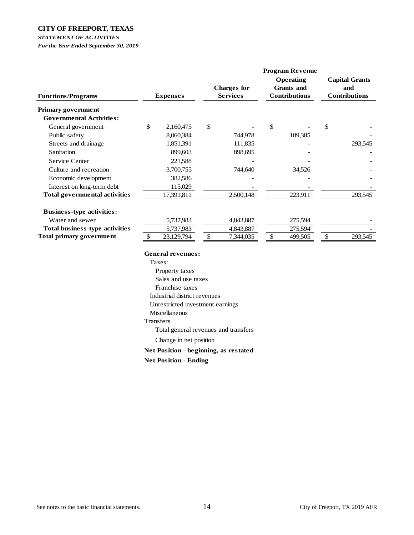# *STATEMENT OF ACTIVITIES*

*For the Year Ended September 30, 2019*

|                                  |                 |            |                                       | <b>Program Revenue</b>                                        |                                                      |         |
|----------------------------------|-----------------|------------|---------------------------------------|---------------------------------------------------------------|------------------------------------------------------|---------|
| <b>Functions/Programs</b>        | <b>Expenses</b> |            | <b>Charges for</b><br><b>Services</b> | <b>Operating</b><br><b>Grants</b> and<br><b>Contributions</b> | <b>Capital Grants</b><br>and<br><b>Contributions</b> |         |
| <b>Primary government</b>        |                 |            |                                       |                                                               |                                                      |         |
| <b>Governmental Activities:</b>  |                 |            |                                       |                                                               |                                                      |         |
| General government               | \$              | 2,160,475  | \$                                    | \$                                                            | \$                                                   |         |
| Public safety                    |                 | 8,060,384  | 744,978                               | 189,385                                                       |                                                      |         |
| Streets and drainage             |                 | 1,851,391  | 111,835                               |                                                               |                                                      | 293,545 |
| Sanitation                       |                 | 899,603    | 898,695                               |                                                               |                                                      |         |
| Service Center                   |                 | 221,588    |                                       |                                                               |                                                      |         |
| Culture and recreation           |                 | 3,700,755  | 744,640                               | 34,526                                                        |                                                      |         |
| Economic development             |                 | 382,586    |                                       |                                                               |                                                      |         |
| Interest on long-term debt       |                 | 115,029    |                                       |                                                               |                                                      |         |
| Total governmental activities    |                 | 17,391,811 | 2,500,148                             | 223,911                                                       |                                                      | 293,545 |
| <b>Business-type activities:</b> |                 |            |                                       |                                                               |                                                      |         |
| Water and sewer                  |                 | 5,737,983  | 4,843,887                             | 275,594                                                       |                                                      |         |
| Total business-type activities   |                 | 5,737,983  | 4,843,887                             | 275,594                                                       |                                                      |         |
| Total primary government         |                 | 23,129,794 | 7,344,035                             | 499,505                                                       |                                                      | 293,545 |
|                                  |                 |            |                                       |                                                               |                                                      |         |

**General revenues:**

Taxes:

Property taxes Sales and use taxes Franchise taxes Industrial district revenues Unrestricted investment earnings Miscellaneous Transfers Total general revenues and transfers Change in net position **Net Position - beginning, as restated**

**Net Position - Ending**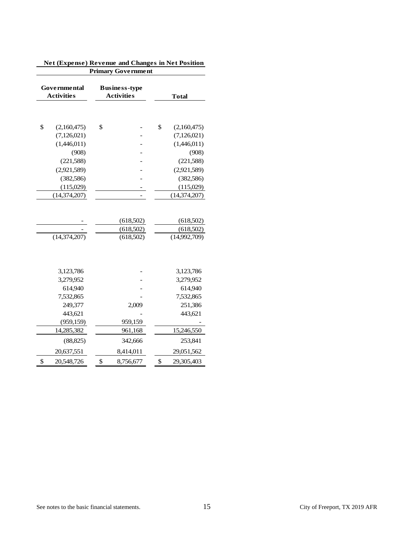| <b>Governmental</b><br><b>Activities</b> | <b>Business-type</b><br><b>Activities</b> | <b>Total</b>                             |
|------------------------------------------|-------------------------------------------|------------------------------------------|
| \$<br>(2,160,475)                        | \$                                        | \$<br>(2,160,475)                        |
| (7,126,021)                              |                                           | (7, 126, 021)                            |
| (1,446,011)                              |                                           | (1,446,011)                              |
| (908)                                    |                                           | (908)                                    |
| (221, 588)                               |                                           | (221, 588)                               |
| (2,921,589)                              |                                           | (2,921,589)                              |
| (382, 586)                               |                                           | (382, 586)                               |
| (115,029)                                |                                           | (115,029)                                |
| (14, 374, 207)                           |                                           | (14, 374, 207)                           |
| (14, 374, 207)                           | (618,502)<br>(618, 502)<br>(618,502)      | (618, 502)<br>(618, 502)<br>(14,992,709) |
| 3,123,786                                |                                           | 3,123,786                                |
| 3,279,952                                |                                           | 3,279,952                                |
| 614,940                                  |                                           | 614,940                                  |
| 7,532,865<br>249,377                     | 2,009                                     | 7,532,865<br>251,386                     |
| 443,621                                  |                                           | 443,621                                  |
| (959, 159)                               | 959,159                                   |                                          |
| 14,285,382                               | 961,168                                   | 15,246,550                               |
| (88, 825)                                | 342,666                                   | 253,841                                  |
| 20,637,551                               | 8,414,011                                 | 29,051,562                               |
| \$<br>20,548,726                         | \$<br>8,756,677                           | \$<br>29,305,403                         |

| Net (Expense) Revenue and Changes in Net Position |  |
|---------------------------------------------------|--|
| <b>Primary Government</b>                         |  |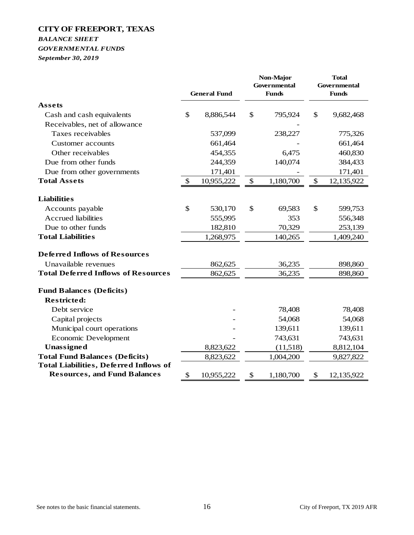# *BALANCE SHEET*

# *GOVERNMENTAL FUNDS*

*September 30, 2019*

|                                               | <b>General Fund</b> |            |        | Non-Major<br>Governmental<br><b>Funds</b> |               | <b>Total</b><br>Governmental<br><b>Funds</b> |
|-----------------------------------------------|---------------------|------------|--------|-------------------------------------------|---------------|----------------------------------------------|
| Assets                                        |                     |            |        |                                           |               |                                              |
| Cash and cash equivalents                     | \$                  | 8,886,544  | \$     | 795,924                                   | \$            | 9,682,468                                    |
| Receivables, net of allowance                 |                     |            |        |                                           |               |                                              |
| Taxes receivables                             |                     | 537,099    |        | 238,227                                   |               | 775,326                                      |
| Customer accounts                             |                     | 661,464    |        |                                           |               | 661,464                                      |
| Other receivables                             |                     | 454,355    |        | 6,475                                     |               | 460,830                                      |
| Due from other funds                          |                     | 244,359    |        | 140,074                                   |               | 384,433                                      |
| Due from other governments                    |                     | 171,401    |        |                                           |               | 171,401                                      |
| <b>Total Assets</b>                           | \$                  | 10,955,222 | $\$\,$ | 1,180,700                                 | \$            | 12,135,922                                   |
| <b>Liabilities</b>                            |                     |            |        |                                           |               |                                              |
| Accounts payable                              | \$                  | 530,170    | \$     | 69,583                                    | $\mathcal{S}$ | 599,753                                      |
| <b>Accrued liabilities</b>                    |                     | 555,995    |        | 353                                       |               | 556,348                                      |
| Due to other funds                            |                     | 182,810    |        | 70,329                                    |               | 253,139                                      |
| <b>Total Liabilities</b>                      |                     | 1,268,975  |        | 140,265                                   |               | 1,409,240                                    |
|                                               |                     |            |        |                                           |               |                                              |
| <b>Deferred Inflows of Resources</b>          |                     |            |        |                                           |               |                                              |
| Unavailable revenues                          |                     | 862,625    |        | 36,235                                    |               | 898,860                                      |
| <b>Total Deferred Inflows of Resources</b>    |                     | 862,625    |        | 36,235                                    |               | 898,860                                      |
| <b>Fund Balances (Deficits)</b>               |                     |            |        |                                           |               |                                              |
| <b>Restricted:</b>                            |                     |            |        |                                           |               |                                              |
| Debt service                                  |                     |            |        | 78,408                                    |               | 78,408                                       |
| Capital projects                              |                     |            |        | 54,068                                    |               | 54,068                                       |
| Municipal court operations                    |                     |            |        | 139,611                                   |               | 139,611                                      |
| Economic Development                          |                     |            |        | 743,631                                   |               | 743,631                                      |
| Unassigned                                    |                     | 8,823,622  |        | (11,518)                                  |               | 8,812,104                                    |
| <b>Total Fund Balances (Deficits)</b>         |                     | 8,823,622  |        | 1,004,200                                 |               | 9,827,822                                    |
| <b>Total Liabilities, Deferred Inflows of</b> |                     |            |        |                                           |               |                                              |
| <b>Resources, and Fund Balances</b>           | \$                  | 10,955,222 | \$     | 1,180,700                                 | \$            | 12,135,922                                   |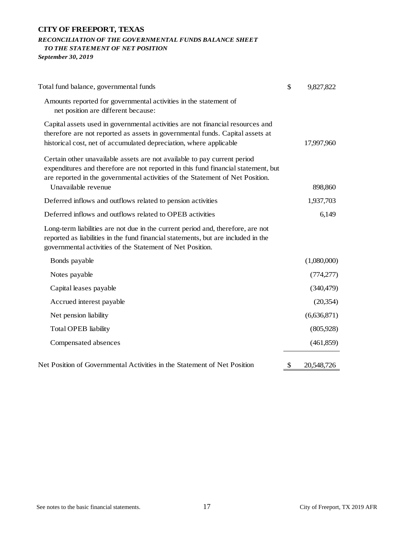#### *RECONCILIATION OF THE GOVERNMENTAL FUNDS BALANCE SHEET*

 *TO THE STATEMENT OF NET POSITION*

*September 30, 2019*

| Total fund balance, governmental funds                                                                                                                                                                                                         | \$<br>9,827,822  |
|------------------------------------------------------------------------------------------------------------------------------------------------------------------------------------------------------------------------------------------------|------------------|
| Amounts reported for governmental activities in the statement of<br>net position are different because:                                                                                                                                        |                  |
| Capital assets used in governmental activities are not financial resources and<br>therefore are not reported as assets in governmental funds. Capital assets at<br>historical cost, net of accumulated depreciation, where applicable          | 17,997,960       |
| Certain other unavailable assets are not available to pay current period<br>expenditures and therefore are not reported in this fund financial statement, but<br>are reported in the governmental activities of the Statement of Net Position. |                  |
| Unavailable revenue                                                                                                                                                                                                                            | 898,860          |
| Deferred inflows and outflows related to pension activities                                                                                                                                                                                    | 1,937,703        |
| Deferred inflows and outflows related to OPEB activities                                                                                                                                                                                       | 6,149            |
| Long-term liabilities are not due in the current period and, therefore, are not<br>reported as liabilities in the fund financial statements, but are included in the<br>governmental activities of the Statement of Net Position.              |                  |
| Bonds payable                                                                                                                                                                                                                                  | (1,080,000)      |
| Notes payable                                                                                                                                                                                                                                  | (774, 277)       |
| Capital leases payable                                                                                                                                                                                                                         | (340, 479)       |
| Accrued interest payable                                                                                                                                                                                                                       | (20, 354)        |
| Net pension liability                                                                                                                                                                                                                          | (6,636,871)      |
| <b>Total OPEB liability</b>                                                                                                                                                                                                                    | (805,928)        |
| Compensated absences                                                                                                                                                                                                                           | (461, 859)       |
| Net Position of Governmental Activities in the Statement of Net Position                                                                                                                                                                       | \$<br>20,548,726 |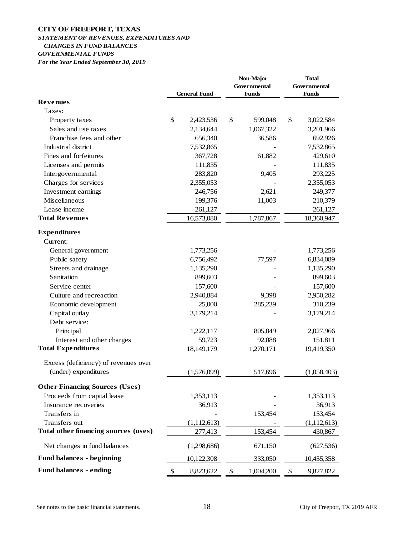# *STATEMENT OF REVENUES, EXPENDITURES AND*

 *CHANGES IN FUND BALANCES*

*GOVERNMENTAL FUNDS*

*For the Year Ended September 30, 2019*

|                                       |    |                     | <b>Non-Major</b><br>Governmental | <b>Total</b><br>Governmental |             |  |  |
|---------------------------------------|----|---------------------|----------------------------------|------------------------------|-------------|--|--|
| <b>Revenues</b>                       |    | <b>General Fund</b> | Funds                            |                              | Funds       |  |  |
|                                       |    |                     |                                  |                              |             |  |  |
| Taxes:                                | \$ |                     | \$                               | \$                           |             |  |  |
| Property taxes                        |    | 2,423,536           | 599,048                          |                              | 3,022,584   |  |  |
| Sales and use taxes                   |    | 2,134,644           | 1,067,322                        |                              | 3,201,966   |  |  |
| Franchise fees and other              |    | 656,340             | 36,586                           |                              | 692,926     |  |  |
| <b>Industrial district</b>            |    | 7,532,865           |                                  |                              | 7,532,865   |  |  |
| Fines and forfeitures                 |    | 367,728             | 61,882                           |                              | 429,610     |  |  |
| Licenses and permits                  |    | 111,835             |                                  |                              | 111,835     |  |  |
| Intergovernmental                     |    | 283,820             | 9,405                            |                              | 293,225     |  |  |
| Charges for services                  |    | 2,355,053           |                                  |                              | 2,355,053   |  |  |
| Investment earnings                   |    | 246,756             | 2,621                            |                              | 249,377     |  |  |
| Miscellaneous                         |    | 199,376             | 11,003                           |                              | 210,379     |  |  |
| Lease income                          |    | 261,127             |                                  |                              | 261,127     |  |  |
| <b>Total Revenues</b>                 |    | 16,573,080          | 1,787,867                        |                              | 18,360,947  |  |  |
| <b>Expenditures</b>                   |    |                     |                                  |                              |             |  |  |
| Current:                              |    |                     |                                  |                              |             |  |  |
| General government                    |    | 1,773,256           |                                  |                              | 1,773,256   |  |  |
| Public safety                         |    | 6,756,492           | 77,597                           |                              | 6,834,089   |  |  |
| Streets and drainage                  |    | 1,135,290           |                                  |                              | 1,135,290   |  |  |
| Sanitation                            |    | 899,603             |                                  |                              | 899,603     |  |  |
| Service center                        |    | 157,600             |                                  |                              | 157,600     |  |  |
| Culture and recreaction               |    | 2,940,884           | 9,398                            |                              | 2,950,282   |  |  |
| Economic development                  |    | 25,000              | 285,239                          |                              | 310,239     |  |  |
| Capital outlay                        |    | 3,179,214           |                                  |                              | 3,179,214   |  |  |
| Debt service:                         |    |                     |                                  |                              |             |  |  |
| Principal                             |    | 1,222,117           | 805,849                          |                              | 2,027,966   |  |  |
| Interest and other charges            |    | 59,723              | 92,088                           |                              | 151,811     |  |  |
| <b>Total Expenditures</b>             |    | 18,149,179          | 1,270,171                        |                              | 19,419,350  |  |  |
| Excess (deficiency) of revenues over  |    |                     |                                  |                              |             |  |  |
| (under) expenditures                  |    | (1,576,099)         | 517,696                          |                              | (1,058,403) |  |  |
| <b>Other Financing Sources (Uses)</b> |    |                     |                                  |                              |             |  |  |
| Proceeds from capital lease           |    | 1,353,113           |                                  |                              | 1,353,113   |  |  |
| Insurance recoveries                  |    | 36,913              |                                  |                              | 36,913      |  |  |
| Transfers in                          |    |                     | 153,454                          |                              | 153,454     |  |  |
| Transfers out                         |    | (1, 112, 613)       |                                  |                              | (1,112,613) |  |  |
| Total other financing sources (uses)  |    | 277,413             | 153,454                          |                              | 430,867     |  |  |
| Net changes in fund balances          |    | (1,298,686)         | 671,150                          |                              | (627, 536)  |  |  |
| <b>Fund balances - beginning</b>      |    | 10,122,308          | 333,050                          |                              | 10,455,358  |  |  |
| <b>Fund balances - ending</b>         | \$ | 8,823,622           | \$<br>1,004,200                  | \$                           | 9,827,822   |  |  |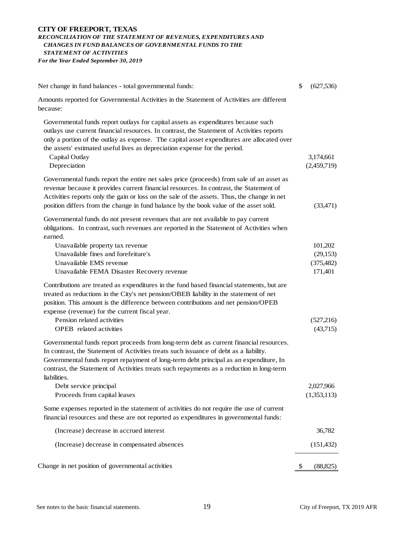#### **CITY OF FREEPORT, TEXAS** *RECONCILIATION OF THE STATEMENT OF REVENUES, EXPENDITURES AND CHANGES IN FUND BALANCES OF GOVERNMENTAL FUNDS TO THE STATEMENT OF ACTIVITIES For the Year Ended September 30, 2019*

| Net change in fund balances - total governmental funds:                                                                                                                                                                                                                                                                                                                              | \$<br>(627, 536)         |
|--------------------------------------------------------------------------------------------------------------------------------------------------------------------------------------------------------------------------------------------------------------------------------------------------------------------------------------------------------------------------------------|--------------------------|
| Amounts reported for Governmental Activities in the Statement of Activities are different<br>because:                                                                                                                                                                                                                                                                                |                          |
| Governmental funds report outlays for capital assets as expenditures because such<br>outlays use current financial resources. In contrast, the Statement of Activities reports<br>only a portion of the outlay as expense. The capital asset expenditures are allocated over<br>the assets' estimated useful lives as depreciation expense for the period.                           |                          |
| Capital Outlay<br>Depreciation                                                                                                                                                                                                                                                                                                                                                       | 3,174,661<br>(2,459,719) |
| Governmental funds report the entire net sales price (proceeds) from sale of an asset as<br>revenue because it provides current financial resources. In contrast, the Statement of<br>Activities reports only the gain or loss on the sale of the assets. Thus, the change in net<br>position differs from the change in fund balance by the book value of the asset sold.           | (33, 471)                |
| Governmental funds do not present revenues that are not available to pay current<br>obligations. In contrast, such revenues are reported in the Statement of Activities when<br>earned.                                                                                                                                                                                              |                          |
| Unavailable property tax revenue                                                                                                                                                                                                                                                                                                                                                     | 101,202                  |
| Unavailable fines and forefeiture's                                                                                                                                                                                                                                                                                                                                                  | (29,153)                 |
| Unavailable EMS revenue                                                                                                                                                                                                                                                                                                                                                              | (375, 482)               |
| Unavailable FEMA Disaster Recovery revenue                                                                                                                                                                                                                                                                                                                                           | 171,401                  |
| Contributions are treated as expenditures in the fund based financial statements, but are<br>treated as reductions in the City's net pension/OBEB liability in the statement of net<br>position. This amount is the difference between contributions and net pension/OPEB<br>expense (revenue) for the current fiscal year.                                                          |                          |
| Pension related activities                                                                                                                                                                                                                                                                                                                                                           | (527,216)                |
| <b>OPEB</b> related activities                                                                                                                                                                                                                                                                                                                                                       | (43,715)                 |
| Governmental funds report proceeds from long-term debt as current financial resources.<br>In contrast, the Statement of Activities treats such issuance of debt as a liability.<br>Governmental funds report repayment of long-term debt principal as an expenditure, In<br>contrast, the Statement of Activities treats such repayments as a reduction in long-term<br>liabilities. |                          |
| Debt service principal                                                                                                                                                                                                                                                                                                                                                               | 2,027,966                |
| Proceeds from capital leases                                                                                                                                                                                                                                                                                                                                                         | (1,353,113)              |
| Some expenses reported in the statement of activities do not require the use of current<br>financial resources and these are not reported as expenditures in governmental funds:                                                                                                                                                                                                     |                          |
| (Increase) decrease in accrued interest                                                                                                                                                                                                                                                                                                                                              | 36,782                   |
| (Increase) decrease in compensated absences                                                                                                                                                                                                                                                                                                                                          | (151, 432)               |
| Change in net position of governmental activities                                                                                                                                                                                                                                                                                                                                    | \$<br>(88, 825)          |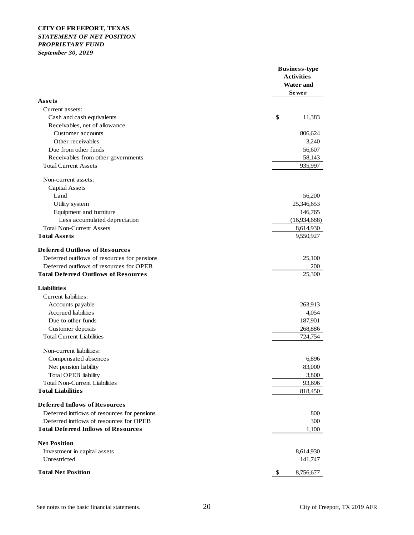#### *STATEMENT OF NET POSITION PROPRIETARY FUND*

*September 30, 2019*

|                                             | <b>Business-type</b><br><b>Activities</b><br>Water and |
|---------------------------------------------|--------------------------------------------------------|
|                                             | Sewer                                                  |
| Assets                                      |                                                        |
| Current assets:                             |                                                        |
| Cash and cash equivalents                   | \$<br>11,383                                           |
| Receivables, net of allowance               |                                                        |
| Customer accounts                           | 806,624                                                |
| Other receivables                           | 3,240                                                  |
| Due from other funds                        | 56,607                                                 |
| Receivables from other governments          | 58,143                                                 |
| <b>Total Current Assets</b>                 | 935,997                                                |
| Non-current assets:                         |                                                        |
| Capital Assets                              |                                                        |
| Land                                        | 56,200                                                 |
| Utility system                              | 25,346,653                                             |
| Equipment and furniture                     | 146,765                                                |
| Less accumulated depreciation               | (16,934,688)                                           |
| <b>Total Non-Current Assets</b>             | 8,614,930                                              |
| <b>Total Assets</b>                         | 9,550,927                                              |
| <b>Deferred Outflows of Resources</b>       |                                                        |
| Deferred outflows of resources for pensions | 25,100                                                 |
| Deferred outflows of resources for OPEB     | 200                                                    |
| <b>Total Deferred Outflows of Resources</b> | 25,300                                                 |
| <b>Liabilities</b>                          |                                                        |
| Current liabilities:                        |                                                        |
| Accounts payable                            | 263,913                                                |
| <b>Accrued liabilities</b>                  | 4,054                                                  |
| Due to other funds                          | 187,901                                                |
| Customer deposits                           | 268,886                                                |
| <b>Total Current Liabilities</b>            | 724,754                                                |
| Non-current liabilities:                    |                                                        |
| Compensated absences                        | 6,896                                                  |
| Net pension liability                       | 83,000                                                 |
| Total OPEB liability                        | 3,800                                                  |
| <b>Total Non-Current Liabilities</b>        | 93,696                                                 |
| <b>Total Liabilities</b>                    | 818,450                                                |
| <b>Deferred Inflows of Resources</b>        |                                                        |
| Deferred intflows of resources for pensions | 800                                                    |
| Deferred intflows of resources for OPEB     | 300                                                    |
| <b>Total Deferred Inflows of Resources</b>  | 1,100                                                  |
| <b>Net Position</b>                         |                                                        |
| Investment in capital assets                | 8,614,930                                              |
| Unrestricted                                | 141,747                                                |
| <b>Total Net Position</b>                   | \$<br>8,756,677                                        |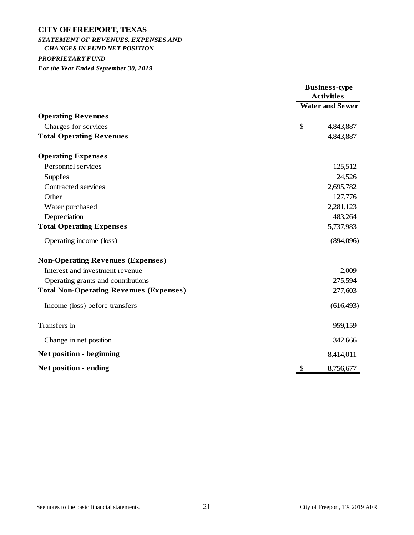## *STATEMENT OF REVENUES, EXPENSES AND*

 *CHANGES IN FUND NET POSITION*

# *PROPRIETARY FUND*

*For the Year Ended September 30, 2019*

|                                                | <b>Business-type</b><br><b>Activities</b> |
|------------------------------------------------|-------------------------------------------|
|                                                | <b>Water and Sewer</b>                    |
| <b>Operating Revenues</b>                      |                                           |
| Charges for services                           | $\mathcal{S}$<br>4,843,887                |
| <b>Total Operating Revenues</b>                | 4,843,887                                 |
| <b>Operating Expenses</b>                      |                                           |
| Personnel services                             | 125,512                                   |
| <b>Supplies</b>                                | 24,526                                    |
| Contracted services                            | 2,695,782                                 |
| Other                                          | 127,776                                   |
| Water purchased                                | 2,281,123                                 |
| Depreciation                                   | 483,264                                   |
| <b>Total Operating Expenses</b>                | 5,737,983                                 |
| Operating income (loss)                        | (894,096)                                 |
| <b>Non-Operating Revenues (Expenses)</b>       |                                           |
| Interest and investment revenue                | 2,009                                     |
| Operating grants and contributions             | 275,594                                   |
| <b>Total Non-Operating Revenues (Expenses)</b> | 277,603                                   |
| Income (loss) before transfers                 | (616, 493)                                |
| Transfers in                                   | 959,159                                   |
| Change in net position                         | 342,666                                   |
| Net position - beginning                       | 8,414,011                                 |
| Net position - ending                          | $\boldsymbol{\mathsf{S}}$<br>8,756,677    |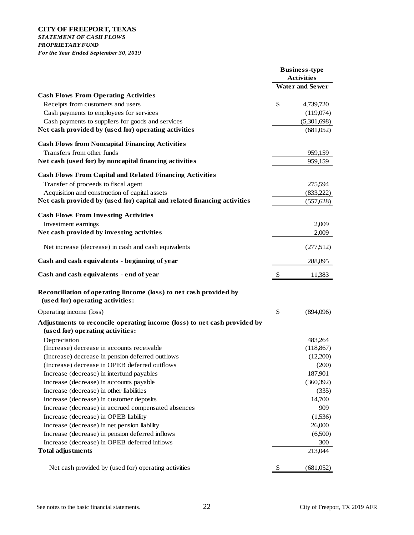#### *STATEMENT OF CASH FLOWS*

*PROPRIETARY FUND*

*For the Year Ended September 30, 2019*

|                                                                                                              | <b>Business-type</b><br><b>Activities</b> |                        |
|--------------------------------------------------------------------------------------------------------------|-------------------------------------------|------------------------|
|                                                                                                              |                                           | <b>Water and Sewer</b> |
| <b>Cash Flows From Operating Activities</b>                                                                  |                                           |                        |
| Receipts from customers and users                                                                            | \$                                        | 4,739,720              |
| Cash payments to employees for services                                                                      |                                           | (119,074)              |
| Cash payments to suppliers for goods and services                                                            |                                           | (5,301,698)            |
| Net cash provided by (used for) operating activities                                                         |                                           | (681,052)              |
| <b>Cash Flows from Noncapital Financing Activities</b>                                                       |                                           |                        |
| Transfers from other funds                                                                                   |                                           | 959,159                |
| Net cash (used for) by noncapital financing activities                                                       |                                           | 959,159                |
| <b>Cash Flows From Capital and Related Financing Activities</b>                                              |                                           |                        |
| Transfer of proceeds to fiscal agent                                                                         |                                           | 275,594                |
| Acquisition and construction of capital assets                                                               |                                           | (833,222)              |
| Net cash provided by (used for) capital and related financing activities                                     |                                           | (557, 628)             |
| <b>Cash Flows From Investing Activities</b>                                                                  |                                           |                        |
| Investment earnings                                                                                          |                                           | 2,009                  |
| Net cash provided by investing activities                                                                    |                                           | 2,009                  |
| Net increase (decrease) in cash and cash equivalents                                                         |                                           | (277,512)              |
| Cash and cash equivalents - beginning of year                                                                |                                           | 288,895                |
| Cash and cash equivalents - end of year                                                                      | \$                                        | 11,383                 |
| Reconciliation of operating lincome (loss) to net cash provided by<br>(used for) operating activities:       |                                           |                        |
| Operating income (loss)                                                                                      | \$                                        | (894,096)              |
| Adjustments to reconcile operating income (loss) to net cash provided by<br>(used for) operating activities: |                                           |                        |
| Depreciation                                                                                                 |                                           | 483,264                |
| (Increase) decrease in accounts receivable                                                                   |                                           | (118, 867)             |
| (Increase) decrease in pension deferred outflows                                                             |                                           | (12,200)               |
| (Increase) decrease in OPEB deferred outflows                                                                |                                           | (200)                  |
| Increase (decrease) in interfund payables                                                                    |                                           | 187,901                |
| Increase (decrease) in accounts payable                                                                      |                                           | (360, 392)             |
| Increase (decrease) in other liabilities                                                                     |                                           | (335)                  |
| Increase (decrease) in customer deposits                                                                     |                                           | 14,700                 |
| Increase (decrease) in accrued compensated absences                                                          |                                           | 909                    |
| Increase (decrease) in OPEB liability                                                                        |                                           | (1,536)                |
| Increase (decrease) in net pension liability                                                                 |                                           | 26,000                 |
| Increase (decrease) in pension deferred inflows                                                              |                                           | (6,500)                |
| Increase (decrease) in OPEB deferred inflows                                                                 |                                           | 300                    |
| Total adjustments                                                                                            |                                           | 213,044                |
| Net cash provided by (used for) operating activities                                                         | \$                                        | (681,052)              |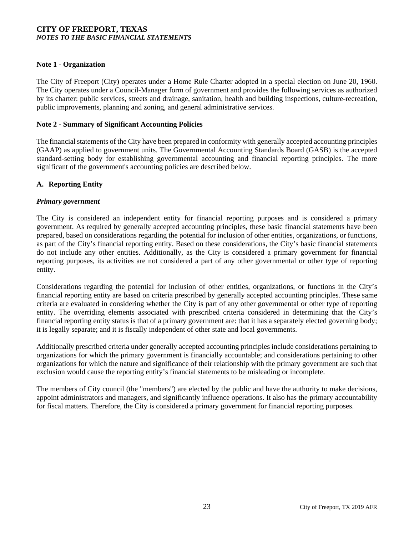# **CITY OF FREEPORT, TEXAS**  *NOTES TO THE BASIC FINANCIAL STATEMENTS*

# **Note 1 - Organization**

The City of Freeport (City) operates under a Home Rule Charter adopted in a special election on June 20, 1960. The City operates under a Council-Manager form of government and provides the following services as authorized by its charter: public services, streets and drainage, sanitation, health and building inspections, culture-recreation, public improvements, planning and zoning, and general administrative services.

#### **Note 2 - Summary of Significant Accounting Policies**

The financial statements of the City have been prepared in conformity with generally accepted accounting principles (GAAP) as applied to government units. The Governmental Accounting Standards Board (GASB) is the accepted standard-setting body for establishing governmental accounting and financial reporting principles. The more significant of the government's accounting policies are described below.

# **A. Reporting Entity**

#### *Primary government*

The City is considered an independent entity for financial reporting purposes and is considered a primary government. As required by generally accepted accounting principles, these basic financial statements have been prepared, based on considerations regarding the potential for inclusion of other entities, organizations, or functions, as part of the City's financial reporting entity. Based on these considerations, the City's basic financial statements do not include any other entities. Additionally, as the City is considered a primary government for financial reporting purposes, its activities are not considered a part of any other governmental or other type of reporting entity.

Considerations regarding the potential for inclusion of other entities, organizations, or functions in the City's financial reporting entity are based on criteria prescribed by generally accepted accounting principles. These same criteria are evaluated in considering whether the City is part of any other governmental or other type of reporting entity. The overriding elements associated with prescribed criteria considered in determining that the City's financial reporting entity status is that of a primary government are: that it has a separately elected governing body; it is legally separate; and it is fiscally independent of other state and local governments.

Additionally prescribed criteria under generally accepted accounting principles include considerations pertaining to organizations for which the primary government is financially accountable; and considerations pertaining to other organizations for which the nature and significance of their relationship with the primary government are such that exclusion would cause the reporting entity's financial statements to be misleading or incomplete.

The members of City council (the "members") are elected by the public and have the authority to make decisions, appoint administrators and managers, and significantly influence operations. It also has the primary accountability for fiscal matters. Therefore, the City is considered a primary government for financial reporting purposes.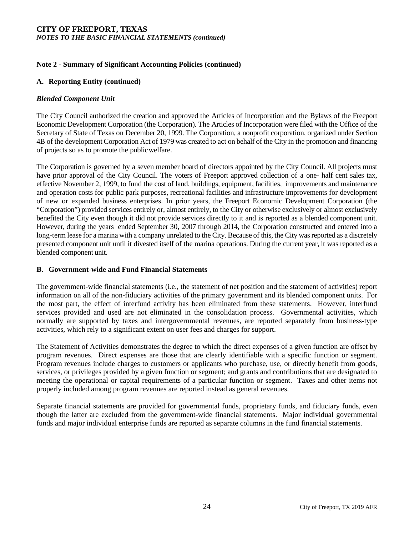#### **CITY OF FREEPORT, TEXAS**  *NOTES TO THE BASIC FINANCIAL STATEMENTS (continued)*

# **Note 2 - Summary of Significant Accounting Policies (continued)**

# **A. Reporting Entity (continued)**

# *Blended Component Unit*

The City Council authorized the creation and approved the Articles of Incorporation and the Bylaws of the Freeport Economic Development Corporation (the Corporation). The Articles of Incorporation were filed with the Office of the Secretary of State of Texas on December 20, 1999. The Corporation, a nonprofit corporation, organized under Section 4B of the development Corporation Act of 1979 was created to act on behalf of the City in the promotion and financing of projects so as to promote the public welfare.

The Corporation is governed by a seven member board of directors appointed by the City Council. All projects must have prior approval of the City Council. The voters of Freeport approved collection of a one- half cent sales tax, effective November 2, 1999, to fund the cost of land, buildings, equipment, facilities, improvements and maintenance and operation costs for public park purposes, recreational facilities and infrastructure improvements for development of new or expanded business enterprises. In prior years, the Freeport Economic Development Corporation (the "Corporation") provided services entirely or, almost entirely, to the City or otherwise exclusively or almost exclusively benefited the City even though it did not provide services directly to it and is reported as a blended component unit. However, during the years ended September 30, 2007 through 2014, the Corporation constructed and entered into a long-term lease for a marina with a company unrelated to the City. Because of this, the City was reported as a discretely presented component unit until it divested itself of the marina operations. During the current year, it was reported as a blended component unit.

# **B. Government-wide and Fund Financial Statements**

The government-wide financial statements (i.e., the statement of net position and the statement of activities) report information on all of the non-fiduciary activities of the primary government and its blended component units. For the most part, the effect of interfund activity has been eliminated from these statements. However, interfund services provided and used are not eliminated in the consolidation process. Governmental activities, which normally are supported by taxes and intergovernmental revenues, are reported separately from business-type activities, which rely to a significant extent on user fees and charges for support.

The Statement of Activities demonstrates the degree to which the direct expenses of a given function are offset by program revenues. Direct expenses are those that are clearly identifiable with a specific function or segment. Program revenues include charges to customers or applicants who purchase, use, or directly benefit from goods, services, or privileges provided by a given function or segment; and grants and contributions that are designated to meeting the operational or capital requirements of a particular function or segment. Taxes and other items not properly included among program revenues are reported instead as general revenues.

Separate financial statements are provided for governmental funds, proprietary funds, and fiduciary funds, even though the latter are excluded from the government-wide financial statements. Major individual governmental funds and major individual enterprise funds are reported as separate columns in the fund financial statements.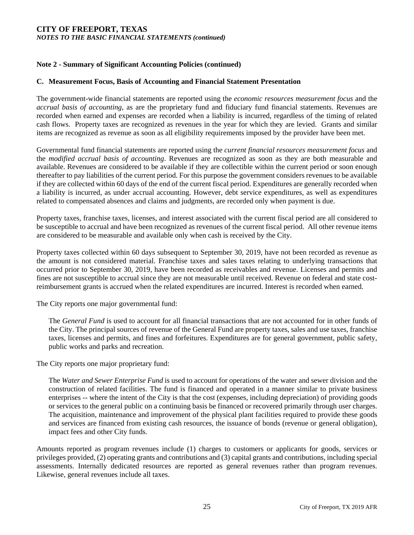*NOTES TO THE BASIC FINANCIAL STATEMENTS (continued)* 

# **Note 2 - Summary of Significant Accounting Policies (continued)**

# **C. Measurement Focus, Basis of Accounting and Financial Statement Presentation**

The government-wide financial statements are reported using the *economic resources measurement focus* and the *accrual basis of accounting*, as are the proprietary fund and fiduciary fund financial statements. Revenues are recorded when earned and expenses are recorded when a liability is incurred, regardless of the timing of related cash flows. Property taxes are recognized as revenues in the year for which they are levied. Grants and similar items are recognized as revenue as soon as all eligibility requirements imposed by the provider have been met.

Governmental fund financial statements are reported using the *current financial resources measurement focus* and the *modified accrual basis of accounting*. Revenues are recognized as soon as they are both measurable and available. Revenues are considered to be available if they are collectible within the current period or soon enough thereafter to pay liabilities of the current period. For this purpose the government considers revenues to be available if they are collected within 60 days of the end of the current fiscal period. Expenditures are generally recorded when a liability is incurred, as under accrual accounting. However, debt service expenditures, as well as expenditures related to compensated absences and claims and judgments, are recorded only when payment is due.

Property taxes, franchise taxes, licenses, and interest associated with the current fiscal period are all considered to be susceptible to accrual and have been recognized as revenues of the current fiscal period. All other revenue items are considered to be measurable and available only when cash is received by the City.

Property taxes collected within 60 days subsequent to September 30, 2019, have not been recorded as revenue as the amount is not considered material. Franchise taxes and sales taxes relating to underlying transactions that occurred prior to September 30, 2019, have been recorded as receivables and revenue. Licenses and permits and fines are not susceptible to accrual since they are not measurable until received. Revenue on federal and state costreimbursement grants is accrued when the related expenditures are incurred. Interest is recorded when earned.

The City reports one major governmental fund:

The *General Fund* is used to account for all financial transactions that are not accounted for in other funds of the City. The principal sources of revenue of the General Fund are property taxes, sales and use taxes, franchise taxes, licenses and permits, and fines and forfeitures. Expenditures are for general government, public safety, public works and parks and recreation.

The City reports one major proprietary fund:

The *Water and Sewer Enterprise Fund* is used to account for operations of the water and sewer division and the construction of related facilities. The fund is financed and operated in a manner similar to private business enterprises -- where the intent of the City is that the cost (expenses, including depreciation) of providing goods or services to the general public on a continuing basis be financed or recovered primarily through user charges. The acquisition, maintenance and improvement of the physical plant facilities required to provide these goods and services are financed from existing cash resources, the issuance of bonds (revenue or general obligation), impact fees and other City funds.

Amounts reported as program revenues include (1) charges to customers or applicants for goods, services or privileges provided, (2) operating grants and contributions and (3) capital grants and contributions, including special assessments. Internally dedicated resources are reported as general revenues rather than program revenues. Likewise, general revenues include all taxes.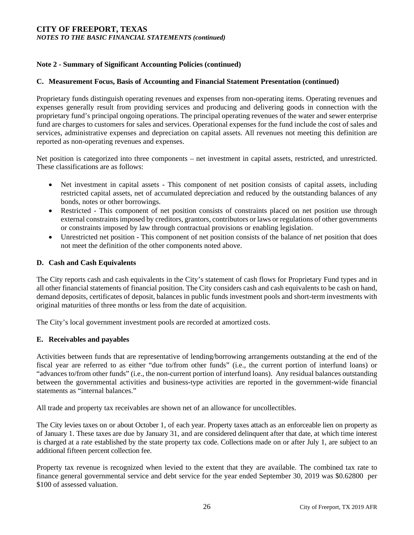*NOTES TO THE BASIC FINANCIAL STATEMENTS (continued)* 

# **Note 2 - Summary of Significant Accounting Policies (continued)**

# **C. Measurement Focus, Basis of Accounting and Financial Statement Presentation (continued)**

Proprietary funds distinguish operating revenues and expenses from non-operating items. Operating revenues and expenses generally result from providing services and producing and delivering goods in connection with the proprietary fund's principal ongoing operations. The principal operating revenues of the water and sewer enterprise fund are charges to customers for sales and services. Operational expenses for the fund include the cost of sales and services, administrative expenses and depreciation on capital assets. All revenues not meeting this definition are reported as non-operating revenues and expenses.

Net position is categorized into three components – net investment in capital assets, restricted, and unrestricted. These classifications are as follows:

- Net investment in capital assets This component of net position consists of capital assets, including restricted capital assets, net of accumulated depreciation and reduced by the outstanding balances of any bonds, notes or other borrowings.
- Restricted This component of net position consists of constraints placed on net position use through external constraints imposed by creditors, grantors, contributors or laws or regulations of other governments or constraints imposed by law through contractual provisions or enabling legislation.
- Unrestricted net position This component of net position consists of the balance of net position that does not meet the definition of the other components noted above.

# **D. Cash and Cash Equivalents**

The City reports cash and cash equivalents in the City's statement of cash flows for Proprietary Fund types and in all other financial statements of financial position. The City considers cash and cash equivalents to be cash on hand, demand deposits, certificates of deposit, balances in public funds investment pools and short-term investments with original maturities of three months or less from the date of acquisition.

The City's local government investment pools are recorded at amortized costs.

# **E. Receivables and payables**

Activities between funds that are representative of lending/borrowing arrangements outstanding at the end of the fiscal year are referred to as either "due to/from other funds" (i.e., the current portion of interfund loans) or "advances to/from other funds" (i.e., the non-current portion of interfund loans). Any residual balances outstanding between the governmental activities and business-type activities are reported in the government-wide financial statements as "internal balances."

All trade and property tax receivables are shown net of an allowance for uncollectibles.

The City levies taxes on or about October 1, of each year. Property taxes attach as an enforceable lien on property as of January 1. These taxes are due by January 31, and are considered delinquent after that date, at which time interest is charged at a rate established by the state property tax code. Collections made on or after July 1, are subject to an additional fifteen percent collection fee.

Property tax revenue is recognized when levied to the extent that they are available. The combined tax rate to finance general governmental service and debt service for the year ended September 30, 2019 was \$0.62800 per \$100 of assessed valuation.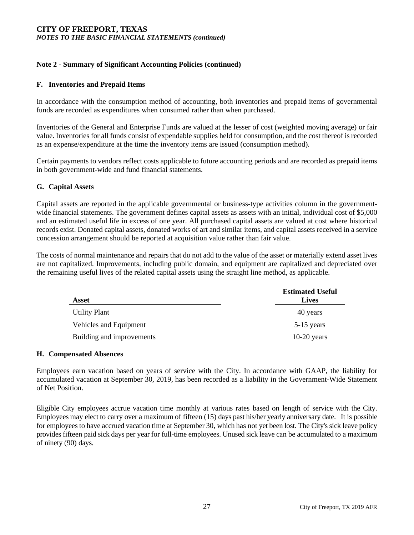#### **CITY OF FREEPORT, TEXAS**  *NOTES TO THE BASIC FINANCIAL STATEMENTS (continued)*

# **Note 2 - Summary of Significant Accounting Policies (continued)**

# **F. Inventories and Prepaid Items**

In accordance with the consumption method of accounting, both inventories and prepaid items of governmental funds are recorded as expenditures when consumed rather than when purchased.

Inventories of the General and Enterprise Funds are valued at the lesser of cost (weighted moving average) or fair value. Inventories for all funds consist of expendable supplies held for consumption, and the cost thereof is recorded as an expense/expenditure at the time the inventory items are issued (consumption method).

Certain payments to vendors reflect costs applicable to future accounting periods and are recorded as prepaid items in both government-wide and fund financial statements.

#### **G. Capital Assets**

Capital assets are reported in the applicable governmental or business-type activities column in the governmentwide financial statements. The government defines capital assets as assets with an initial, individual cost of \$5,000 and an estimated useful life in excess of one year. All purchased capital assets are valued at cost where historical records exist. Donated capital assets, donated works of art and similar items, and capital assets received in a service concession arrangement should be reported at acquisition value rather than fair value.

The costs of normal maintenance and repairs that do not add to the value of the asset or materially extend asset lives are not capitalized. Improvements, including public domain, and equipment are capitalized and depreciated over the remaining useful lives of the related capital assets using the straight line method, as applicable.

| Asset                     | <b>Estimated Useful</b><br><b>Lives</b> |
|---------------------------|-----------------------------------------|
| <b>Utility Plant</b>      | 40 years                                |
| Vehicles and Equipment    | $5-15$ years                            |
| Building and improvements | $10-20$ years                           |

#### **H. Compensated Absences**

Employees earn vacation based on years of service with the City. In accordance with GAAP, the liability for accumulated vacation at September 30, 2019, has been recorded as a liability in the Government-Wide Statement of Net Position.

Eligible City employees accrue vacation time monthly at various rates based on length of service with the City. Employees may elect to carry over a maximum of fifteen (15) days past his/her yearly anniversary date. It is possible for employees to have accrued vacation time at September 30, which has not yet been lost. The City's sick leave policy provides fifteen paid sick days per year for full-time employees. Unused sick leave can be accumulated to a maximum of ninety (90) days.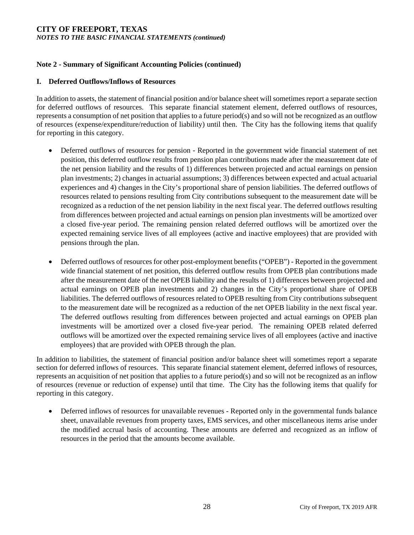#### **CITY OF FREEPORT, TEXAS**  *NOTES TO THE BASIC FINANCIAL STATEMENTS (continued)*

# **Note 2 - Summary of Significant Accounting Policies (continued)**

# **I. Deferred Outflows/Inflows of Resources**

In addition to assets, the statement of financial position and/or balance sheet will sometimes report a separate section for deferred outflows of resources. This separate financial statement element, deferred outflows of resources, represents a consumption of net position that applies to a future period(s) and so will not be recognized as an outflow of resources (expense/expenditure/reduction of liability) until then. The City has the following items that qualify for reporting in this category.

- Deferred outflows of resources for pension Reported in the government wide financial statement of net position, this deferred outflow results from pension plan contributions made after the measurement date of the net pension liability and the results of 1) differences between projected and actual earnings on pension plan investments; 2) changes in actuarial assumptions; 3) differences between expected and actual actuarial experiences and 4) changes in the City's proportional share of pension liabilities. The deferred outflows of resources related to pensions resulting from City contributions subsequent to the measurement date will be recognized as a reduction of the net pension liability in the next fiscal year. The deferred outflows resulting from differences between projected and actual earnings on pension plan investments will be amortized over a closed five-year period. The remaining pension related deferred outflows will be amortized over the expected remaining service lives of all employees (active and inactive employees) that are provided with pensions through the plan.
- Deferred outflows of resources for other post-employment benefits ("OPEB") Reported in the government wide financial statement of net position, this deferred outflow results from OPEB plan contributions made after the measurement date of the net OPEB liability and the results of 1) differences between projected and actual earnings on OPEB plan investments and 2) changes in the City's proportional share of OPEB liabilities. The deferred outflows of resources related to OPEB resulting from City contributions subsequent to the measurement date will be recognized as a reduction of the net OPEB liability in the next fiscal year. The deferred outflows resulting from differences between projected and actual earnings on OPEB plan investments will be amortized over a closed five-year period. The remaining OPEB related deferred outflows will be amortized over the expected remaining service lives of all employees (active and inactive employees) that are provided with OPEB through the plan.

In addition to liabilities, the statement of financial position and/or balance sheet will sometimes report a separate section for deferred inflows of resources. This separate financial statement element, deferred inflows of resources, represents an acquisition of net position that applies to a future period(s) and so will not be recognized as an inflow of resources (revenue or reduction of expense) until that time. The City has the following items that qualify for reporting in this category.

 Deferred inflows of resources for unavailable revenues - Reported only in the governmental funds balance sheet, unavailable revenues from property taxes, EMS services, and other miscellaneous items arise under the modified accrual basis of accounting. These amounts are deferred and recognized as an inflow of resources in the period that the amounts become available.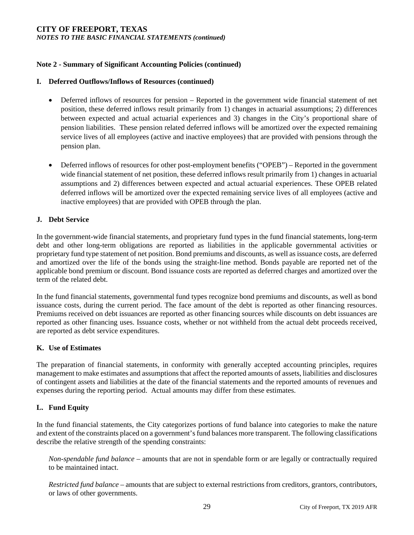*NOTES TO THE BASIC FINANCIAL STATEMENTS (continued)* 

# **Note 2 - Summary of Significant Accounting Policies (continued)**

# **I. Deferred Outflows/Inflows of Resources (continued)**

- Deferred inflows of resources for pension Reported in the government wide financial statement of net position, these deferred inflows result primarily from 1) changes in actuarial assumptions; 2) differences between expected and actual actuarial experiences and 3) changes in the City's proportional share of pension liabilities. These pension related deferred inflows will be amortized over the expected remaining service lives of all employees (active and inactive employees) that are provided with pensions through the pension plan.
- Deferred inflows of resources for other post-employment benefits ("OPEB") Reported in the government wide financial statement of net position, these deferred inflows result primarily from 1) changes in actuarial assumptions and 2) differences between expected and actual actuarial experiences. These OPEB related deferred inflows will be amortized over the expected remaining service lives of all employees (active and inactive employees) that are provided with OPEB through the plan.

# **J. Debt Service**

In the government-wide financial statements, and proprietary fund types in the fund financial statements, long-term debt and other long-term obligations are reported as liabilities in the applicable governmental activities or proprietary fund type statement of net position. Bond premiums and discounts, as well as issuance costs, are deferred and amortized over the life of the bonds using the straight-line method. Bonds payable are reported net of the applicable bond premium or discount. Bond issuance costs are reported as deferred charges and amortized over the term of the related debt.

In the fund financial statements, governmental fund types recognize bond premiums and discounts, as well as bond issuance costs, during the current period. The face amount of the debt is reported as other financing resources. Premiums received on debt issuances are reported as other financing sources while discounts on debt issuances are reported as other financing uses. Issuance costs, whether or not withheld from the actual debt proceeds received, are reported as debt service expenditures.

# **K. Use of Estimates**

The preparation of financial statements, in conformity with generally accepted accounting principles, requires management to make estimates and assumptions that affect the reported amounts of assets, liabilities and disclosures of contingent assets and liabilities at the date of the financial statements and the reported amounts of revenues and expenses during the reporting period. Actual amounts may differ from these estimates.

# **L. Fund Equity**

In the fund financial statements, the City categorizes portions of fund balance into categories to make the nature and extent of the constraints placed on a government's fund balances more transparent. The following classifications describe the relative strength of the spending constraints:

*Non-spendable fund balance* – amounts that are not in spendable form or are legally or contractually required to be maintained intact.

*Restricted fund balance* – amounts that are subject to external restrictions from creditors, grantors, contributors, or laws of other governments.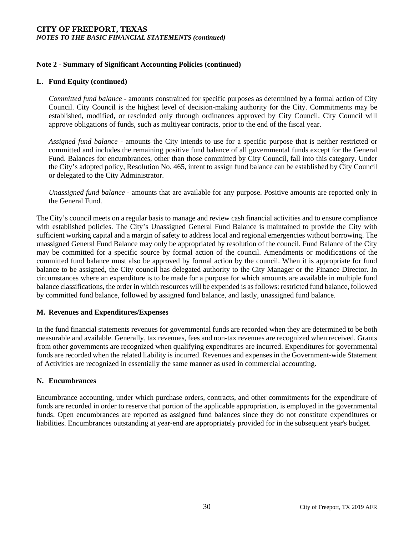*NOTES TO THE BASIC FINANCIAL STATEMENTS (continued)* 

# **Note 2 - Summary of Significant Accounting Policies (continued)**

# **L. Fund Equity (continued)**

*Committed fund balance -* amounts constrained for specific purposes as determined by a formal action of City Council. City Council is the highest level of decision-making authority for the City. Commitments may be established, modified, or rescinded only through ordinances approved by City Council. City Council will approve obligations of funds, such as multiyear contracts, prior to the end of the fiscal year.

*Assigned fund balance -* amounts the City intends to use for a specific purpose that is neither restricted or committed and includes the remaining positive fund balance of all governmental funds except for the General Fund. Balances for encumbrances, other than those committed by City Council, fall into this category. Under the City's adopted policy, Resolution No. 465, intent to assign fund balance can be established by City Council or delegated to the City Administrator.

*Unassigned fund balance -* amounts that are available for any purpose. Positive amounts are reported only in the General Fund.

The City's council meets on a regular basis to manage and review cash financial activities and to ensure compliance with established policies. The City's Unassigned General Fund Balance is maintained to provide the City with sufficient working capital and a margin of safety to address local and regional emergencies without borrowing. The unassigned General Fund Balance may only be appropriated by resolution of the council. Fund Balance of the City may be committed for a specific source by formal action of the council. Amendments or modifications of the committed fund balance must also be approved by formal action by the council. When it is appropriate for fund balance to be assigned, the City council has delegated authority to the City Manager or the Finance Director. In circumstances where an expenditure is to be made for a purpose for which amounts are available in multiple fund balance classifications, the order in which resources will be expended is as follows: restricted fund balance, followed by committed fund balance, followed by assigned fund balance, and lastly, unassigned fund balance.

# **M. Revenues and Expenditures/Expenses**

In the fund financial statements revenues for governmental funds are recorded when they are determined to be both measurable and available. Generally, tax revenues, fees and non-tax revenues are recognized when received. Grants from other governments are recognized when qualifying expenditures are incurred. Expenditures for governmental funds are recorded when the related liability is incurred. Revenues and expenses in the Government-wide Statement of Activities are recognized in essentially the same manner as used in commercial accounting.

# **N. Encumbrances**

Encumbrance accounting, under which purchase orders, contracts, and other commitments for the expenditure of funds are recorded in order to reserve that portion of the applicable appropriation, is employed in the governmental funds. Open encumbrances are reported as assigned fund balances since they do not constitute expenditures or liabilities. Encumbrances outstanding at year-end are appropriately provided for in the subsequent year's budget.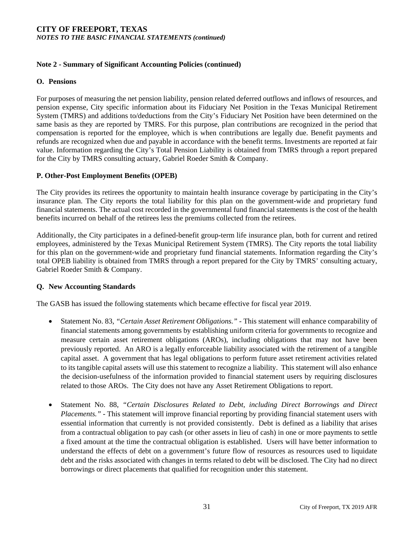*NOTES TO THE BASIC FINANCIAL STATEMENTS (continued)* 

# **Note 2 - Summary of Significant Accounting Policies (continued)**

## **O. Pensions**

For purposes of measuring the net pension liability, pension related deferred outflows and inflows of resources, and pension expense, City specific information about its Fiduciary Net Position in the Texas Municipal Retirement System (TMRS) and additions to/deductions from the City's Fiduciary Net Position have been determined on the same basis as they are reported by TMRS. For this purpose, plan contributions are recognized in the period that compensation is reported for the employee, which is when contributions are legally due. Benefit payments and refunds are recognized when due and payable in accordance with the benefit terms. Investments are reported at fair value. Information regarding the City's Total Pension Liability is obtained from TMRS through a report prepared for the City by TMRS consulting actuary, Gabriel Roeder Smith & Company.

#### **P. Other-Post Employment Benefits (OPEB)**

The City provides its retirees the opportunity to maintain health insurance coverage by participating in the City's insurance plan. The City reports the total liability for this plan on the government-wide and proprietary fund financial statements. The actual cost recorded in the governmental fund financial statements is the cost of the health benefits incurred on behalf of the retirees less the premiums collected from the retirees.

Additionally, the City participates in a defined-benefit group-term life insurance plan, both for current and retired employees, administered by the Texas Municipal Retirement System (TMRS). The City reports the total liability for this plan on the government-wide and proprietary fund financial statements. Information regarding the City's total OPEB liability is obtained from TMRS through a report prepared for the City by TMRS' consulting actuary, Gabriel Roeder Smith & Company.

# **Q. New Accounting Standards**

The GASB has issued the following statements which became effective for fiscal year 2019.

- Statement No. 83, *"Certain Asset Retirement Obligations."*  This statement will enhance comparability of financial statements among governments by establishing uniform criteria for governments to recognize and measure certain asset retirement obligations (AROs), including obligations that may not have been previously reported. An ARO is a legally enforceable liability associated with the retirement of a tangible capital asset. A government that has legal obligations to perform future asset retirement activities related to its tangible capital assets will use this statement to recognize a liability. This statement will also enhance the decision-usefulness of the information provided to financial statement users by requiring disclosures related to those AROs. The City does not have any Asset Retirement Obligations to report.
- Statement No. 88, *"Certain Disclosures Related to Debt, including Direct Borrowings and Direct Placements."* - This statement will improve financial reporting by providing financial statement users with essential information that currently is not provided consistently. Debt is defined as a liability that arises from a contractual obligation to pay cash (or other assets in lieu of cash) in one or more payments to settle a fixed amount at the time the contractual obligation is established. Users will have better information to understand the effects of debt on a government's future flow of resources as resources used to liquidate debt and the risks associated with changes in terms related to debt will be disclosed. The City had no direct borrowings or direct placements that qualified for recognition under this statement.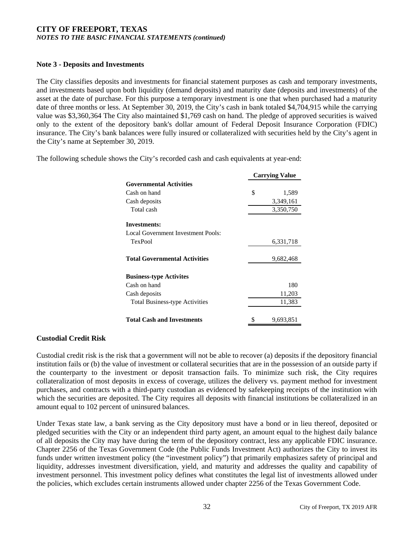# **CITY OF FREEPORT, TEXAS**  *NOTES TO THE BASIC FINANCIAL STATEMENTS (continued)*

# **Note 3 - Deposits and Investments**

The City classifies deposits and investments for financial statement purposes as cash and temporary investments, and investments based upon both liquidity (demand deposits) and maturity date (deposits and investments) of the asset at the date of purchase. For this purpose a temporary investment is one that when purchased had a maturity date of three months or less. At September 30, 2019, the City's cash in bank totaled \$4,704,915 while the carrying value was \$3,360,364 The City also maintained \$1,769 cash on hand. The pledge of approved securities is waived only to the extent of the depository bank's dollar amount of Federal Deposit Insurance Corporation (FDIC) insurance. The City's bank balances were fully insured or collateralized with securities held by the City's agent in the City's name at September 30, 2019.

The following schedule shows the City's recorded cash and cash equivalents at year-end:

|                                       | <b>Carrying Value</b> |  |
|---------------------------------------|-----------------------|--|
| <b>Governmental Activities</b>        |                       |  |
| Cash on hand                          | \$<br>1,589           |  |
| Cash deposits                         | 3,349,161             |  |
| Total cash                            | 3,350,750             |  |
| <b>Investments:</b>                   |                       |  |
| Local Government Investment Pools:    |                       |  |
| TexPool                               | 6,331,718             |  |
| <b>Total Governmental Activities</b>  | 9,682,468             |  |
| <b>Business-type Activites</b>        |                       |  |
| Cash on hand                          | 180                   |  |
| Cash deposits                         | 11,203                |  |
| <b>Total Business-type Activities</b> | 11,383                |  |
| <b>Total Cash and Investments</b>     | \$<br>9,693,851       |  |

# **Custodial Credit Risk**

Custodial credit risk is the risk that a government will not be able to recover (a) deposits if the depository financial institution fails or (b) the value of investment or collateral securities that are in the possession of an outside party if the counterparty to the investment or deposit transaction fails. To minimize such risk, the City requires collateralization of most deposits in excess of coverage, utilizes the delivery vs. payment method for investment purchases, and contracts with a third-party custodian as evidenced by safekeeping receipts of the institution with which the securities are deposited. The City requires all deposits with financial institutions be collateralized in an amount equal to 102 percent of uninsured balances.

Under Texas state law, a bank serving as the City depository must have a bond or in lieu thereof, deposited or pledged securities with the City or an independent third party agent, an amount equal to the highest daily balance of all deposits the City may have during the term of the depository contract, less any applicable FDIC insurance. Chapter 2256 of the Texas Government Code (the Public Funds Investment Act) authorizes the City to invest its funds under written investment policy (the "investment policy") that primarily emphasizes safety of principal and liquidity, addresses investment diversification, yield, and maturity and addresses the quality and capability of investment personnel. This investment policy defines what constitutes the legal list of investments allowed under the policies, which excludes certain instruments allowed under chapter 2256 of the Texas Government Code.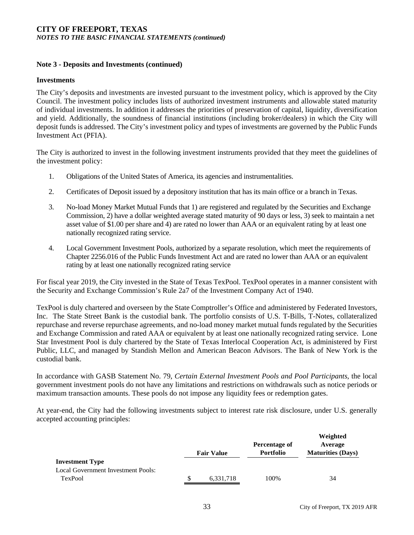#### **Note 3 - Deposits and Investments (continued)**

#### **Investments**

The City's deposits and investments are invested pursuant to the investment policy, which is approved by the City Council. The investment policy includes lists of authorized investment instruments and allowable stated maturity of individual investments. In addition it addresses the priorities of preservation of capital, liquidity, diversification and yield. Additionally, the soundness of financial institutions (including broker/dealers) in which the City will deposit funds is addressed. The City's investment policy and types of investments are governed by the Public Funds Investment Act (PFIA).

The City is authorized to invest in the following investment instruments provided that they meet the guidelines of the investment policy:

- 1. Obligations of the United States of America, its agencies and instrumentalities.
- 2. Certificates of Deposit issued by a depository institution that has its main office or a branch in Texas.
- 3. No-load Money Market Mutual Funds that 1) are registered and regulated by the Securities and Exchange Commission, 2) have a dollar weighted average stated maturity of 90 days or less, 3) seek to maintain a net asset value of \$1.00 per share and 4) are rated no lower than AAA or an equivalent rating by at least one nationally recognized rating service.
- 4. Local Government Investment Pools, authorized by a separate resolution, which meet the requirements of Chapter 2256.016 of the Public Funds Investment Act and are rated no lower than AAA or an equivalent rating by at least one nationally recognized rating service

For fiscal year 2019, the City invested in the State of Texas TexPool. TexPool operates in a manner consistent with the Security and Exchange Commission's Rule 2a7 of the Investment Company Act of 1940.

TexPool is duly chartered and overseen by the State Comptroller's Office and administered by Federated Investors, Inc. The State Street Bank is the custodial bank. The portfolio consists of U.S. T-Bills, T-Notes, collateralized repurchase and reverse repurchase agreements, and no-load money market mutual funds regulated by the Securities and Exchange Commission and rated AAA or equivalent by at least one nationally recognized rating service. Lone Star Investment Pool is duly chartered by the State of Texas Interlocal Cooperation Act, is administered by First Public, LLC, and managed by Standish Mellon and American Beacon Advisors. The Bank of New York is the custodial bank.

In accordance with GASB Statement No. 79, *Certain External Investment Pools and Pool Participants*, the local government investment pools do not have any limitations and restrictions on withdrawals such as notice periods or maximum transaction amounts. These pools do not impose any liquidity fees or redemption gates.

At year-end, the City had the following investments subject to interest rate risk disclosure, under U.S. generally accepted accounting principles:

|                                    |                   |                                   | Weighted                            |
|------------------------------------|-------------------|-----------------------------------|-------------------------------------|
|                                    | <b>Fair Value</b> | Percentage of<br><b>Portfolio</b> | Average<br><b>Maturities (Days)</b> |
| <b>Investment Type</b>             |                   |                                   |                                     |
| Local Government Investment Pools: |                   |                                   |                                     |
| <b>TexPool</b>                     | 6,331,718         | 100%                              | 34                                  |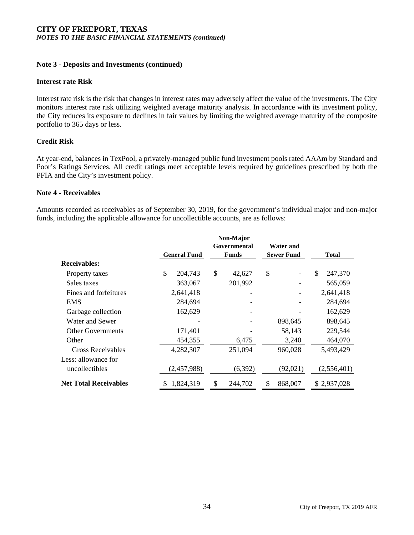#### **Note 3 - Deposits and Investments (continued)**

#### **Interest rate Risk**

Interest rate risk is the risk that changes in interest rates may adversely affect the value of the investments. The City monitors interest rate risk utilizing weighted average maturity analysis. In accordance with its investment policy, the City reduces its exposure to declines in fair values by limiting the weighted average maturity of the composite portfolio to 365 days or less.

#### **Credit Risk**

At year-end, balances in TexPool, a privately-managed public fund investment pools rated AAAm by Standard and Poor's Ratings Services. All credit ratings meet acceptable levels required by guidelines prescribed by both the PFIA and the City's investment policy.

#### **Note 4 - Receivables**

Amounts recorded as receivables as of September 30, 2019, for the government's individual major and non-major funds, including the applicable allowance for uncollectible accounts, are as follows:

|                              | <b>General Fund</b> | Non-Major<br>Governmental<br><b>Funds</b> |    | Water and<br><b>Sewer Fund</b> | <b>Total</b> |             |
|------------------------------|---------------------|-------------------------------------------|----|--------------------------------|--------------|-------------|
| <b>Receivables:</b>          |                     |                                           |    |                                |              |             |
| Property taxes               | \$<br>204,743       | \$<br>42,627                              | \$ |                                | \$           | 247,370     |
| Sales taxes                  | 363,067             | 201,992                                   |    |                                |              | 565,059     |
| Fines and forfeitures        | 2,641,418           |                                           |    |                                |              | 2,641,418   |
| EMS                          | 284,694             |                                           |    |                                |              | 284,694     |
| Garbage collection           | 162,629             |                                           |    |                                |              | 162,629     |
| Water and Sewer              |                     |                                           |    | 898,645                        |              | 898,645     |
| <b>Other Governments</b>     | 171,401             |                                           |    | 58,143                         |              | 229,544     |
| Other                        | 454,355             | 6,475                                     |    | 3,240                          |              | 464,070     |
| <b>Gross Receivables</b>     | 4,282,307           | 251,094                                   |    | 960,028                        |              | 5,493,429   |
| Less: allowance for          |                     |                                           |    |                                |              |             |
| uncollectibles               | (2,457,988)         | (6,392)                                   |    | (92,021)                       |              | (2,556,401) |
| <b>Net Total Receivables</b> | 1,824,319           | \$<br>244,702                             | S  | 868,007                        |              | \$2,937,028 |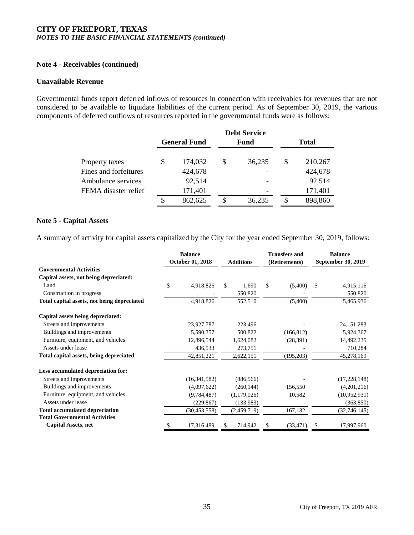#### **Note 4 - Receivables (continued)**

#### **Unavailable Revenue**

Governmental funds report deferred inflows of resources in connection with receivables for revenues that are not considered to be available to liquidate liabilities of the current period. As of September 30, 2019, the various components of deferred outflows of resources reported in the governmental funds were as follows:

|                       |                     |         | <b>Debt Service</b> |              |         |  |
|-----------------------|---------------------|---------|---------------------|--------------|---------|--|
|                       | <b>General Fund</b> |         | <b>Fund</b>         | <b>Total</b> |         |  |
| Property taxes        | \$                  | 174,032 | \$<br>36,235        |              | 210,267 |  |
| Fines and forfeitures |                     | 424,678 |                     |              | 424,678 |  |
| Ambulance services    |                     | 92,514  |                     |              | 92,514  |  |
| FEMA disaster relief  |                     | 171,401 |                     |              | 171,401 |  |
|                       | \$                  | 862,625 | \$<br>36,235        | S            | 898,860 |  |

#### **Note 5 - Capital Assets**

A summary of activity for capital assets capitalized by the City for the year ended September 30, 2019, follows:

|                                             | <b>Balance</b><br>October 01, 2018 |    | <b>Additions</b> |         | <b>Transfers and</b><br>(Retirements) |     | <b>Balance</b><br>September 30, 2019 |  |
|---------------------------------------------|------------------------------------|----|------------------|---------|---------------------------------------|-----|--------------------------------------|--|
| <b>Governmental Activities</b>              |                                    |    |                  |         |                                       |     |                                      |  |
| Capital assets, not being depreciated:      |                                    |    |                  |         |                                       |     |                                      |  |
| Land                                        | \$<br>4,918,826                    | \$ | 1,690            | \$      | (5,400)                               | \$. | 4,915,116                            |  |
| Construction in progress                    |                                    |    | 550,820          |         |                                       |     | 550,820                              |  |
| Total capital assets, not being depreciated | 4,918,826                          |    | 552,510          | (5,400) |                                       |     | 5,465,936                            |  |
| Capital assets being depreciated:           |                                    |    |                  |         |                                       |     |                                      |  |
| Streets and improvements                    | 23,927,787                         |    | 223,496          |         |                                       |     | 24, 151, 283                         |  |
| Buildings and improvements                  | 5,590,357                          |    | 500,822          |         | (166, 812)                            |     | 5,924,367                            |  |
| Furniture, equipment, and vehicles          | 12,896,544                         |    | 1,624,082        |         | (28,391)                              |     | 14,492,235                           |  |
| Assets under lease                          | 436,533                            |    | 273,751          |         |                                       |     | 710,284                              |  |
| Total capital assets, being depreciated     | 42,851,221                         |    | 2,622,151        |         | (195, 203)                            |     | 45,278,169                           |  |
| Less accumulated depreciation for:          |                                    |    |                  |         |                                       |     |                                      |  |
| Streets and improvements                    | (16,341,582)                       |    | (886, 566)       |         |                                       |     | (17,228,148)                         |  |
| Buildings and improvements                  | (4,097,622)                        |    | (260, 144)       |         | 156,550                               |     | (4,201,216)                          |  |
| Furniture, equipment, and vehicles          | (9,784,487)                        |    | (1,179,026)      |         | 10,582                                |     | (10,952,931)                         |  |
| Assets under lease                          | (229, 867)                         |    | (133,983)        |         |                                       |     | (363, 850)                           |  |
| <b>Total accumulated depreciation</b>       | (30, 453, 558)                     |    | (2,459,719)      |         | 167,132                               |     | (32, 746, 145)                       |  |
| <b>Total Governmental Activities</b>        |                                    |    |                  |         |                                       |     |                                      |  |
| <b>Capital Assets, net</b>                  | \$<br>17,316,489                   | \$ | 714,942          | S       | (33, 471)                             | S   | 17,997,960                           |  |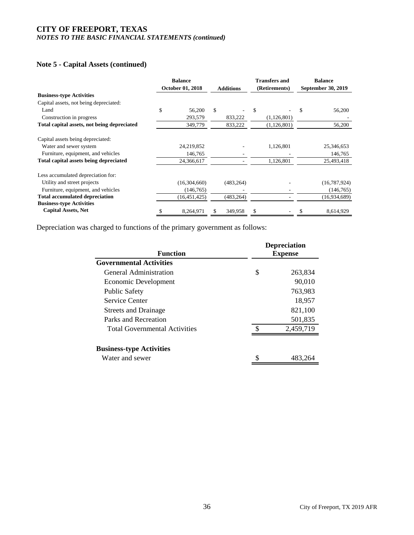# **Note 5 - Capital Assets (continued)**

|                                             | <b>Balance</b><br>October 01, 2018 |                | <b>Additions</b> |            | <b>Transfers and</b><br>(Retirements) |               | <b>Balance</b><br>September 30, 2019 |                |
|---------------------------------------------|------------------------------------|----------------|------------------|------------|---------------------------------------|---------------|--------------------------------------|----------------|
| <b>Business-type Activities</b>             |                                    |                |                  |            |                                       |               |                                      |                |
| Capital assets, not being depreciated:      |                                    |                |                  |            |                                       |               |                                      |                |
| Land                                        | \$                                 | 56,200         | \$               |            | \$                                    |               | \$.                                  | 56,200         |
| Construction in progress                    |                                    | 293,579        |                  | 833,222    |                                       | (1, 126, 801) |                                      |                |
| Total capital assets, not being depreciated |                                    | 349,779        |                  | 833,222    |                                       | (1,126,801)   |                                      | 56,200         |
| Capital assets being depreciated:           |                                    |                |                  |            |                                       |               |                                      |                |
| Water and sewer system                      |                                    | 24,219,852     |                  |            |                                       | 1,126,801     |                                      | 25,346,653     |
| Furniture, equipment, and vehicles          |                                    | 146,765        |                  |            |                                       |               |                                      | 146,765        |
| Total capital assets being depreciated      |                                    | 24,366,617     |                  |            |                                       | 1,126,801     |                                      | 25,493,418     |
| Less accumulated depreciation for:          |                                    |                |                  |            |                                       |               |                                      |                |
| Utility and street projects                 |                                    | (16, 304, 660) |                  | (483, 264) |                                       |               |                                      | (16, 787, 924) |
| Furniture, equipment, and vehicles          |                                    | (146, 765)     |                  |            |                                       |               |                                      | (146, 765)     |
| <b>Total accumulated depreciation</b>       |                                    | (16, 451, 425) |                  | (483, 264) |                                       |               |                                      | (16,934,689)   |
| <b>Business-type Activities</b>             |                                    |                |                  |            |                                       |               |                                      |                |
| <b>Capital Assets, Net</b>                  |                                    | 8,264,971      |                  | 349,958    |                                       |               |                                      | 8,614,929      |

Depreciation was charged to functions of the primary government as follows:

| <b>Function</b>                      |    | <b>Depreciation</b><br><b>Expense</b> |  |  |  |
|--------------------------------------|----|---------------------------------------|--|--|--|
| <b>Governmental Activities</b>       |    |                                       |  |  |  |
| General Administration               | \$ | 263,834                               |  |  |  |
| Economic Development                 |    | 90,010                                |  |  |  |
| <b>Public Safety</b>                 |    | 763,983                               |  |  |  |
| Service Center                       |    | 18,957                                |  |  |  |
| <b>Streets and Drainage</b>          |    | 821,100                               |  |  |  |
| Parks and Recreation                 |    | 501,835                               |  |  |  |
| <b>Total Governmental Activities</b> | ¢  | 2,459,719                             |  |  |  |
| <b>Business-type Activities</b>      |    |                                       |  |  |  |
| Water and sewer                      |    | 483,264                               |  |  |  |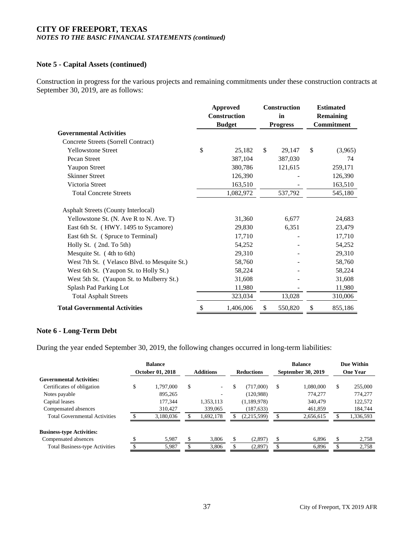# **Note 5 - Capital Assets (continued)**

Construction in progress for the various projects and remaining commitments under these construction contracts at September 30, 2019, are as follows:

|                                              | <b>Approved</b><br>Construction<br><b>Budget</b> | <b>Construction</b><br>in<br><b>Progress</b> | <b>Estimated</b><br><b>Remaining</b><br>Commitment |         |  |
|----------------------------------------------|--------------------------------------------------|----------------------------------------------|----------------------------------------------------|---------|--|
| <b>Governmental Activities</b>               |                                                  |                                              |                                                    |         |  |
| Concrete Streets (Sorrell Contract)          |                                                  |                                              |                                                    |         |  |
| <b>Yellowstone Street</b>                    | \$<br>25,182                                     | \$<br>29,147                                 | \$                                                 | (3,965) |  |
| Pecan Street                                 | 387,104                                          | 387,030                                      |                                                    | 74      |  |
| <b>Yaupon Street</b>                         | 380,786                                          | 121,615                                      |                                                    | 259,171 |  |
| <b>Skinner Street</b>                        | 126,390                                          |                                              |                                                    | 126,390 |  |
| Victoria Street                              | 163,510                                          |                                              |                                                    | 163,510 |  |
| <b>Total Concrete Streets</b>                | 1,082,972                                        | 537,792                                      |                                                    | 545,180 |  |
| Asphalt Streets (County Interlocal)          |                                                  |                                              |                                                    |         |  |
| Yellowstone St. (N. Ave R to N. Ave. T)      | 31,360                                           | 6,677                                        |                                                    | 24,683  |  |
| East 6th St. (HWY. 1495 to Sycamore)         | 29,830                                           | 6,351                                        |                                                    | 23,479  |  |
| East 6th St. (Spruce to Terminal)            | 17,710                                           |                                              |                                                    | 17,710  |  |
| Holly St. (2nd. To 5th)                      | 54,252                                           |                                              |                                                    | 54,252  |  |
| Mesquite St. (4th to 6th)                    | 29,310                                           |                                              |                                                    | 29,310  |  |
| West 7th St. (Velasco Blvd. to Mesquite St.) | 58,760                                           |                                              |                                                    | 58,760  |  |
| West 6th St. (Yaupon St. to Holly St.)       | 58,224                                           |                                              |                                                    | 58,224  |  |
| West 5th St. (Yaupon St. to Mulberry St.)    | 31,608                                           |                                              |                                                    | 31,608  |  |
| Splash Pad Parking Lot                       | 11,980                                           |                                              |                                                    | 11,980  |  |
| <b>Total Asphalt Streets</b>                 | 323,034                                          | 13,028                                       |                                                    | 310,006 |  |
| <b>Total Governmental Activities</b>         | \$<br>1,406,006                                  | \$<br>550,820                                | \$                                                 | 855,186 |  |

#### **Note 6 - Long-Term Debt**

During the year ended September 30, 2019, the following changes occurred in long-term liabilities:

|                                       | <b>Balance</b>   |                  |    |                   |   | <b>Balance</b>     |    | Due Within      |  |
|---------------------------------------|------------------|------------------|----|-------------------|---|--------------------|----|-----------------|--|
|                                       | October 01, 2018 | <b>Additions</b> |    | <b>Reductions</b> |   | September 30, 2019 |    | <b>One Year</b> |  |
| <b>Governmental Activities:</b>       |                  |                  |    |                   |   |                    |    |                 |  |
| Certificates of obligation            | \$<br>1.797.000  | \$<br>$\sim$     | \$ | (717.000)         | S | 1.080.000          | \$ | 255,000         |  |
| Notes payable                         | 895.265          |                  |    | (120.988)         |   | 774,277            |    | 774,277         |  |
| Capital leases                        | 177,344          | 1,353,113        |    | (1,189,978)       |   | 340,479            |    | 122,572         |  |
| Compensated absences                  | 310.427          | 339,065          |    | (187, 633)        |   | 461,859            |    | 184,744         |  |
| <b>Total Governmental Activities</b>  | 3.180.036        | 1.692.178        |    | (2,215,599)       |   | 2.656.615          |    | 1,336,593       |  |
| <b>Business-type Activities:</b>      |                  |                  |    |                   |   |                    |    |                 |  |
| Compensated absences                  | 5,987            | \$<br>3,806      | \$ | (2,897)           |   | 6.896              | S  | 2,758           |  |
| <b>Total Business-type Activities</b> | 5,987            | 3,806            |    | (2,897)           |   | 6,896              |    | 2,758           |  |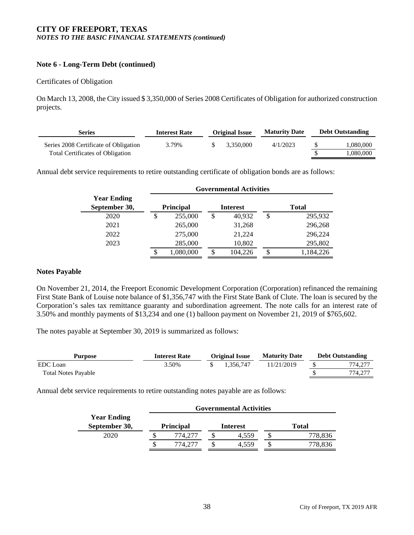# **Note 6 - Long-Term Debt (continued)**

#### Certificates of Obligation

On March 13, 2008, the City issued \$ 3,350,000 of Series 2008 Certificates of Obligation for authorized construction projects.

| Series                                  | <b>Interest Rate</b> | <b>Original Issue</b> | <b>Maturity Date</b> | <b>Debt Outstanding</b> |  |
|-----------------------------------------|----------------------|-----------------------|----------------------|-------------------------|--|
| Series 2008 Certificate of Obligation   | 3.79%                | 3.350.000             | 4/1/2023             | 080,000.1               |  |
| <b>Total Certificates of Obligation</b> |                      |                       |                      | .080.000                |  |

Annual debt service requirements to retire outstanding certificate of obligation bonds are as follows:

|                                     | <b>Governmental Activities</b> |              |         |    |           |  |  |  |  |
|-------------------------------------|--------------------------------|--------------|---------|----|-----------|--|--|--|--|
| <b>Year Ending</b><br>September 30, | <b>Principal</b>               | <b>Total</b> |         |    |           |  |  |  |  |
| 2020                                | \$<br>255,000                  | \$           | 40,932  | \$ | 295,932   |  |  |  |  |
| 2021                                | 265,000                        |              | 31,268  |    | 296,268   |  |  |  |  |
| 2022                                | 275,000                        |              | 21,224  |    | 296,224   |  |  |  |  |
| 2023                                | 285,000                        |              | 10,802  |    | 295,802   |  |  |  |  |
|                                     | \$<br>1,080,000                | S            | 104,226 | \$ | 1,184,226 |  |  |  |  |

#### **Notes Payable**

On November 21, 2014, the Freeport Economic Development Corporation (Corporation) refinanced the remaining First State Bank of Louise note balance of \$1,356,747 with the First State Bank of Clute. The loan is secured by the Corporation's sales tax remittance guaranty and subordination agreement. The note calls for an interest rate of 3.50% and monthly payments of \$13,234 and one (1) balloon payment on November 21, 2019 of \$765,602.

The notes payable at September 30, 2019 is summarized as follows:

| Purpose                    | <b>Interest Rate</b> | <b>Original Issue</b> | <b>Maturity Date</b> | <b>Debt Outstanding</b> |         |
|----------------------------|----------------------|-----------------------|----------------------|-------------------------|---------|
| EDC Loan                   | 3.50%                | 1.356.747             | 11/21/2019           |                         | 774,277 |
| <b>Total Notes Payable</b> |                      |                       |                      |                         | 774,277 |

Annual debt service requirements to retire outstanding notes payable are as follows:

|                                     | <b>Governmental Activities</b> |                  |  |                 |              |         |  |  |  |  |
|-------------------------------------|--------------------------------|------------------|--|-----------------|--------------|---------|--|--|--|--|
| <b>Year Ending</b><br>September 30, |                                | <b>Principal</b> |  | <b>Interest</b> | <b>Total</b> |         |  |  |  |  |
| 2020                                | J                              | 774.277          |  | 4.559           |              | 778,836 |  |  |  |  |
|                                     | J                              | 774.27.          |  | 4.559           |              | 778,836 |  |  |  |  |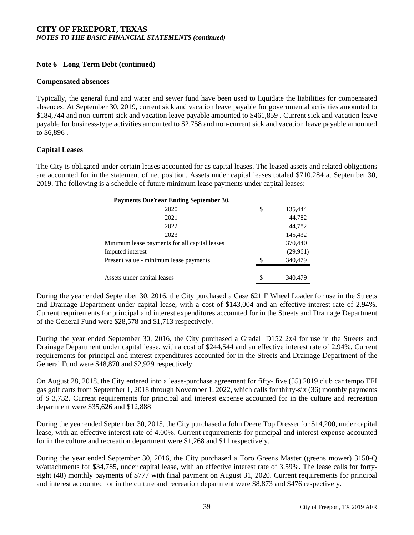#### **Note 6 - Long-Term Debt (continued)**

#### **Compensated absences**

Typically, the general fund and water and sewer fund have been used to liquidate the liabilities for compensated absences. At September 30, 2019, current sick and vacation leave payable for governmental activities amounted to \$184,744 and non-current sick and vacation leave payable amounted to \$461,859 . Current sick and vacation leave payable for business-type activities amounted to \$2,758 and non-current sick and vacation leave payable amounted to \$6,896 .

#### **Capital Leases**

The City is obligated under certain leases accounted for as capital leases. The leased assets and related obligations are accounted for in the statement of net position. Assets under capital leases totaled \$710,284 at September 30, 2019. The following is a schedule of future minimum lease payments under capital leases:

| <b>Payments DueYear Ending September 30,</b>  |               |
|-----------------------------------------------|---------------|
| 2020                                          | \$<br>135,444 |
| 2021                                          | 44,782        |
| 2022                                          | 44,782        |
| 2023                                          | 145,432       |
| Minimum lease payments for all capital leases | 370,440       |
| Imputed interest                              | (29,961)      |
| Present value - minimum lease payments        | 340,479       |
|                                               |               |
| Assets under capital leases                   | 340.479       |

During the year ended September 30, 2016, the City purchased a Case 621 F Wheel Loader for use in the Streets and Drainage Department under capital lease, with a cost of \$143,004 and an effective interest rate of 2.94%. Current requirements for principal and interest expenditures accounted for in the Streets and Drainage Department of the General Fund were \$28,578 and \$1,713 respectively.

During the year ended September 30, 2016, the City purchased a Gradall D152 2x4 for use in the Streets and Drainage Department under capital lease, with a cost of \$244,544 and an effective interest rate of 2.94%. Current requirements for principal and interest expenditures accounted for in the Streets and Drainage Department of the General Fund were \$48,870 and \$2,929 respectively.

On August 28, 2018, the City entered into a lease-purchase agreement for fifty- five (55) 2019 club car tempo EFI gas golf carts from September 1, 2018 through November 1, 2022, which calls for thirty-six (36) monthly payments of \$ 3,732. Current requirements for principal and interest expense accounted for in the culture and recreation department were \$35,626 and \$12,888

During the year ended September 30, 2015, the City purchased a John Deere Top Dresser for \$14,200, under capital lease, with an effective interest rate of 4.00%. Current requirements for principal and interest expense accounted for in the culture and recreation department were \$1,268 and \$11 respectively.

During the year ended September 30, 2016, the City purchased a Toro Greens Master (greens mower) 3150-Q w/attachments for \$34,785, under capital lease, with an effective interest rate of 3.59%. The lease calls for fortyeight (48) monthly payments of \$777 with final payment on August 31, 2020. Current requirements for principal and interest accounted for in the culture and recreation department were \$8,873 and \$476 respectively.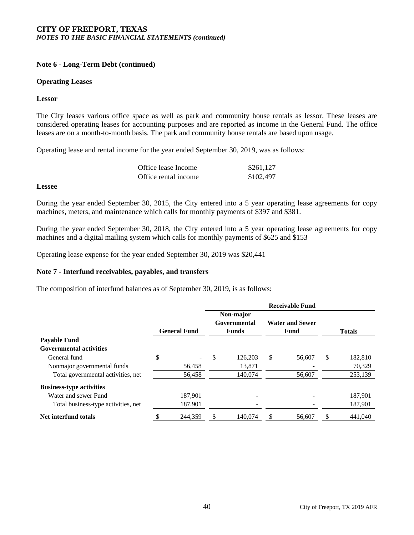#### **Note 6 - Long-Term Debt (continued)**

#### **Operating Leases**

#### **Lessor**

The City leases various office space as well as park and community house rentals as lessor. These leases are considered operating leases for accounting purposes and are reported as income in the General Fund. The office leases are on a month-to-month basis. The park and community house rentals are based upon usage.

Operating lease and rental income for the year ended September 30, 2019, was as follows:

| Office lease Income  | \$261,127 |
|----------------------|-----------|
| Office rental income | \$102,497 |

#### **Lessee**

During the year ended September 30, 2015, the City entered into a 5 year operating lease agreements for copy machines, meters, and maintenance which calls for monthly payments of \$397 and \$381.

During the year ended September 30, 2018, the City entered into a 5 year operating lease agreements for copy machines and a digital mailing system which calls for monthly payments of \$625 and \$153

Operating lease expense for the year ended September 30, 2019 was \$20,441

#### **Note 7 - Interfund receivables, payables, and transfers**

The composition of interfund balances as of September 30, 2019, is as follows:

|                                     |                     | <b>Receivable Fund</b> |                                           |    |                                |    |               |
|-------------------------------------|---------------------|------------------------|-------------------------------------------|----|--------------------------------|----|---------------|
|                                     | <b>General Fund</b> |                        | Non-major<br>Governmental<br><b>Funds</b> |    | <b>Water and Sewer</b><br>Fund |    | <b>Totals</b> |
| <b>Payable Fund</b>                 |                     |                        |                                           |    |                                |    |               |
| <b>Governmental activities</b>      |                     |                        |                                           |    |                                |    |               |
| General fund                        | \$                  | \$                     | 126,203                                   | \$ | 56,607                         | \$ | 182,810       |
| Nonmajor governmental funds         | 56,458              |                        | 13,871                                    |    |                                |    | 70,329        |
| Total governmental activities, net  | 56,458              |                        | 140,074                                   |    | 56,607                         |    | 253,139       |
| <b>Business-type activities</b>     |                     |                        |                                           |    |                                |    |               |
| Water and sewer Fund                | 187,901             |                        |                                           |    |                                |    | 187,901       |
| Total business-type activities, net | 187,901             |                        |                                           |    |                                |    | 187,901       |
| Net interfund totals                | 244,359             |                        | 140,074                                   | S  | 56,607                         | \$ | 441,040       |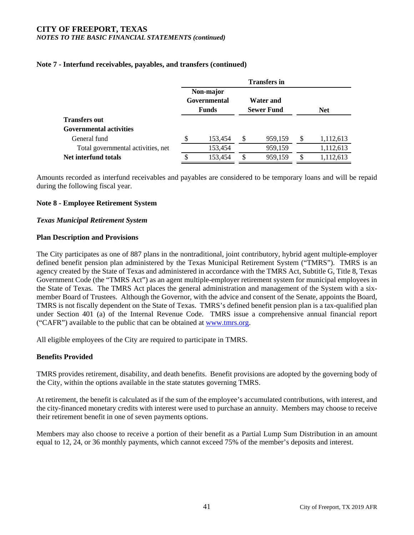*NOTES TO THE BASIC FINANCIAL STATEMENTS (continued)* 

#### **Note 7 - Interfund receivables, payables, and transfers (continued)**

|                                    | <b>Transfers in</b>                       |         |   |                                |    |            |
|------------------------------------|-------------------------------------------|---------|---|--------------------------------|----|------------|
|                                    | Non-major<br>Governmental<br><b>Funds</b> |         |   | Water and<br><b>Sewer Fund</b> |    | <b>Net</b> |
| <b>Transfers out</b>               |                                           |         |   |                                |    |            |
| <b>Governmental activities</b>     |                                           |         |   |                                |    |            |
| General fund                       | \$                                        | 153,454 | S | 959,159                        | \$ | 1,112,613  |
| Total governmental activities, net |                                           | 153,454 |   | 959,159                        |    | 1,112,613  |
| Net interfund totals               | \$                                        | 153,454 |   | 959,159                        | \$ | 1,112,613  |

Amounts recorded as interfund receivables and payables are considered to be temporary loans and will be repaid during the following fiscal year.

#### **Note 8 - Employee Retirement System**

# *Texas Municipal Retirement System*

#### **Plan Description and Provisions**

The City participates as one of 887 plans in the nontraditional, joint contributory, hybrid agent multiple-employer defined benefit pension plan administered by the Texas Municipal Retirement System ("TMRS"). TMRS is an agency created by the State of Texas and administered in accordance with the TMRS Act, Subtitle G, Title 8, Texas Government Code (the "TMRS Act") as an agent multiple-employer retirement system for municipal employees in the State of Texas. The TMRS Act places the general administration and management of the System with a sixmember Board of Trustees. Although the Governor, with the advice and consent of the Senate, appoints the Board, TMRS is not fiscally dependent on the State of Texas. TMRS's defined benefit pension plan is a tax-qualified plan under Section 401 (a) of the Internal Revenue Code. TMRS issue a comprehensive annual financial report ("CAFR") available to the public that can be obtained at www.tmrs.org.

All eligible employees of the City are required to participate in TMRS.

#### **Benefits Provided**

TMRS provides retirement, disability, and death benefits. Benefit provisions are adopted by the governing body of the City, within the options available in the state statutes governing TMRS.

At retirement, the benefit is calculated as if the sum of the employee's accumulated contributions, with interest, and the city-financed monetary credits with interest were used to purchase an annuity. Members may choose to receive their retirement benefit in one of seven payments options.

Members may also choose to receive a portion of their benefit as a Partial Lump Sum Distribution in an amount equal to 12, 24, or 36 monthly payments, which cannot exceed 75% of the member's deposits and interest.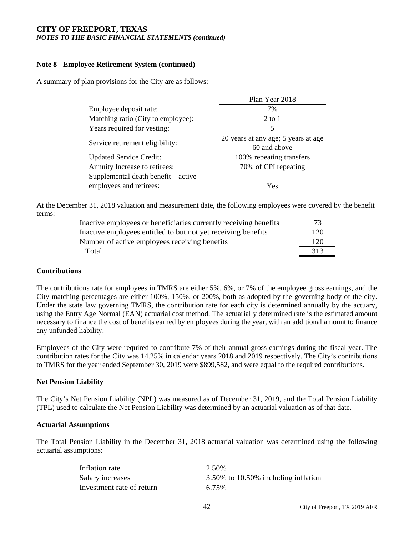*NOTES TO THE BASIC FINANCIAL STATEMENTS (continued)* 

#### **Note 8 - Employee Retirement System (continued)**

A summary of plan provisions for the City are as follows:

|                                                                | Plan Year 2018                                      |
|----------------------------------------------------------------|-----------------------------------------------------|
| Employee deposit rate:                                         | 7%                                                  |
| Matching ratio (City to employee):                             | $2$ to 1                                            |
| Years required for vesting:                                    | 5                                                   |
| Service retirement eligibility:                                | 20 years at any age; 5 years at age<br>60 and above |
| <b>Updated Service Credit:</b>                                 | 100% repeating transfers                            |
| Annuity Increase to retirees:                                  | 70% of CPI repeating                                |
| Supplemental death benefit – active<br>employees and retirees: | Yes                                                 |

At the December 31, 2018 valuation and measurement date, the following employees were covered by the benefit terms:

| Inactive employees or beneficiaries currently receiving benefits | 73  |
|------------------------------------------------------------------|-----|
| Inactive employees entitled to but not yet receiving benefits    | 120 |
| Number of active employees receiving benefits                    | 120 |
| Total                                                            | 313 |
|                                                                  |     |

#### **Contributions**

The contributions rate for employees in TMRS are either 5%, 6%, or 7% of the employee gross earnings, and the City matching percentages are either 100%, 150%, or 200%, both as adopted by the governing body of the city. Under the state law governing TMRS, the contribution rate for each city is determined annually by the actuary, using the Entry Age Normal (EAN) actuarial cost method. The actuarially determined rate is the estimated amount necessary to finance the cost of benefits earned by employees during the year, with an additional amount to finance any unfunded liability.

Employees of the City were required to contribute 7% of their annual gross earnings during the fiscal year. The contribution rates for the City was 14.25% in calendar years 2018 and 2019 respectively. The City's contributions to TMRS for the year ended September 30, 2019 were \$899,582, and were equal to the required contributions.

#### **Net Pension Liability**

The City's Net Pension Liability (NPL) was measured as of December 31, 2019, and the Total Pension Liability (TPL) used to calculate the Net Pension Liability was determined by an actuarial valuation as of that date.

#### **Actuarial Assumptions**

The Total Pension Liability in the December 31, 2018 actuarial valuation was determined using the following actuarial assumptions:

| Inflation rate            | 2.50%                               |
|---------------------------|-------------------------------------|
| Salary increases          | 3.50% to 10.50% including inflation |
| Investment rate of return | 6.75%                               |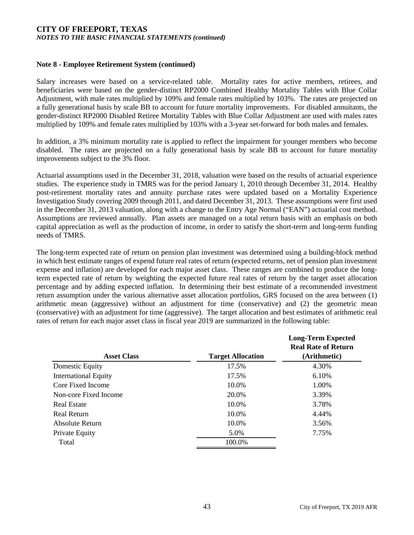#### **Note 8 - Employee Retirement System (continued)**

Salary increases were based on a service-related table. Mortality rates for active members, retirees, and beneficiaries were based on the gender-distinct RP2000 Combined Healthy Mortality Tables with Blue Collar Adjustment, with male rates multiplied by 109% and female rates multiplied by 103%. The rates are projected on a fully generational basis by scale BB to account for future mortality improvements. For disabled annuitants, the gender-distinct RP2000 Disabled Retiree Mortality Tables with Blue Collar Adjustment are used with males rates multiplied by 109% and female rates multiplied by 103% with a 3-year set-forward for both males and females.

In addition, a 3% minimum mortality rate is applied to reflect the impairment for younger members who become disabled. The rates are projected on a fully generational basis by scale BB to account for future mortality improvements subject to the 3% floor.

Actuarial assumptions used in the December 31, 2018, valuation were based on the results of actuarial experience studies. The experience study in TMRS was for the period January 1, 2010 through December 31, 2014. Healthy post-retirement mortality rates and annuity purchase rates were updated based on a Mortality Experience Investigation Study covering 2009 through 2011, and dated December 31, 2013. These assumptions were first used in the December 31, 2013 valuation, along with a change to the Entry Age Normal ("EAN") actuarial cost method. Assumptions are reviewed annually. Plan assets are managed on a total return basis with an emphasis on both capital appreciation as well as the production of income, in order to satisfy the short-term and long-term funding needs of TMRS.

The long-term expected rate of return on pension plan investment was determined using a building-block method in which best estimate ranges of expend future real rates of return (expected returns, net of pension plan investment expense and inflation) are developed for each major asset class. These ranges are combined to produce the longterm expected rate of return by weighting the expected future real rates of return by the target asset allocation percentage and by adding expected inflation. In determining their best estimate of a recommended investment return assumption under the various alternative asset allocation portfolios, GRS focused on the area between (1) arithmetic mean (aggressive) without an adjustment for time (conservative) and (2) the geometric mean (conservative) with an adjustment for time (aggressive). The target allocation and best estimates of arithmetic real rates of return for each major asset class in fiscal year 2019 are summarized in the following table:

|                             |                          | <b>Long-Term Expected</b><br><b>Real Rate of Return</b> |
|-----------------------------|--------------------------|---------------------------------------------------------|
| <b>Asset Class</b>          | <b>Target Allocation</b> | (Arithmetic)                                            |
| Domestic Equity             | 17.5%                    | 4.30%                                                   |
| <b>International Equity</b> | 17.5%                    | 6.10%                                                   |
| Core Fixed Income           | 10.0%                    | 1.00%                                                   |
| Non-core Fixed Income       | 20.0%                    | 3.39%                                                   |
| <b>Real Estate</b>          | 10.0%                    | 3.78%                                                   |
| <b>Real Return</b>          | 10.0%                    | 4.44%                                                   |
| Absolute Return             | 10.0%                    | 3.56%                                                   |
| Private Equity              | 5.0%                     | 7.75%                                                   |
| Total                       | 100.0%                   |                                                         |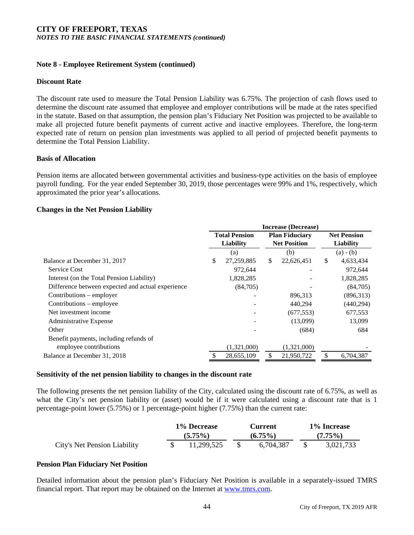#### **Note 8 - Employee Retirement System (continued)**

#### **Discount Rate**

The discount rate used to measure the Total Pension Liability was 6.75%. The projection of cash flows used to determine the discount rate assumed that employee and employer contributions will be made at the rates specified in the statute. Based on that assumption, the pension plan's Fiduciary Net Position was projected to be available to make all projected future benefit payments of current active and inactive employees. Therefore, the long-term expected rate of return on pension plan investments was applied to all period of projected benefit payments to determine the Total Pension Liability.

#### **Basis of Allocation**

Pension items are allocated between governmental activities and business-type activities on the basis of employee payroll funding. For the year ended September 30, 2019, those percentages were 99% and 1%, respectively, which approximated the prior year's allocations.

#### **Changes in the Net Pension Liability**

|                                                   | <b>Increase (Decrease)</b>        |             |                                              |             |    |                                 |
|---------------------------------------------------|-----------------------------------|-------------|----------------------------------------------|-------------|----|---------------------------------|
|                                                   | <b>Total Pension</b><br>Liability |             | <b>Plan Fiduciary</b><br><b>Net Position</b> |             |    | <b>Net Pension</b><br>Liability |
|                                                   |                                   | (a)         |                                              | (b)         |    | $(a) - (b)$                     |
| Balance at December 31, 2017                      | \$                                | 27,259,885  | \$                                           | 22,626,451  | \$ | 4,633,434                       |
| <b>Service Cost</b>                               |                                   | 972,644     |                                              |             |    | 972,644                         |
| Interest (on the Total Pension Liability)         |                                   | 1,828,285   |                                              |             |    | 1,828,285                       |
| Difference between expected and actual experience |                                   | (84,705)    |                                              |             |    | (84,705)                        |
| Contributions – employer                          |                                   |             |                                              | 896,313     |    | (896,313)                       |
| Contributions – employee                          |                                   |             |                                              | 440.294     |    | (440, 294)                      |
| Net investment income                             |                                   |             |                                              | (677, 553)  |    | 677,553                         |
| Administrative Expense                            |                                   |             |                                              | (13,099)    |    | 13,099                          |
| Other                                             |                                   |             |                                              | (684)       |    | 684                             |
| Benefit payments, including refunds of            |                                   |             |                                              |             |    |                                 |
| employee contributions                            |                                   | (1,321,000) |                                              | (1,321,000) |    |                                 |
| Balance at December 31, 2018                      |                                   | 28,655,109  |                                              | 21,950,722  | \$ | 6,704,387                       |

#### **Sensitivity of the net pension liability to changes in the discount rate**

The following presents the net pension liability of the City, calculated using the discount rate of 6.75%, as well as what the City's net pension liability or (asset) would be if it were calculated using a discount rate that is 1 percentage-point lower  $(5.75%)$  or 1 percentage-point higher  $(7.75%)$  than the current rate:

|                              | 1% Decrease |  | Current    | 1% Increase |
|------------------------------|-------------|--|------------|-------------|
|                              | $(5.75\%)$  |  | $(6.75\%)$ | $(7.75\%)$  |
| City's Net Pension Liability | 11.299.525  |  | 6.704.387  | 3.021.733   |

#### **Pension Plan Fiduciary Net Position**

Detailed information about the pension plan's Fiduciary Net Position is available in a separately-issued TMRS financial report. That report may be obtained on the Internet at www.tmrs.com.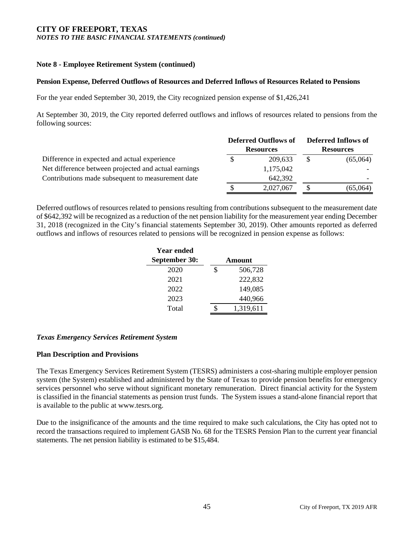#### **Note 8 - Employee Retirement System (continued)**

#### **Pension Expense, Deferred Outflows of Resources and Deferred Inflows of Resources Related to Pensions**

For the year ended September 30, 2019, the City recognized pension expense of \$1,426,241

At September 30, 2019, the City reported deferred outflows and inflows of resources related to pensions from the following sources:

|                                                      | <b>Deferred Outflows of</b><br><b>Resources</b> | <b>Deferred Inflows of</b><br><b>Resources</b> |
|------------------------------------------------------|-------------------------------------------------|------------------------------------------------|
| Difference in expected and actual experience         | 209.633                                         | \$<br>(65,064)                                 |
| Net difference between projected and actual earnings | 1,175,042                                       |                                                |
| Contributions made subsequent to measurement date    | 642,392                                         |                                                |
|                                                      | 2,027,067                                       | (65,064)                                       |

Deferred outflows of resources related to pensions resulting from contributions subsequent to the measurement date of \$642,392 will be recognized as a reduction of the net pension liability for the measurement year ending December 31, 2018 (recognized in the City's financial statements September 30, 2019). Other amounts reported as deferred outflows and inflows of resources related to pensions will be recognized in pension expense as follows:

| Year ended    |               |
|---------------|---------------|
| September 30: | <b>Amount</b> |
| 2020          | \$<br>506,728 |
| 2021          | 222,832       |
| 2022          | 149,085       |
| 2023          | 440,966       |
| Total         | 1,319,611     |

#### *Texas Emergency Services Retirement System*

#### **Plan Description and Provisions**

The Texas Emergency Services Retirement System (TESRS) administers a cost-sharing multiple employer pension system (the System) established and administered by the State of Texas to provide pension benefits for emergency services personnel who serve without significant monetary remuneration. Direct financial activity for the System is classified in the financial statements as pension trust funds. The System issues a stand-alone financial report that is available to the public at www.tesrs.org.

Due to the insignificance of the amounts and the time required to make such calculations, the City has opted not to record the transactions required to implement GASB No. 68 for the TESRS Pension Plan to the current year financial statements. The net pension liability is estimated to be \$15,484.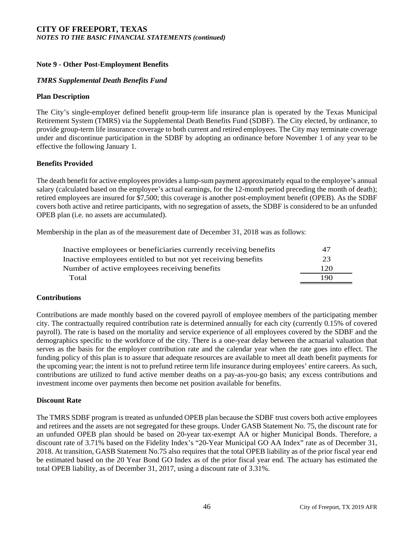#### **Note 9 - Other Post-Employment Benefits**

#### *TMRS Supplemental Death Benefits Fund*

#### **Plan Description**

The City's single-employer defined benefit group-term life insurance plan is operated by the Texas Municipal Retirement System (TMRS) via the Supplemental Death Benefits Fund (SDBF). The City elected, by ordinance, to provide group-term life insurance coverage to both current and retired employees. The City may terminate coverage under and discontinue participation in the SDBF by adopting an ordinance before November 1 of any year to be effective the following January 1.

#### **Benefits Provided**

The death benefit for active employees provides a lump-sum payment approximately equal to the employee's annual salary (calculated based on the employee's actual earnings, for the 12-month period preceding the month of death); retired employees are insured for \$7,500; this coverage is another post-employment benefit (OPEB). As the SDBF covers both active and retiree participants, with no segregation of assets, the SDBF is considered to be an unfunded OPEB plan (i.e. no assets are accumulated).

Membership in the plan as of the measurement date of December 31, 2018 was as follows:

| Inactive employees or beneficiaries currently receiving benefits | 47  |
|------------------------------------------------------------------|-----|
| Inactive employees entitled to but not yet receiving benefits    | 23  |
| Number of active employees receiving benefits                    | 120 |
| Total                                                            | 190 |

#### **Contributions**

Contributions are made monthly based on the covered payroll of employee members of the participating member city. The contractually required contribution rate is determined annually for each city (currently 0.15% of covered payroll). The rate is based on the mortality and service experience of all employees covered by the SDBF and the demographics specific to the workforce of the city. There is a one-year delay between the actuarial valuation that serves as the basis for the employer contribution rate and the calendar year when the rate goes into effect. The funding policy of this plan is to assure that adequate resources are available to meet all death benefit payments for the upcoming year; the intent is not to prefund retiree term life insurance during employees' entire careers. As such, contributions are utilized to fund active member deaths on a pay-as-you-go basis; any excess contributions and investment income over payments then become net position available for benefits.

#### **Discount Rate**

The TMRS SDBF program is treated as unfunded OPEB plan because the SDBF trust covers both active employees and retirees and the assets are not segregated for these groups. Under GASB Statement No. 75, the discount rate for an unfunded OPEB plan should be based on 20-year tax-exempt AA or higher Municipal Bonds. Therefore, a discount rate of 3.71% based on the Fidelity Index's "20-Year Municipal GO AA Index" rate as of December 31, 2018. At transition, GASB Statement No.75 also requires that the total OPEB liability as of the prior fiscal year end be estimated based on the 20 Year Bond GO Index as of the prior fiscal year end. The actuary has estimated the total OPEB liability, as of December 31, 2017, using a discount rate of 3.31%.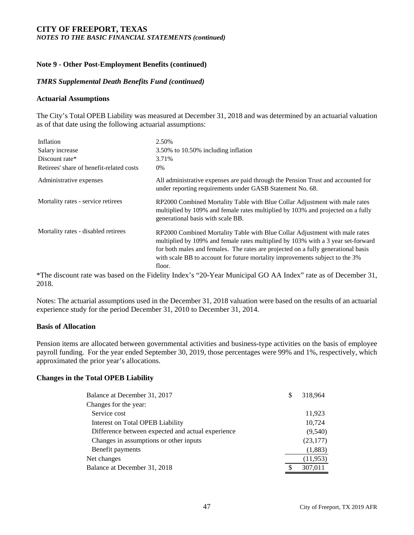*NOTES TO THE BASIC FINANCIAL STATEMENTS (continued)* 

#### **Note 9 - Other Post-Employment Benefits (continued)**

#### *TMRS Supplemental Death Benefits Fund (continued)*

#### **Actuarial Assumptions**

The City's Total OPEB Liability was measured at December 31, 2018 and was determined by an actuarial valuation as of that date using the following actuarial assumptions:

| Inflation                                | 2.50%                                                                                                                                                                                                                                                                                                                                          |
|------------------------------------------|------------------------------------------------------------------------------------------------------------------------------------------------------------------------------------------------------------------------------------------------------------------------------------------------------------------------------------------------|
| Salary increase                          | 3.50% to 10.50% including inflation                                                                                                                                                                                                                                                                                                            |
| Discount rate*                           | 3.71%                                                                                                                                                                                                                                                                                                                                          |
| Retirees' share of benefit-related costs | $0\%$                                                                                                                                                                                                                                                                                                                                          |
| Administrative expenses                  | All administrative expenses are paid through the Pension Trust and accounted for<br>under reporting requirements under GASB Statement No. 68.                                                                                                                                                                                                  |
| Mortality rates - service retirees       | RP2000 Combined Mortality Table with Blue Collar Adjustment with male rates<br>multiplied by 109% and female rates multiplied by 103% and projected on a fully<br>generational basis with scale BB.                                                                                                                                            |
| Mortality rates - disabled retirees      | RP2000 Combined Mortality Table with Blue Collar Adjustment with male rates<br>multiplied by 109% and female rates multiplied by 103% with a 3 year set-forward<br>for both males and females. The rates are projected on a fully generational basis<br>with scale BB to account for future mortality improvements subject to the 3%<br>floor. |
|                                          | $*$ The discount rate was bosed on the Eidelity Index's "00 Veen Municipal CO AA Index" rate so of December 21                                                                                                                                                                                                                                 |

\*The discount rate was based on the Fidelity Index's "20-Year Municipal GO AA Index" rate as of December 31, 2018.

Notes: The actuarial assumptions used in the December 31, 2018 valuation were based on the results of an actuarial experience study for the period December 31, 2010 to December 31, 2014.

#### **Basis of Allocation**

Pension items are allocated between governmental activities and business-type activities on the basis of employee payroll funding. For the year ended September 30, 2019, those percentages were 99% and 1%, respectively, which approximated the prior year's allocations.

#### **Changes in the Total OPEB Liability**

| Balance at December 31, 2017                      | S | 318.964   |
|---------------------------------------------------|---|-----------|
| Changes for the year:                             |   |           |
| Service cost                                      |   | 11,923    |
| Interest on Total OPEB Liability                  |   | 10,724    |
| Difference between expected and actual experience |   | (9,540)   |
| Changes in assumptions or other inputs            |   | (23, 177) |
| Benefit payments                                  |   | (1,883)   |
| Net changes                                       |   | (11,953)  |
| Balance at December 31, 2018                      |   | 307,011   |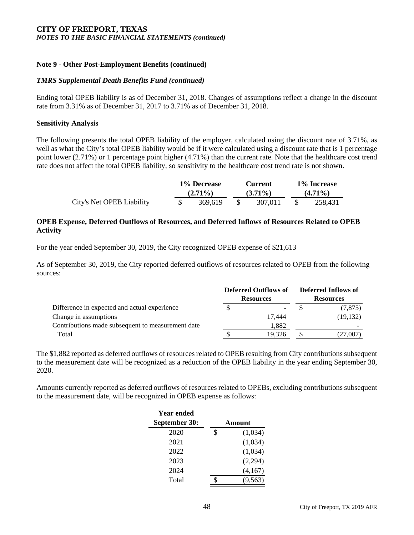*NOTES TO THE BASIC FINANCIAL STATEMENTS (continued)* 

#### **Note 9 - Other Post-Employment Benefits (continued)**

#### *TMRS Supplemental Death Benefits Fund (continued)*

Ending total OPEB liability is as of December 31, 2018. Changes of assumptions reflect a change in the discount rate from 3.31% as of December 31, 2017 to 3.71% as of December 31, 2018.

#### **Sensitivity Analysis**

The following presents the total OPEB liability of the employer, calculated using the discount rate of 3.71%, as well as what the City's total OPEB liability would be if it were calculated using a discount rate that is 1 percentage point lower (2.71%) or 1 percentage point higher (4.71%) than the current rate. Note that the healthcare cost trend rate does not affect the total OPEB liability, so sensitivity to the healthcare cost trend rate is not shown.

|                           | 1% Decrease | <b>Current</b> | 1% Increase |
|---------------------------|-------------|----------------|-------------|
|                           | $(2.71\%)$  | $(3.71\%)$     | $(4.71\%)$  |
| City's Net OPEB Liability | 369.619     | 307.011        | 258.431     |

#### **OPEB Expense, Deferred Outflows of Resources, and Deferred Inflows of Resources Related to OPEB Activity**

For the year ended September 30, 2019, the City recognized OPEB expense of \$21,613

As of September 30, 2019, the City reported deferred outflows of resources related to OPEB from the following sources:

|                                                   |   | <b>Deferred Outflows of</b><br><b>Resources</b> | <b>Deferred Inflows of</b><br><b>Resources</b> |
|---------------------------------------------------|---|-------------------------------------------------|------------------------------------------------|
| Difference in expected and actual experience      | S |                                                 | (7, 875)                                       |
| Change in assumptions                             |   | 17.444                                          | (19, 132)                                      |
| Contributions made subsequent to measurement date |   | 1,882                                           |                                                |
| Total                                             |   | 19.326                                          | 27,007                                         |

The \$1,882 reported as deferred outflows of resources related to OPEB resulting from City contributions subsequent to the measurement date will be recognized as a reduction of the OPEB liability in the year ending September 30, 2020.

Amounts currently reported as deferred outflows of resources related to OPEBs, excluding contributions subsequent to the measurement date, will be recognized in OPEB expense as follows:

| Year ended    |               |
|---------------|---------------|
| September 30: | Amount        |
| 2020          | \$<br>(1,034) |
| 2021          | (1,034)       |
| 2022          | (1,034)       |
| 2023          | (2,294)       |
| 2024          | (4,167)       |
| Total         | (9, 563)      |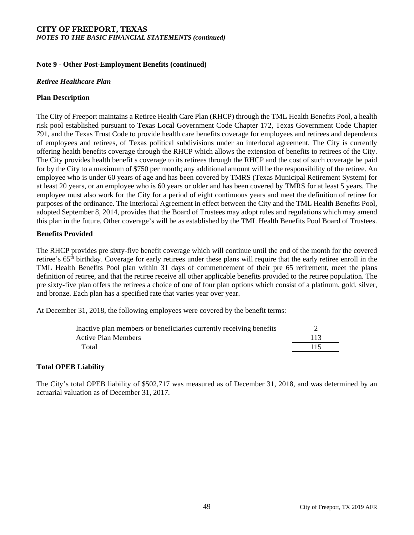#### **Note 9 - Other Post-Employment Benefits (continued)**

#### *Retiree Healthcare Plan*

#### **Plan Description**

The City of Freeport maintains a Retiree Health Care Plan (RHCP) through the TML Health Benefits Pool, a health risk pool established pursuant to Texas Local Government Code Chapter 172, Texas Government Code Chapter 791, and the Texas Trust Code to provide health care benefits coverage for employees and retirees and dependents of employees and retirees, of Texas political subdivisions under an interlocal agreement. The City is currently offering health benefits coverage through the RHCP which allows the extension of benefits to retirees of the City. The City provides health benefit s coverage to its retirees through the RHCP and the cost of such coverage be paid for by the City to a maximum of \$750 per month; any additional amount will be the responsibility of the retiree. An employee who is under 60 years of age and has been covered by TMRS (Texas Municipal Retirement System) for at least 20 years, or an employee who is 60 years or older and has been covered by TMRS for at least 5 years. The employee must also work for the City for a period of eight continuous years and meet the definition of retiree for purposes of the ordinance. The Interlocal Agreement in effect between the City and the TML Health Benefits Pool, adopted September 8, 2014, provides that the Board of Trustees may adopt rules and regulations which may amend this plan in the future. Other coverage's will be as established by the TML Health Benefits Pool Board of Trustees.

#### **Benefits Provided**

The RHCP provides pre sixty-five benefit coverage which will continue until the end of the month for the covered retiree's 65<sup>th</sup> birthday. Coverage for early retirees under these plans will require that the early retiree enroll in the TML Health Benefits Pool plan within 31 days of commencement of their pre 65 retirement, meet the plans definition of retiree, and that the retiree receive all other applicable benefits provided to the retiree population. The pre sixty-five plan offers the retirees a choice of one of four plan options which consist of a platinum, gold, silver, and bronze. Each plan has a specified rate that varies year over year.

At December 31, 2018, the following employees were covered by the benefit terms:

| Inactive plan members or beneficiaries currently receiving benefits |     |
|---------------------------------------------------------------------|-----|
| Active Plan Members                                                 | 113 |
| Total                                                               | 115 |

#### **Total OPEB Liability**

The City's total OPEB liability of \$502,717 was measured as of December 31, 2018, and was determined by an actuarial valuation as of December 31, 2017.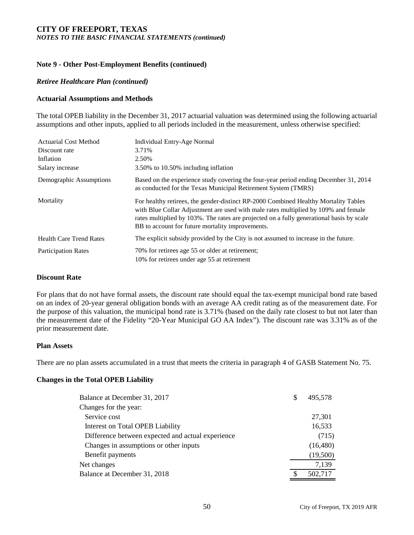*NOTES TO THE BASIC FINANCIAL STATEMENTS (continued)* 

#### **Note 9 - Other Post-Employment Benefits (continued)**

#### *Retiree Healthcare Plan (continued)*

#### **Actuarial Assumptions and Methods**

The total OPEB liability in the December 31, 2017 actuarial valuation was determined using the following actuarial assumptions and other inputs, applied to all periods included in the measurement, unless otherwise specified:

| <b>Actuarial Cost Method</b>   | Individual Entry-Age Normal                                                                                                                                                                                                                                                                                               |
|--------------------------------|---------------------------------------------------------------------------------------------------------------------------------------------------------------------------------------------------------------------------------------------------------------------------------------------------------------------------|
| Discount rate                  | 3.71%                                                                                                                                                                                                                                                                                                                     |
| Inflation                      | 2.50%                                                                                                                                                                                                                                                                                                                     |
| Salary increase                | 3.50% to 10.50% including inflation                                                                                                                                                                                                                                                                                       |
| Demographic Assumptions        | Based on the experience study covering the four-year period ending December 31, 2014<br>as conducted for the Texas Municipal Retirement System (TMRS)                                                                                                                                                                     |
| Mortality                      | For healthy retirees, the gender-distinct RP-2000 Combined Healthy Mortality Tables<br>with Blue Collar Adjustment are used with male rates multiplied by 109% and female<br>rates multiplied by 103%. The rates are projected on a fully generational basis by scale<br>BB to account for future mortality improvements. |
| <b>Health Care Trend Rates</b> | The explicit subsidy provided by the City is not assumed to increase in the future.                                                                                                                                                                                                                                       |
| <b>Participation Rates</b>     | 70% for retirees age 55 or older at retirement;<br>10% for retirees under age 55 at retirement                                                                                                                                                                                                                            |

#### **Discount Rate**

For plans that do not have formal assets, the discount rate should equal the tax-exempt municipal bond rate based on an index of 20-year general obligation bonds with an average AA credit rating as of the measurement date. For the purpose of this valuation, the municipal bond rate is 3.71% (based on the daily rate closest to but not later than the measurement date of the Fidelity "20-Year Municipal GO AA Index"). The discount rate was 3.31% as of the prior measurement date.

#### **Plan Assets**

There are no plan assets accumulated in a trust that meets the criteria in paragraph 4 of GASB Statement No. 75.

#### **Changes in the Total OPEB Liability**

| Balance at December 31, 2017                      | S | 495,578   |
|---------------------------------------------------|---|-----------|
| Changes for the year:                             |   |           |
| Service cost                                      |   | 27,301    |
| Interest on Total OPEB Liability                  |   | 16,533    |
| Difference between expected and actual experience |   | (715)     |
| Changes in assumptions or other inputs            |   | (16, 480) |
| Benefit payments                                  |   | (19,500)  |
| Net changes                                       |   | 7,139     |
| Balance at December 31, 2018                      |   | 502,717   |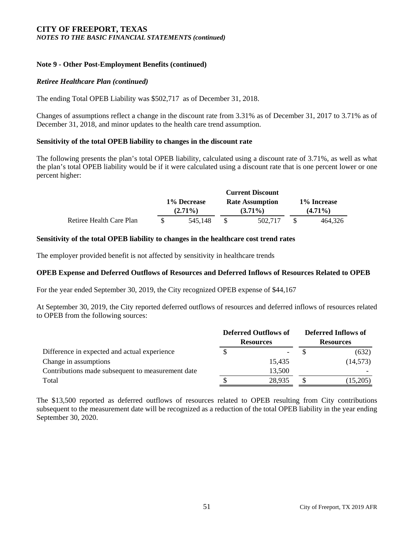*NOTES TO THE BASIC FINANCIAL STATEMENTS (continued)* 

#### **Note 9 - Other Post-Employment Benefits (continued)**

#### *Retiree Healthcare Plan (continued)*

The ending Total OPEB Liability was \$502,717 as of December 31, 2018.

Changes of assumptions reflect a change in the discount rate from 3.31% as of December 31, 2017 to 3.71% as of December 31, 2018, and minor updates to the health care trend assumption.

#### **Sensitivity of the total OPEB liability to changes in the discount rate**

The following presents the plan's total OPEB liability, calculated using a discount rate of 3.71%, as well as what the plan's total OPEB liability would be if it were calculated using a discount rate that is one percent lower or one percent higher:

|                          |             | <b>Current Discount</b> |             |
|--------------------------|-------------|-------------------------|-------------|
|                          | 1% Decrease | <b>Rate Assumption</b>  | 1% Increase |
|                          | $(2.71\%)$  | $(3.71\%)$              | $(4.71\%)$  |
| Retiree Health Care Plan | 545.148     | 502.717                 | 464.326     |

#### **Sensitivity of the total OPEB liability to changes in the healthcare cost trend rates**

The employer provided benefit is not affected by sensitivity in healthcare trends

### **OPEB Expense and Deferred Outflows of Resources and Deferred Inflows of Resources Related to OPEB**

For the year ended September 30, 2019, the City recognized OPEB expense of \$44,167

At September 30, 2019, the City reported deferred outflows of resources and deferred inflows of resources related to OPEB from the following sources:

|                                                   | <b>Deferred Outflows of</b> |                  | <b>Deferred Inflows of</b> |                  |  |
|---------------------------------------------------|-----------------------------|------------------|----------------------------|------------------|--|
|                                                   |                             | <b>Resources</b> |                            | <b>Resources</b> |  |
| Difference in expected and actual experience      |                             | -                |                            | (632)            |  |
| Change in assumptions                             |                             | 15,435           |                            | (14, 573)        |  |
| Contributions made subsequent to measurement date |                             | 13,500           |                            |                  |  |
| Total                                             |                             | 28,935           |                            | (15,205)         |  |

The \$13,500 reported as deferred outflows of resources related to OPEB resulting from City contributions subsequent to the measurement date will be recognized as a reduction of the total OPEB liability in the year ending September 30, 2020.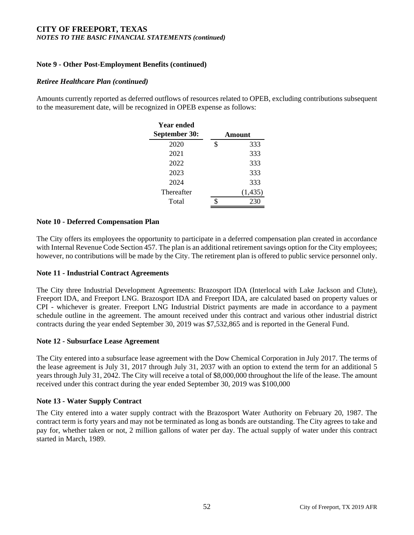*NOTES TO THE BASIC FINANCIAL STATEMENTS (continued)* 

#### **Note 9 - Other Post-Employment Benefits (continued)**

#### *Retiree Healthcare Plan (continued)*

Amounts currently reported as deferred outflows of resources related to OPEB, excluding contributions subsequent to the measurement date, will be recognized in OPEB expense as follows:

| <b>Year ended</b> |           |
|-------------------|-----------|
| September 30:     | Amount    |
| 2020              | \$<br>333 |
| 2021              | 333       |
| 2022              | 333       |
| 2023              | 333       |
| 2024              | 333       |
| Thereafter        | (1, 435)  |
| Total             | 230       |
|                   |           |

#### **Note 10 - Deferred Compensation Plan**

The City offers its employees the opportunity to participate in a deferred compensation plan created in accordance with Internal Revenue Code Section 457. The plan is an additional retirement savings option for the City employees; however, no contributions will be made by the City. The retirement plan is offered to public service personnel only.

#### **Note 11 - Industrial Contract Agreements**

The City three Industrial Development Agreements: Brazosport IDA (Interlocal with Lake Jackson and Clute), Freeport IDA, and Freeport LNG. Brazosport IDA and Freeport IDA, are calculated based on property values or CPI - whichever is greater. Freeport LNG Industrial District payments are made in accordance to a payment schedule outline in the agreement. The amount received under this contract and various other industrial district contracts during the year ended September 30, 2019 was \$7,532,865 and is reported in the General Fund.

#### **Note 12 - Subsurface Lease Agreement**

The City entered into a subsurface lease agreement with the Dow Chemical Corporation in July 2017. The terms of the lease agreement is July 31, 2017 through July 31, 2037 with an option to extend the term for an additional 5 years through July 31, 2042. The City will receive a total of \$8,000,000 throughout the life of the lease. The amount received under this contract during the year ended September 30, 2019 was \$100,000

# **Note 13 - Water Supply Contract**

The City entered into a water supply contract with the Brazosport Water Authority on February 20, 1987. The contract term is forty years and may not be terminated as long as bonds are outstanding. The City agrees to take and pay for, whether taken or not, 2 million gallons of water per day. The actual supply of water under this contract started in March, 1989.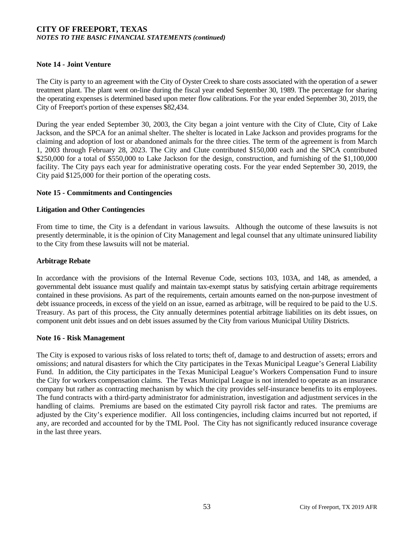#### **Note 14 - Joint Venture**

The City is party to an agreement with the City of Oyster Creek to share costs associated with the operation of a sewer treatment plant. The plant went on-line during the fiscal year ended September 30, 1989. The percentage for sharing the operating expenses is determined based upon meter flow calibrations. For the year ended September 30, 2019, the City of Freeport's portion of these expenses \$82,434.

During the year ended September 30, 2003, the City began a joint venture with the City of Clute, City of Lake Jackson, and the SPCA for an animal shelter. The shelter is located in Lake Jackson and provides programs for the claiming and adoption of lost or abandoned animals for the three cities. The term of the agreement is from March 1, 2003 through February 28, 2023. The City and Clute contributed \$150,000 each and the SPCA contributed \$250,000 for a total of \$550,000 to Lake Jackson for the design, construction, and furnishing of the \$1,100,000 facility. The City pays each year for administrative operating costs. For the year ended September 30, 2019, the City paid \$125,000 for their portion of the operating costs.

#### **Note 15 - Commitments and Contingencies**

#### **Litigation and Other Contingencies**

From time to time, the City is a defendant in various lawsuits. Although the outcome of these lawsuits is not presently determinable, it is the opinion of City Management and legal counsel that any ultimate uninsured liability to the City from these lawsuits will not be material.

#### **Arbitrage Rebate**

In accordance with the provisions of the Internal Revenue Code, sections 103, 103A, and 148, as amended, a governmental debt issuance must qualify and maintain tax-exempt status by satisfying certain arbitrage requirements contained in these provisions. As part of the requirements, certain amounts earned on the non-purpose investment of debt issuance proceeds, in excess of the yield on an issue, earned as arbitrage, will be required to be paid to the U.S. Treasury. As part of this process, the City annually determines potential arbitrage liabilities on its debt issues, on component unit debt issues and on debt issues assumed by the City from various Municipal Utility Districts.

#### **Note 16 - Risk Management**

The City is exposed to various risks of loss related to torts; theft of, damage to and destruction of assets; errors and omissions; and natural disasters for which the City participates in the Texas Municipal League's General Liability Fund. In addition, the City participates in the Texas Municipal League's Workers Compensation Fund to insure the City for workers compensation claims. The Texas Municipal League is not intended to operate as an insurance company but rather as contracting mechanism by which the city provides self-insurance benefits to its employees. The fund contracts with a third-party administrator for administration, investigation and adjustment services in the handling of claims. Premiums are based on the estimated City payroll risk factor and rates. The premiums are adjusted by the City's experience modifier. All loss contingencies, including claims incurred but not reported, if any, are recorded and accounted for by the TML Pool. The City has not significantly reduced insurance coverage in the last three years.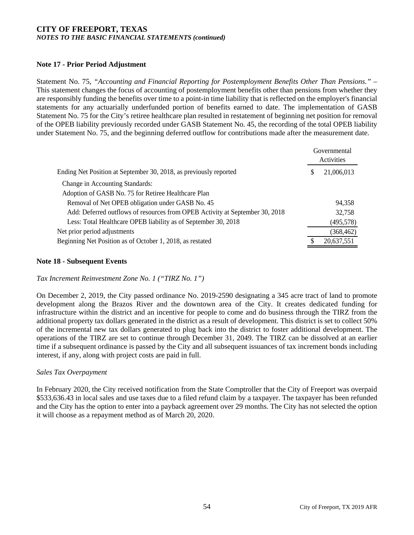#### **Note 17 - Prior Period Adjustment**

Statement No. 75, *"Accounting and Financial Reporting for Postemployment Benefits Other Than Pensions."* – This statement changes the focus of accounting of postemployment benefits other than pensions from whether they are responsibly funding the benefits over time to a point-in time liability that is reflected on the employer's financial statements for any actuarially underfunded portion of benefits earned to date. The implementation of GASB Statement No. 75 for the City's retiree healthcare plan resulted in restatement of beginning net position for removal of the OPEB liability previously recorded under GASB Statement No. 45, the recording of the total OPEB liability under Statement No. 75, and the beginning deferred outflow for contributions made after the measurement date.

|                                                                              | Governmental<br>Activities |            |  |  |  |
|------------------------------------------------------------------------------|----------------------------|------------|--|--|--|
| Ending Net Position at September 30, 2018, as previously reported            | S                          | 21,006,013 |  |  |  |
| Change in Accounting Standards:                                              |                            |            |  |  |  |
| Adoption of GASB No. 75 for Retiree Healthcare Plan                          |                            |            |  |  |  |
| Removal of Net OPEB obligation under GASB No. 45                             |                            | 94,358     |  |  |  |
| Add: Deferred outflows of resources from OPEB Activity at September 30, 2018 |                            | 32,758     |  |  |  |
| Less: Total Healthcare OPEB liability as of September 30, 2018               |                            | (495, 578) |  |  |  |
| Net prior period adjustments                                                 |                            | (368, 462) |  |  |  |
| Beginning Net Position as of October 1, 2018, as restated                    |                            | 20,637,551 |  |  |  |

#### **Note 18 - Subsequent Events**

#### *Tax Increment Reinvestment Zone No. 1 ("TIRZ No. 1")*

On December 2, 2019, the City passed ordinance No. 2019-2590 designating a 345 acre tract of land to promote development along the Brazos River and the downtown area of the City. It creates dedicated funding for infrastructure within the district and an incentive for people to come and do business through the TIRZ from the additional property tax dollars generated in the district as a result of development. This district is set to collect 50% of the incremental new tax dollars generated to plug back into the district to foster additional development. The operations of the TIRZ are set to continue through December 31, 2049. The TIRZ can be dissolved at an earlier time if a subsequent ordinance is passed by the City and all subsequent issuances of tax increment bonds including interest, if any, along with project costs are paid in full.

#### *Sales Tax Overpayment*

In February 2020, the City received notification from the State Comptroller that the City of Freeport was overpaid \$533,636.43 in local sales and use taxes due to a filed refund claim by a taxpayer. The taxpayer has been refunded and the City has the option to enter into a payback agreement over 29 months. The City has not selected the option it will choose as a repayment method as of March 20, 2020.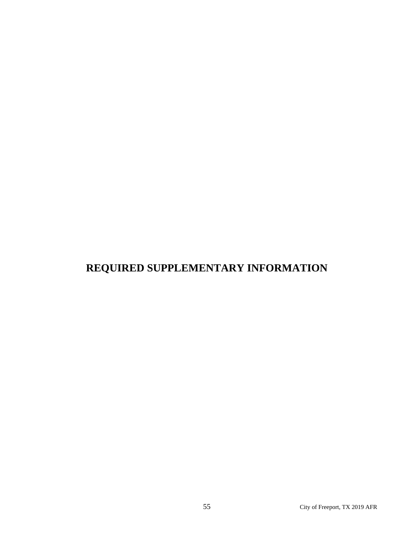# **REQUIRED SUPPLEMENTARY INFORMATION**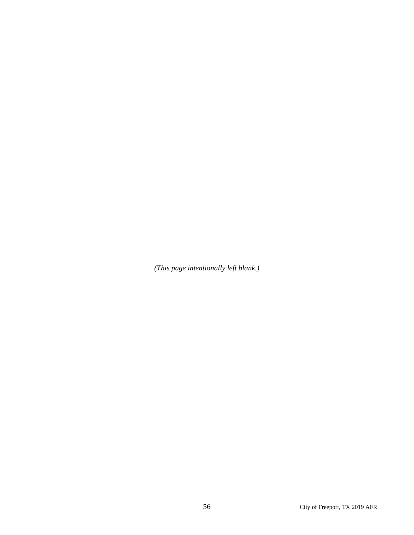*(This page intentionally left blank.)*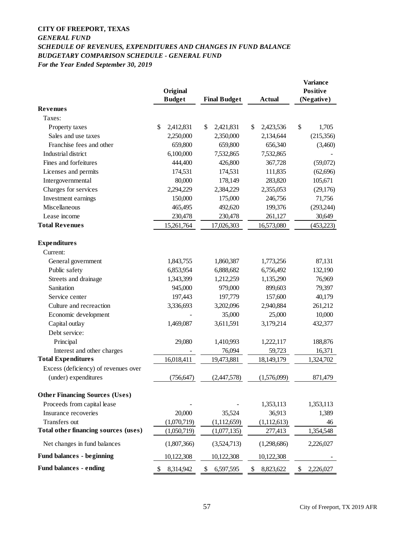#### *GENERAL FUND*

# *SCHEDULE OF REVENUES, EXPENDITURES AND CHANGES IN FUND BALANCE BUDGETARY COMPARISON SCHEDULE - GENERAL FUND For the Year Ended September 30, 2019*

|                                       | Original<br><b>Budget</b> | <b>Final Budget</b> | <b>Actual</b>   | <b>Variance</b><br><b>Positive</b><br>(Negative) |
|---------------------------------------|---------------------------|---------------------|-----------------|--------------------------------------------------|
| <b>Revenues</b>                       |                           |                     |                 |                                                  |
| Taxes:                                |                           |                     |                 |                                                  |
| Property taxes                        | \$<br>2,412,831           | 2,421,831<br>\$     | \$<br>2,423,536 | \$<br>1,705                                      |
| Sales and use taxes                   | 2,250,000                 | 2,350,000           | 2,134,644       | (215,356)                                        |
| Franchise fees and other              | 659,800                   | 659,800             | 656,340         | (3,460)                                          |
| Industrial district                   | 6,100,000                 | 7,532,865           | 7,532,865       |                                                  |
| Fines and forfeitures                 | 444,400                   | 426,800             | 367,728         | (59,072)                                         |
| Licenses and permits                  | 174,531                   | 174,531             | 111,835         | (62, 696)                                        |
| Intergovernmental                     | 80,000                    | 178,149             | 283,820         | 105,671                                          |
| Charges for services                  | 2,294,229                 | 2,384,229           | 2,355,053       | (29,176)                                         |
| Investment earnings                   | 150,000                   | 175,000             | 246,756         | 71,756                                           |
| Miscellaneous                         | 465,495                   | 492,620             | 199,376         | (293,244)                                        |
| Lease income                          | 230,478                   | 230,478             | 261,127         | 30,649                                           |
| <b>Total Revenues</b>                 | 15,261,764                | 17,026,303          | 16,573,080      | (453,223)                                        |
|                                       |                           |                     |                 |                                                  |
| <b>Expenditures</b>                   |                           |                     |                 |                                                  |
| Current:                              |                           |                     |                 |                                                  |
| General government                    | 1,843,755                 | 1,860,387           | 1,773,256       | 87,131                                           |
| Public safety                         | 6,853,954                 | 6,888,682           | 6,756,492       | 132,190                                          |
| Streets and drainage                  | 1,343,399                 | 1,212,259           | 1,135,290       | 76,969                                           |
| Sanitation                            | 945,000                   | 979,000             | 899,603         | 79,397                                           |
| Service center                        | 197,443                   | 197,779             | 157,600         | 40,179                                           |
| Culture and recreaction               | 3,336,693                 | 3,202,096           | 2,940,884       | 261,212                                          |
| Economic development                  |                           | 35,000              | 25,000          | 10,000                                           |
| Capital outlay                        | 1,469,087                 | 3,611,591           | 3,179,214       | 432,377                                          |
| Debt service:                         |                           |                     |                 |                                                  |
| Principal                             | 29,080                    | 1,410,993           | 1,222,117       | 188,876                                          |
| Interest and other charges            |                           | 76,094              | 59,723          | 16,371                                           |
| <b>Total Expenditures</b>             | 16,018,411                | 19,473,881          | 18,149,179      | 1,324,702                                        |
| Excess (deficiency) of revenues over  |                           |                     |                 |                                                  |
| (under) expenditures                  | (756, 647)                | (2,447,578)         | (1,576,099)     | 871,479                                          |
| <b>Other Financing Sources (Uses)</b> |                           |                     |                 |                                                  |
| Proceeds from capital lease           |                           |                     | 1,353,113       | 1,353,113                                        |
| Insurance recoveries                  | 20,000                    | 35,524              | 36,913          | 1,389                                            |
| Transfers out                         | (1,070,719)               | (1,112,659)         | (1, 112, 613)   | 46                                               |
| Total other financing sources (uses)  | (1,050,719)               | (1,077,135)         | 277,413         | 1,354,548                                        |
| Net changes in fund balances          | (1,807,366)               | (3,524,713)         | (1,298,686)     | 2,226,027                                        |
| <b>Fund balances - beginning</b>      | 10,122,308                | 10,122,308          | 10,122,308      |                                                  |
| <b>Fund balances - ending</b>         | \$<br>8,314,942           | \$<br>6,597,595     | 8,823,622<br>\$ | \$<br>2,226,027                                  |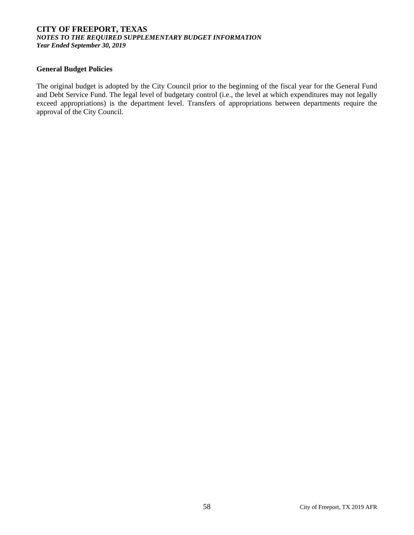#### **CITY OF FREEPORT, TEXAS**  *NOTES TO THE REQUIRED SUPPLEMENTARY BUDGET INFORMATION Year Ended September 30, 2019*

# **General Budget Policies**

The original budget is adopted by the City Council prior to the beginning of the fiscal year for the General Fund and Debt Service Fund. The legal level of budgetary control (i.e., the level at which expenditures may not legally exceed appropriations) is the department level. Transfers of appropriations between departments require the approval of the City Council.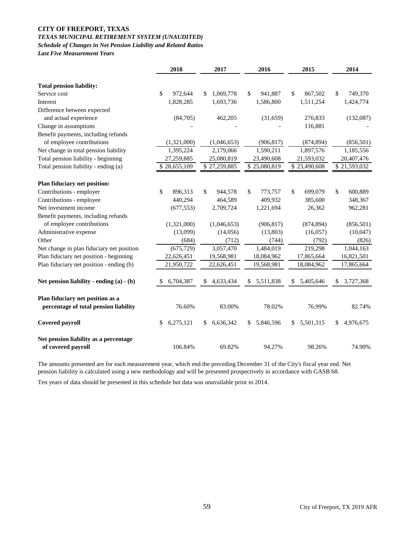## *TEXAS MUNICIPAL RETIREMENT SYSTEM (UNAUDITED)*

#### *Schedule of Changes in Net Pension Liability and Related Ratios*

*Last Five Measurement Years*

|                                            | 2018                     | 2017                       | 2016                       | 2015                     | 2014                       |
|--------------------------------------------|--------------------------|----------------------------|----------------------------|--------------------------|----------------------------|
| <b>Total pension liability:</b>            |                          |                            |                            |                          |                            |
| Service cost                               | \$<br>972,644            | 1,069,778<br>\$            | \$<br>941,887              | 867,502<br>\$            | \$<br>749,370              |
| Interest                                   | 1,828,285                | 1,693,736                  | 1,586,800                  | 1,511,254                | 1,424,774                  |
| Difference between expected                |                          |                            |                            |                          |                            |
| and actual experience                      | (84,705)                 | 462,205                    | (31,659)                   | 276,833                  | (132,087)                  |
| Change in assumptions                      |                          |                            |                            | 116,881                  |                            |
| Benefit payments, including refunds        |                          |                            |                            |                          |                            |
| of employee contributions                  |                          |                            |                            |                          |                            |
|                                            | (1,321,000)<br>1,395,224 | (1,046,653)<br>2,179,066   | (906, 817)<br>1,590,211    | (874, 894)<br>1,897,576  | (856, 501)                 |
| Net change in total pension liability      |                          |                            |                            |                          | 1,185,556                  |
| Total pension liability - beginning        | 27,259,885               | 25,080,819<br>\$27,259,885 | 23,490,608<br>\$25,080,819 | 21,593,032               | 20,407,476<br>\$21,593,032 |
| Total pension liability - ending (a)       | \$28,655,109             |                            |                            | $\overline{$}23,490,608$ |                            |
| Plan fiduciary net position:               |                          |                            |                            |                          |                            |
| Contributions - employer                   | \$<br>896,313            | \$<br>944,578              | 773,757<br>\$              | \$<br>699,079            | \$<br>600,889              |
| Contributions - employee                   | 440,294                  | 464,589                    | 409,932                    | 385,600                  | 348,367                    |
| Net investment income                      | (677, 553)               | 2,709,724                  | 1,221,694                  | 26,362                   | 962,281                    |
| Benefit payments, including refunds        |                          |                            |                            |                          |                            |
| of employee contributions                  | (1,321,000)              | (1,046,653)                | (906, 817)                 | (874, 894)               | (856, 501)                 |
| Administrative expense                     | (13,099)                 | (14,056)                   | (13,803)                   | (16,057)                 | (10,047)                   |
| Other                                      | (684)                    | (712)                      | (744)                      | (792)                    | (826)                      |
| Net change in plan fiduciary net position  | (675, 729)               | 3,057,470                  | 1,484,019                  | 219,298                  | 1,044,163                  |
| Plan fiduciary net position - beginning    | 22,626,451               | 19,568,981                 | 18,084,962                 | 17,865,664               | 16,821,501                 |
| Plan fiduciary net position - ending (b)   | 21,950,722               | 22,626,451                 | 19,568,981                 | 18,084,962               | 17,865,664                 |
|                                            |                          |                            |                            |                          |                            |
| Net pension liability - ending $(a) - (b)$ | 6,704,387                | 4,633,434<br>\$            | 5,511,838<br>S             | 5,405,646<br>\$          | 3,727,368                  |
| Plan fiduciary net position as a           |                          |                            |                            |                          |                            |
| percentage of total pension liability      | 76.60%                   | 83.00%                     | 78.02%                     | 76.99%                   | 82.74%                     |
| <b>Covered payroll</b>                     | 6,275,121<br>\$          | \$<br>6,636,342            | 5,846,596<br>\$            | 5,501,315<br>\$          | 4,976,675<br>\$.           |
| Net pension liability as a percentage      |                          |                            |                            |                          |                            |
| of covered payroll                         | 106.84%                  | 69.82%                     | 94.27%                     | 98.26%                   | 74.90%                     |

The amounts presented are for each measurement year, which end the preceding December 31 of the City's fiscal year end. Net pension liability is calculated using a new methodology and will be presented prospectively in accordance with GASB 68.

Ten years of data should be presented in this schedule but data was unavailable prior to 2014.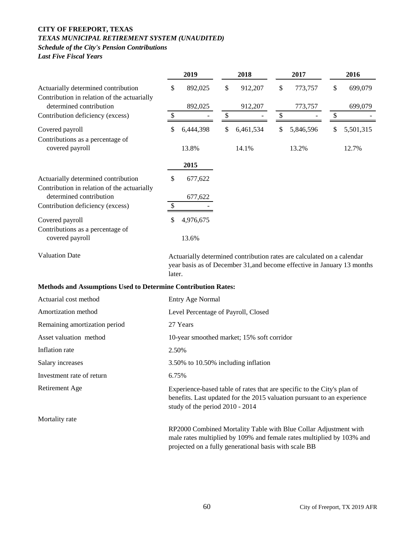#### **CITY OF FREEPORT, TEXAS** *TEXAS MUNICIPAL RETIREMENT SYSTEM (UNAUDITED)*

# *Schedule of the City's Pension Contributions*

*Last Five Fiscal Years*

|                                                               |                                                                                                                                                                                       | 2019                                                                                                                                              |              | 2018      |              | 2017      | 2016 |           |  |
|---------------------------------------------------------------|---------------------------------------------------------------------------------------------------------------------------------------------------------------------------------------|---------------------------------------------------------------------------------------------------------------------------------------------------|--------------|-----------|--------------|-----------|------|-----------|--|
| Actuarially determined contribution                           | $\mathbb{S}$                                                                                                                                                                          | 892,025                                                                                                                                           | \$           | 912,207   | \$           | 773,757   | \$   | 699,079   |  |
| Contribution in relation of the actuarially                   |                                                                                                                                                                                       |                                                                                                                                                   |              |           |              |           |      |           |  |
| determined contribution                                       | $\boldsymbol{\$}$                                                                                                                                                                     | 892,025                                                                                                                                           |              | 912,207   | $\mathbb{S}$ | 773,757   |      | 699,079   |  |
| Contribution deficiency (excess)                              |                                                                                                                                                                                       |                                                                                                                                                   | $\mathbb{S}$ |           |              |           | $\$$ |           |  |
| Covered payroll                                               | \$                                                                                                                                                                                    | 6,444,398                                                                                                                                         | \$           | 6,461,534 | \$           | 5,846,596 | \$   | 5,501,315 |  |
| Contributions as a percentage of                              |                                                                                                                                                                                       |                                                                                                                                                   |              |           |              |           |      |           |  |
| covered payroll                                               |                                                                                                                                                                                       | 13.8%                                                                                                                                             |              | 14.1%     |              | 13.2%     |      | 12.7%     |  |
|                                                               |                                                                                                                                                                                       | 2015                                                                                                                                              |              |           |              |           |      |           |  |
| Actuarially determined contribution                           | $\mathbb{S}$                                                                                                                                                                          | 677,622                                                                                                                                           |              |           |              |           |      |           |  |
| Contribution in relation of the actuarially                   |                                                                                                                                                                                       |                                                                                                                                                   |              |           |              |           |      |           |  |
| determined contribution                                       |                                                                                                                                                                                       | 677,622                                                                                                                                           |              |           |              |           |      |           |  |
| Contribution deficiency (excess)                              | $\$$                                                                                                                                                                                  |                                                                                                                                                   |              |           |              |           |      |           |  |
| Covered payroll                                               | \$                                                                                                                                                                                    | 4,976,675                                                                                                                                         |              |           |              |           |      |           |  |
| Contributions as a percentage of                              |                                                                                                                                                                                       |                                                                                                                                                   |              |           |              |           |      |           |  |
| covered payroll                                               |                                                                                                                                                                                       | 13.6%                                                                                                                                             |              |           |              |           |      |           |  |
| <b>Valuation Date</b>                                         | later.                                                                                                                                                                                | Actuarially determined contribution rates are calculated on a calendar<br>year basis as of December 31, and become effective in January 13 months |              |           |              |           |      |           |  |
| Methods and Assumptions Used to Determine Contribution Rates: |                                                                                                                                                                                       |                                                                                                                                                   |              |           |              |           |      |           |  |
| Actuarial cost method                                         |                                                                                                                                                                                       | <b>Entry Age Normal</b>                                                                                                                           |              |           |              |           |      |           |  |
| Amortization method                                           |                                                                                                                                                                                       | Level Percentage of Payroll, Closed                                                                                                               |              |           |              |           |      |           |  |
| Remaining amortization period                                 |                                                                                                                                                                                       | 27 Years                                                                                                                                          |              |           |              |           |      |           |  |
| Asset valuation method                                        |                                                                                                                                                                                       | 10-year smoothed market; 15% soft corridor                                                                                                        |              |           |              |           |      |           |  |
| Inflation rate                                                | 2.50%                                                                                                                                                                                 |                                                                                                                                                   |              |           |              |           |      |           |  |
| Salary increases                                              |                                                                                                                                                                                       | 3.50% to 10.50% including inflation                                                                                                               |              |           |              |           |      |           |  |
| Investment rate of return                                     | 6.75%                                                                                                                                                                                 |                                                                                                                                                   |              |           |              |           |      |           |  |
| Retirement Age                                                | Experience-based table of rates that are specific to the City's plan of<br>benefits. Last updated for the 2015 valuation pursuant to an experience<br>study of the period 2010 - 2014 |                                                                                                                                                   |              |           |              |           |      |           |  |

Mortality rate

RP2000 Combined Mortality Table with Blue Collar Adjustment with male rates multiplied by 109% and female rates multiplied by 103% and projected on a fully generational basis with scale BB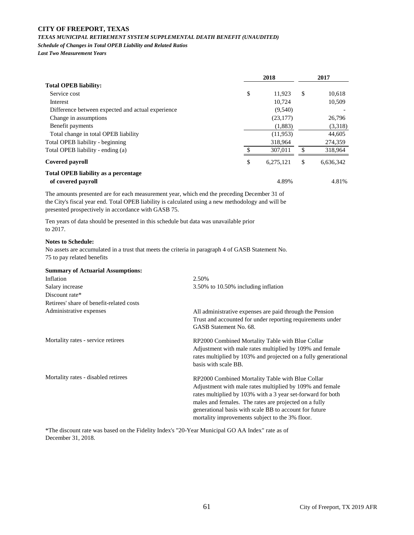# *TEXAS MUNICIPAL RETIREMENT SYSTEM SUPPLEMENTAL DEATH BENEFIT (UNAUDITED)*

*Schedule of Changes in Total OPEB Liability and Related Ratios*

*Last Two Measurement Years*

|                                                                   | 2018 |           |    | 2017      |  |  |
|-------------------------------------------------------------------|------|-----------|----|-----------|--|--|
| <b>Total OPEB liability:</b>                                      |      |           |    |           |  |  |
| Service cost                                                      | \$   | 11,923    | \$ | 10,618    |  |  |
| Interest                                                          |      | 10,724    |    | 10,509    |  |  |
| Difference between expected and actual experience                 |      | (9,540)   |    |           |  |  |
| Change in assumptions                                             |      | (23, 177) |    | 26,796    |  |  |
| Benefit payments                                                  |      | (1,883)   |    | (3,318)   |  |  |
| Total change in total OPEB liability                              |      | (11,953)  |    | 44,605    |  |  |
| Total OPEB liability - beginning                                  |      | 318,964   |    | 274,359   |  |  |
| Total OPEB liability - ending (a)                                 |      | 307.011   | \$ | 318,964   |  |  |
| <b>Covered payroll</b>                                            | \$   | 6,275,121 | \$ | 6,636,342 |  |  |
| <b>Total OPEB liability as a percentage</b><br>of covered payroll |      | 4.89%     |    | 4.81%     |  |  |

The amounts presented are for each measurement year, which end the preceding December 31 of the City's fiscal year end. Total OPEB liability is calculated using a new methodology and will be presented prospectively in accordance with GASB 75.

Ten years of data should be presented in this schedule but data was unavailable prior to 2017.

#### **Notes to Schedule:**

No assets are accumulated in a trust that meets the criteria in paragraph 4 of GASB Statement No. 75 to pay related benefits

|  |  |  | <b>Summary of Actuarial Assumptions:</b> |
|--|--|--|------------------------------------------|
|--|--|--|------------------------------------------|

| Inflation                                | 2.50%                                                                                                                                                                                                                                                                                                                                             |
|------------------------------------------|---------------------------------------------------------------------------------------------------------------------------------------------------------------------------------------------------------------------------------------------------------------------------------------------------------------------------------------------------|
| Salary increase                          | 3.50% to 10.50% including inflation                                                                                                                                                                                                                                                                                                               |
| Discount rate*                           |                                                                                                                                                                                                                                                                                                                                                   |
| Retirees' share of benefit-related costs |                                                                                                                                                                                                                                                                                                                                                   |
| Administrative expenses                  | All administrative expenses are paid through the Pension<br>Trust and accounted for under reporting requirements under<br>GASB Statement No. 68.                                                                                                                                                                                                  |
| Mortality rates - service retirees       | RP2000 Combined Mortality Table with Blue Collar<br>Adjustment with male rates multiplied by 109% and female<br>rates multiplied by 103% and projected on a fully generational<br>basis with scale BB.                                                                                                                                            |
| Mortality rates - disabled retirees      | RP2000 Combined Mortality Table with Blue Collar<br>Adjustment with male rates multiplied by 109% and female<br>rates multiplied by 103% with a 3 year set-forward for both<br>males and females. The rates are projected on a fully<br>generational basis with scale BB to account for future<br>mortality improvements subject to the 3% floor. |

\*The discount rate was based on the Fidelity Index's "20-Year Municipal GO AA Index" rate as of December 31, 2018.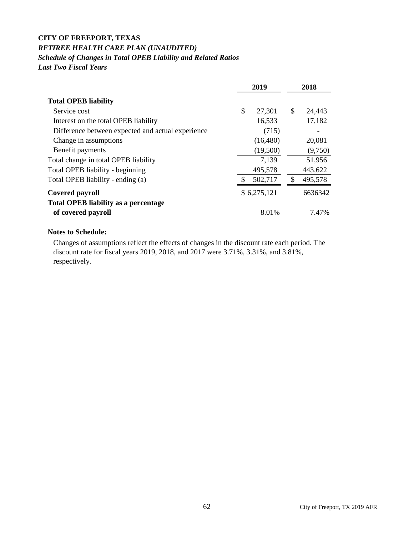# **CITY OF FREEPORT, TEXAS** *RETIREE HEALTH CARE PLAN (UNAUDITED) Schedule of Changes in Total OPEB Liability and Related Ratios Last Two Fiscal Years*

|                                                   | 2019 |             |    | 2018    |  |
|---------------------------------------------------|------|-------------|----|---------|--|
| <b>Total OPEB liability</b>                       |      |             |    |         |  |
| Service cost                                      | \$   | 27,301      | \$ | 24,443  |  |
| Interest on the total OPEB liability              |      | 16,533      |    | 17,182  |  |
| Difference between expected and actual experience |      | (715)       |    |         |  |
| Change in assumptions                             |      | (16, 480)   |    | 20,081  |  |
| Benefit payments                                  |      | (19,500)    |    | (9,750) |  |
| Total change in total OPEB liability              |      | 7,139       |    | 51,956  |  |
| Total OPEB liability - beginning                  |      | 495,578     |    | 443,622 |  |
| Total OPEB liability - ending (a)                 |      | 502,717     | S  | 495,578 |  |
| <b>Covered payroll</b>                            |      | \$6,275,121 |    | 6636342 |  |
| <b>Total OPEB liability as a percentage</b>       |      |             |    |         |  |
| of covered payroll                                |      | 8.01%       |    | 7.47%   |  |

# **Notes to Schedule:**

Changes of assumptions reflect the effects of changes in the discount rate each period. The discount rate for fiscal years 2019, 2018, and 2017 were 3.71%, 3.31%, and 3.81%, respectively.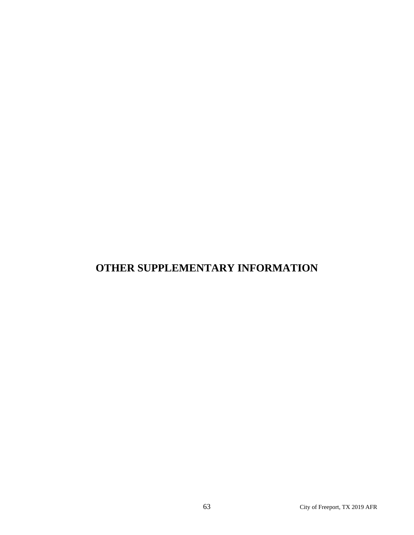# **OTHER SUPPLEMENTARY INFORMATION**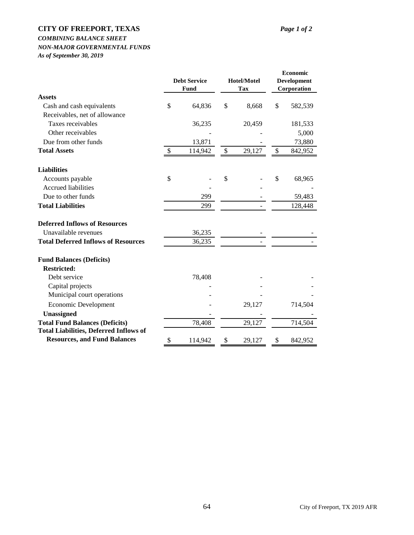# **CITY OF FREEPORT, TEXAS** *Page 1 of 2*

### *COMBINING BALANCE SHEET NON-MAJOR GOVERNMENTAL FUNDS*

*As of September 30, 2019*

|                                               |                           | <b>Debt Service</b><br>Fund | Hotel/Motel<br><b>Tax</b> | Economic<br><b>Development</b><br>Corporation |         |  |
|-----------------------------------------------|---------------------------|-----------------------------|---------------------------|-----------------------------------------------|---------|--|
| <b>Assets</b>                                 |                           |                             |                           |                                               |         |  |
| Cash and cash equivalents                     | \$                        | 64,836                      | \$<br>8,668               | \$                                            | 582,539 |  |
| Receivables, net of allowance                 |                           |                             |                           |                                               |         |  |
| Taxes receivables                             |                           | 36,235                      | 20,459                    |                                               | 181,533 |  |
| Other receivables                             |                           |                             |                           |                                               | 5,000   |  |
| Due from other funds                          |                           | 13,871                      |                           |                                               | 73,880  |  |
| <b>Total Assets</b>                           | $\boldsymbol{\mathsf{S}}$ | 114,942                     | \$<br>29,127              | \$                                            | 842,952 |  |
| <b>Liabilities</b>                            |                           |                             |                           |                                               |         |  |
| Accounts payable                              | \$                        |                             | \$                        | \$                                            | 68,965  |  |
| <b>Accrued liabilities</b>                    |                           |                             |                           |                                               |         |  |
| Due to other funds                            |                           | 299                         |                           |                                               | 59,483  |  |
| <b>Total Liabilities</b>                      |                           | 299                         |                           |                                               | 128,448 |  |
| <b>Deferred Inflows of Resources</b>          |                           |                             |                           |                                               |         |  |
| Unavailable revenues                          |                           | 36,235                      |                           |                                               |         |  |
| <b>Total Deferred Inflows of Resources</b>    |                           | 36,235                      |                           |                                               |         |  |
| <b>Fund Balances (Deficits)</b>               |                           |                             |                           |                                               |         |  |
| <b>Restricted:</b>                            |                           |                             |                           |                                               |         |  |
| Debt service                                  |                           | 78,408                      |                           |                                               |         |  |
| Capital projects                              |                           |                             |                           |                                               |         |  |
| Municipal court operations                    |                           |                             |                           |                                               |         |  |
| Economic Development                          |                           |                             | 29,127                    |                                               | 714,504 |  |
| Unassigned                                    |                           |                             |                           |                                               |         |  |
| <b>Total Fund Balances (Deficits)</b>         |                           | 78,408                      | 29,127                    |                                               | 714,504 |  |
| <b>Total Liabilities, Deferred Inflows of</b> |                           |                             |                           |                                               |         |  |
| <b>Resources, and Fund Balances</b>           | \$                        | 114,942                     | \$<br>29,127              | \$                                            | 842,952 |  |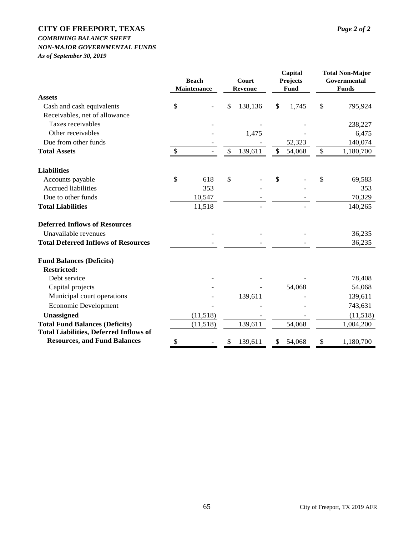# **CITY OF FREEPORT, TEXAS** *Page 2 of 2*

#### *COMBINING BALANCE SHEET*

# *NON-MAJOR GOVERNMENTAL FUNDS*

*As of September 30, 2019*

|                                               | <b>Beach</b><br>Maintenance |          | Court<br>Revenue |         | Capital<br>Projects<br>Fund |        | <b>Total Non-Major</b><br>Governmental<br><b>Funds</b> |           |
|-----------------------------------------------|-----------------------------|----------|------------------|---------|-----------------------------|--------|--------------------------------------------------------|-----------|
| <b>Assets</b>                                 |                             |          |                  |         |                             |        |                                                        |           |
| Cash and cash equivalents                     | \$                          |          | \$               | 138,136 | \$                          | 1,745  | \$                                                     | 795,924   |
| Receivables, net of allowance                 |                             |          |                  |         |                             |        |                                                        |           |
| Taxes receivables                             |                             |          |                  |         |                             |        |                                                        | 238,227   |
| Other receivables                             |                             |          |                  | 1,475   |                             |        |                                                        | 6,475     |
| Due from other funds                          |                             |          |                  |         |                             | 52,323 |                                                        | 140,074   |
| <b>Total Assets</b>                           | \$                          |          | \$               | 139,611 | \$                          | 54,068 | \$                                                     | 1,180,700 |
| <b>Liabilities</b>                            |                             |          |                  |         |                             |        |                                                        |           |
| Accounts payable                              | \$                          | 618      | \$               |         | \$                          |        | \$                                                     | 69,583    |
| <b>Accrued liabilities</b>                    |                             | 353      |                  |         |                             |        |                                                        | 353       |
| Due to other funds                            |                             | 10,547   |                  |         |                             |        |                                                        | 70,329    |
| <b>Total Liabilities</b>                      |                             | 11,518   |                  |         |                             |        |                                                        | 140,265   |
| <b>Deferred Inflows of Resources</b>          |                             |          |                  |         |                             |        |                                                        |           |
| Unavailable revenues                          |                             |          |                  |         |                             |        |                                                        | 36,235    |
| <b>Total Deferred Inflows of Resources</b>    |                             |          |                  |         |                             |        |                                                        | 36,235    |
| <b>Fund Balances (Deficits)</b>               |                             |          |                  |         |                             |        |                                                        |           |
| <b>Restricted:</b>                            |                             |          |                  |         |                             |        |                                                        |           |
| Debt service                                  |                             |          |                  |         |                             |        |                                                        | 78,408    |
| Capital projects                              |                             |          |                  |         |                             | 54,068 |                                                        | 54,068    |
| Municipal court operations                    |                             |          |                  | 139,611 |                             |        |                                                        | 139,611   |
| Economic Development                          |                             |          |                  |         |                             |        |                                                        | 743,631   |
| Unassigned                                    |                             | (11,518) |                  |         |                             |        |                                                        | (11,518)  |
| <b>Total Fund Balances (Deficits)</b>         |                             | (11,518) |                  | 139,611 |                             | 54,068 |                                                        | 1,004,200 |
| <b>Total Liabilities, Deferred Inflows of</b> |                             |          |                  |         |                             |        |                                                        |           |
| <b>Resources, and Fund Balances</b>           | \$                          |          | \$               | 139,611 | \$                          | 54,068 | \$                                                     | 1,180,700 |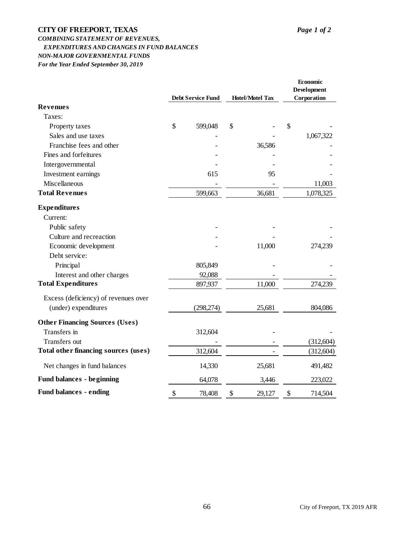# **CITY OF FREEPORT, TEXAS** *Page 1 of 2*

### *COMBINING STATEMENT OF REVENUES, EXPENDITURES AND CHANGES IN FUND BALANCES NON-MAJOR GOVERNMENTAL FUNDS For the Year Ended September 30, 2019*

|                                       | <b>Debt Service Fund</b> | <b>Hotel/Motel Tax</b> | Economic<br><b>Development</b><br>Corporation |            |  |
|---------------------------------------|--------------------------|------------------------|-----------------------------------------------|------------|--|
| <b>Revenues</b>                       |                          |                        |                                               |            |  |
| Taxes:                                |                          |                        |                                               |            |  |
| Property taxes                        | \$<br>599,048            | \$                     | \$                                            |            |  |
| Sales and use taxes                   |                          |                        |                                               | 1,067,322  |  |
| Franchise fees and other              |                          | 36,586                 |                                               |            |  |
| Fines and forfeitures                 |                          |                        |                                               |            |  |
| Intergovernmental                     |                          |                        |                                               |            |  |
| Investment earnings                   | 615                      | 95                     |                                               |            |  |
| Miscellaneous                         |                          |                        |                                               | 11,003     |  |
| <b>Total Revenues</b>                 | 599,663                  | 36,681                 |                                               | 1,078,325  |  |
| <b>Expenditures</b>                   |                          |                        |                                               |            |  |
| Current:                              |                          |                        |                                               |            |  |
| Public safety                         |                          |                        |                                               |            |  |
| Culture and recreaction               |                          |                        |                                               |            |  |
| Economic development                  |                          | 11,000                 |                                               | 274,239    |  |
| Debt service:                         |                          |                        |                                               |            |  |
| Principal                             | 805,849                  |                        |                                               |            |  |
| Interest and other charges            | 92,088                   |                        |                                               |            |  |
| <b>Total Expenditures</b>             | 897,937                  | 11,000                 |                                               | 274,239    |  |
| Excess (deficiency) of revenues over  |                          |                        |                                               |            |  |
| (under) expenditures                  | (298, 274)               | 25,681                 |                                               | 804,086    |  |
| <b>Other Financing Sources (Uses)</b> |                          |                        |                                               |            |  |
| Transfers in                          | 312,604                  |                        |                                               |            |  |
| <b>Transfers</b> out                  |                          |                        |                                               | (312, 604) |  |
| Total other financing sources (uses)  | 312,604                  |                        |                                               | (312, 604) |  |
| Net changes in fund balances          | 14,330                   | 25,681                 |                                               | 491,482    |  |
| <b>Fund balances - beginning</b>      | 64,078                   | 3,446                  |                                               | 223,022    |  |
| <b>Fund balances - ending</b>         | \$<br>78,408             | \$<br>29,127           | \$                                            | 714,504    |  |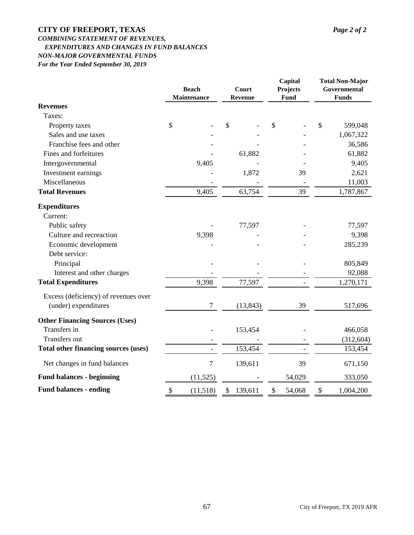# **CITY OF FREEPORT, TEXAS** *Page 2 of 2*

#### *COMBINING STATEMENT OF REVENUES, EXPENDITURES AND CHANGES IN FUND BALANCES NON-MAJOR GOVERNMENTAL FUNDS For the Year Ended September 30, 2019*

|                                       |    | <b>Beach</b><br><b>Maintenance</b> |               | <b>Revenue</b> | Capital<br>Projects<br>Fund |        | <b>Total Non-Major</b><br>Governmental<br><b>Funds</b> |            |
|---------------------------------------|----|------------------------------------|---------------|----------------|-----------------------------|--------|--------------------------------------------------------|------------|
| <b>Revenues</b>                       |    |                                    |               |                |                             |        |                                                        |            |
| Taxes:                                |    |                                    |               |                |                             |        |                                                        |            |
| Property taxes                        | \$ |                                    | \$            |                | \$                          |        | \$                                                     | 599,048    |
| Sales and use taxes                   |    |                                    |               |                |                             |        |                                                        | 1,067,322  |
| Franchise fees and other              |    |                                    |               |                |                             |        |                                                        | 36,586     |
| Fines and forfeitures                 |    |                                    | 61,882        |                |                             |        |                                                        | 61,882     |
| Intergovernmental                     |    | 9,405                              |               |                |                             |        |                                                        | 9,405      |
| Investment earnings                   |    |                                    | 1,872         |                |                             | 39     |                                                        | 2,621      |
| Miscellaneous                         |    |                                    |               |                |                             |        |                                                        | 11,003     |
| <b>Total Revenues</b>                 |    | 9,405                              | 63,754        |                |                             | 39     |                                                        | 1,787,867  |
| <b>Expenditures</b>                   |    |                                    |               |                |                             |        |                                                        |            |
| Current:                              |    |                                    |               |                |                             |        |                                                        |            |
| Public safety                         |    |                                    | 77,597        |                |                             |        |                                                        | 77,597     |
| Culture and recreaction               |    | 9,398                              |               |                |                             |        |                                                        | 9,398      |
| Economic development                  |    |                                    |               |                |                             |        |                                                        | 285,239    |
| Debt service:                         |    |                                    |               |                |                             |        |                                                        |            |
| Principal                             |    |                                    |               |                |                             |        |                                                        | 805,849    |
| Interest and other charges            |    |                                    |               |                |                             |        |                                                        | 92,088     |
| <b>Total Expenditures</b>             |    | 9,398                              | 77,597        |                |                             |        |                                                        | 1,270,171  |
| Excess (deficiency) of revenues over  |    |                                    |               |                |                             |        |                                                        |            |
| (under) expenditures                  |    | 7                                  | (13, 843)     |                |                             | 39     |                                                        | 517,696    |
| <b>Other Financing Sources (Uses)</b> |    |                                    |               |                |                             |        |                                                        |            |
| Transfers in                          |    |                                    | 153,454       |                |                             |        |                                                        | 466,058    |
| Transfers out                         |    |                                    |               |                |                             |        |                                                        | (312, 604) |
| Total other financing sources (uses)  |    |                                    | 153,454       |                |                             |        |                                                        | 153,454    |
| Net changes in fund balances          |    | $\tau$                             | 139,611       |                |                             | 39     |                                                        | 671,150    |
| <b>Fund balances - beginning</b>      |    | (11, 525)                          |               |                |                             | 54,029 |                                                        | 333,050    |
| <b>Fund balances - ending</b>         | \$ | (11,518)                           | \$<br>139,611 |                | \$                          | 54,068 | \$                                                     | 1,004,200  |